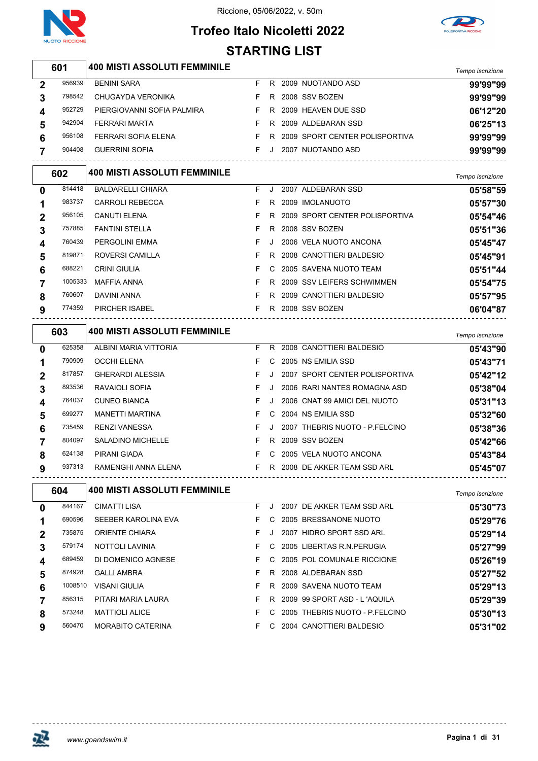



## **Trofeo Italo Nicoletti 2022 STARTING LIST**

|                         | 601     |                                     |    |     |                                                      |                  |
|-------------------------|---------|-------------------------------------|----|-----|------------------------------------------------------|------------------|
|                         |         | <b>400 MISTI ASSOLUTI FEMMINILE</b> |    |     |                                                      | Tempo iscrizione |
| $\boldsymbol{2}$        | 956939  | <b>BENINI SARA</b>                  |    |     | F R 2009 NUOTANDO ASD                                | 99'99"99         |
| 3                       | 798542  | CHUGAYDA VERONIKA                   | F. |     | R 2008 SSV BOZEN                                     | 99'99"99         |
| 4                       | 952729  | PIERGIOVANNI SOFIA PALMIRA          |    |     | F R 2009 HEAVEN DUE SSD                              | 06'12"20         |
| 5                       | 942904  | <b>FERRARI MARTA</b>                | F. |     | R 2009 ALDEBARAN SSD                                 | 06'25"13         |
| 6                       | 956108  | FERRARI SOFIA ELENA                 |    |     | F R 2009 SPORT CENTER POLISPORTIVA                   | 99'99"99         |
| $\overline{7}$          | 904408  | <b>GUERRINI SOFIA</b>               |    |     | F J 2007 NUOTANDO ASD<br>--------------------------- | 99'99"99         |
|                         | 602     | <b>400 MISTI ASSOLUTI FEMMINILE</b> |    |     |                                                      | Tempo iscrizione |
| 0                       | 814418  | <b>BALDARELLI CHIARA</b>            |    | F J | 2007 ALDEBARAN SSD                                   | 05'58"59         |
| 1                       | 983737  | <b>CARROLI REBECCA</b>              | F. |     | R 2009 IMOLANUOTO                                    | 05'57"30         |
| $\boldsymbol{2}$        | 956105  | <b>CANUTI ELENA</b>                 | F. |     | R 2009 SPORT CENTER POLISPORTIVA                     | 05'54"46         |
| 3                       | 757885  | <b>FANTINI STELLA</b>               | F. |     | R 2008 SSV BOZEN                                     | 05'51"36         |
| 4                       | 760439  | PERGOLINI EMMA                      | F  | J   | 2006 VELA NUOTO ANCONA                               | 05'45"47         |
| 5                       | 819871  | ROVERSI CAMILLA                     | F. |     | R 2008 CANOTTIERI BALDESIO                           | 05'45"91         |
| 6                       | 688221  | <b>CRINI GIULIA</b>                 | F. |     | C 2005 SAVENA NUOTO TEAM                             | 05'51"44         |
| 7                       | 1005333 | MAFFIA ANNA                         | F. |     | R 2009 SSV LEIFERS SCHWIMMEN                         | 05'54"75         |
| 8                       | 760607  | DAVINI ANNA                         | F. |     | R 2009 CANOTTIERI BALDESIO                           | 05'57"95         |
| 9                       | 774359  | PIRCHER ISABEL                      |    |     | F R 2008 SSV BOZEN<br>---------------------------    | 06'04"87         |
|                         | 603     | <b>400 MISTI ASSOLUTI FEMMINILE</b> |    |     |                                                      | Tempo iscrizione |
| 0                       | 625358  | ALBINI MARIA VITTORIA               | F. |     | R 2008 CANOTTIERI BALDESIO                           | 05'43"90         |
| 1                       | 790909  | <b>OCCHI ELENA</b>                  | F. |     | C 2005 NS EMILIA SSD                                 | 05'43"71         |
| $\boldsymbol{2}$        | 817857  | <b>GHERARDI ALESSIA</b>             | F. | J   | 2007 SPORT CENTER POLISPORTIVA                       | 05'42"12         |
| 3                       | 893536  | RAVAIOLI SOFIA                      | F. | J   | 2006 RARI NANTES ROMAGNA ASD                         | 05'38"04         |
| 4                       | 764037  | <b>CUNEO BIANCA</b>                 | F. | J   | 2006 CNAT 99 AMICI DEL NUOTO                         | 05'31"13         |
| 5                       | 699277  | <b>MANETTI MARTINA</b>              | F. |     | C 2004 NS EMILIA SSD                                 | 05'32"60         |
| 6                       | 735459  | <b>RENZI VANESSA</b>                | F. | J   | 2007 THEBRIS NUOTO - P.FELCINO                       | 05'38"36         |
| $\overline{\mathbf{z}}$ | 804097  | SALADINO MICHELLE                   | F  |     | R 2009 SSV BOZEN                                     | 05'42"66         |
| 8                       | 624138  | PIRANI GIADA                        | F. |     | C 2005 VELA NUOTO ANCONA                             | 05'43"84         |
| 9                       | 937313  | RAMENGHI ANNA ELENA                 |    |     | F R 2008 DE AKKER TEAM SSD ARL                       | 05'45"07         |
|                         | 604     | <b>400 MISTI ASSOLUTI FEMMINILE</b> |    |     |                                                      | Tempo iscrizione |
| 0                       | 844167  | <b>CIMATTI LISA</b>                 | F. | J   | 2007 DE AKKER TEAM SSD ARL                           | 05'30"73         |
| 1                       | 690596  | SEEBER KAROLINA EVA                 | F. |     | C 2005 BRESSANONE NUOTO                              | 05'29"76         |
| $\boldsymbol{2}$        | 735875  | ORIENTE CHIARA                      | F. |     | J 2007 HIDRO SPORT SSD ARL                           | 05'29"14         |
| 3                       | 579174  | NOTTOLI LAVINIA                     | F. |     | C 2005 LIBERTAS R.N. PERUGIA                         | 05'27"99         |
| 4                       | 689459  | DI DOMENICO AGNESE                  | F. |     | C 2005 POL COMUNALE RICCIONE                         | 05'26"19         |

GALLI AMBRA F R 2008 ALDEBARAN SSD **05'27"52**

VISANI GIULIA F R 2009 SAVENA NUOTO TEAM **05'29"13**

PITARI MARIA LAURA F R 2009 99 SPORT ASD - L 'AQUILA **05'29"39**

MATTIOLI ALICE F C 2005 THEBRIS NUOTO - P.FELCINO **05'30"13**

MORABITO CATERINA F C 2004 CANOTTIERI BALDESIO **05'31"02**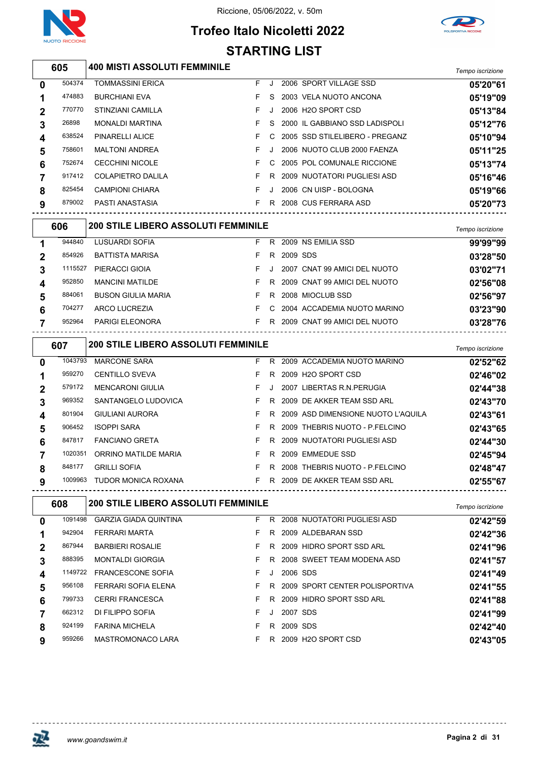



## **Trofeo Italo Nicoletti 2022 STARTING LIST**

|   | 605     | <b>400 MISTI ASSOLUTI FEMMINILE</b>        |    |          |            |                                    |                  |
|---|---------|--------------------------------------------|----|----------|------------|------------------------------------|------------------|
|   |         |                                            |    |          |            |                                    | Tempo iscrizione |
| 0 | 504374  | <b>TOMMASSINI ERICA</b>                    | F  | J        |            | 2006 SPORT VILLAGE SSD             | 05'20"61         |
| 1 | 474883  | <b>BURCHIANI EVA</b>                       | F  | S        |            | 2003 VELA NUOTO ANCONA             | 05'19"09         |
| 2 | 770770  | <b>STINZIANI CAMILLA</b>                   | F  | J        |            | 2006 H2O SPORT CSD                 | 05'13"84         |
| 3 | 26898   | <b>MONALDI MARTINA</b>                     | F  | S        |            | 2000 IL GABBIANO SSD LADISPOLI     | 05'12"76         |
| 4 | 638524  | PINARELLI ALICE                            | F  | C        |            | 2005 SSD STILELIBERO - PREGANZ     | 05'10"94         |
| 5 | 758601  | <b>MALTONI ANDREA</b>                      | F  | J        |            | 2006 NUOTO CLUB 2000 FAENZA        | 05'11"25         |
| 6 | 752674  | <b>CECCHINI NICOLE</b>                     | F  | С        |            | 2005 POL COMUNALE RICCIONE         | 05'13"74         |
| 7 | 917412  | <b>COLAPIETRO DALILA</b>                   | F  | R        |            | 2009 NUOTATORI PUGLIESI ASD        | 05'16"46         |
| 8 | 825454  | <b>CAMPIONI CHIARA</b>                     | F  | J        |            | 2006 CN UISP - BOLOGNA             | 05'19"66         |
| 9 | 879002  | PASTI ANASTASIA                            | F. |          |            | R 2008 CUS FERRARA ASD             | 05'20"73         |
|   | 606     | 200 STILE LIBERO ASSOLUTI FEMMINILE        |    |          |            |                                    | Tempo iscrizione |
| 1 | 944840  | LUSUARDI SOFIA                             | F  | R        |            | 2009 NS EMILIA SSD                 | 99'99"99         |
| 2 | 854926  | <b>BATTISTA MARISA</b>                     | F  | R        | 2009 SDS   |                                    | 03'28"50         |
| 3 | 1115527 | PIERACCI GIOIA                             | F  | Π.       |            | 2007 CNAT 99 AMICI DEL NUOTO       | 03'02"71         |
| 4 | 952850  | <b>MANCINI MATILDE</b>                     | F  | R        |            | 2009 CNAT 99 AMICI DEL NUOTO       | 02'56"08         |
| 5 | 884061  | <b>BUSON GIULIA MARIA</b>                  | F  | R        |            | 2008 MIOCLUB SSD                   | 02'56"97         |
| 6 | 704277  | <b>ARCO LUCREZIA</b>                       | F  | C        |            | 2004 ACCADEMIA NUOTO MARINO        | 03'23"90         |
| 7 | 952964  | PARIGI ELEONORA                            | F. |          |            | R 2009 CNAT 99 AMICI DEL NUOTO     | 03'28"76         |
|   |         |                                            |    |          |            |                                    |                  |
|   | 607     | 200 STILE LIBERO ASSOLUTI FEMMINILE        |    |          |            |                                    | Tempo iscrizione |
| 0 | 1043793 | <b>MARCONE SARA</b>                        | F  | R        |            | 2009 ACCADEMIA NUOTO MARINO        | 02'52"62         |
| 1 | 959270  | <b>CENTILLO SVEVA</b>                      | F  | R        |            | 2009 H2O SPORT CSD                 | 02'46"02         |
| 2 | 579172  | <b>MENCARONI GIULIA</b>                    | F  | <b>.</b> |            | 2007 LIBERTAS R.N. PERUGIA         | 02'44"38         |
| 3 | 969352  | SANTANGELO LUDOVICA                        | F  | R        |            | 2009 DE AKKER TEAM SSD ARL         | 02'43"70         |
| 4 | 801904  | <b>GIULIANI AURORA</b>                     | F  | R        |            | 2009 ASD DIMENSIONE NUOTO L'AQUILA | 02'43"61         |
| 5 | 906452  | <b>ISOPPI SARA</b>                         | F  | R        |            | 2009 THEBRIS NUOTO - P.FELCINO     | 02'43"65         |
| 6 | 847817  | <b>FANCIANO GRETA</b>                      | F  | R        |            | 2009 NUOTATORI PUGLIESI ASD        | 02'44"30         |
| 7 | 1020351 | ORRINO MATILDE MARIA                       | F  | R        |            | 2009 EMMEDUE SSD                   | 02'45"94         |
| 8 | 848177  | <b>GRILLI SOFIA</b>                        |    |          |            | F R 2008 THEBRIS NUOTO - P.FELCINO | 02'48"47         |
| 9 |         | 1009963 TUDOR MONICA ROXANA                |    |          |            | F R 2009 DE AKKER TEAM SSD ARL     | 02'55"67         |
|   | 608     | <b>200 STILE LIBERO ASSOLUTI FEMMINILE</b> |    |          |            |                                    | Tempo iscrizione |
| 0 |         | 1091498 GARZIA GIADA QUINTINA              |    |          |            | F R 2008 NUOTATORI PUGLIESI ASD    | 02'42"59         |
| 1 | 942904  | FERRARI MARTA                              | F. |          |            | R 2009 ALDEBARAN SSD               | 02'42"36         |
| 2 | 867944  | <b>BARBIERI ROSALIE</b>                    | F. |          |            | R 2009 HIDRO SPORT SSD ARL         | 02'41"96         |
| 3 | 888395  | <b>MONTALDI GIORGIA</b>                    | F. |          |            | R 2008 SWEET TEAM MODENA ASD       | 02'41"57         |
| 4 | 1149722 | <b>FRANCESCONE SOFIA</b>                   | F  | J        | 2006 SDS   |                                    | 02'41"49         |
| 5 | 956108  | FERRARI SOFIA ELENA                        | F. |          |            | R 2009 SPORT CENTER POLISPORTIVA   | 02'41"55         |
| 6 | 799733  | <b>CERRI FRANCESCA</b>                     | F. |          |            | R 2009 HIDRO SPORT SSD ARL         | 02'41"88         |
| 7 | 662312  | DI FILIPPO SOFIA                           | F. |          | J 2007 SDS |                                    | 02'41"99         |
| 8 | 924199  | <b>FARINA MICHELA</b>                      | F. |          | R 2009 SDS |                                    | 02'42"40         |
| 9 | 959266  | <b>MASTROMONACO LARA</b>                   |    |          |            | F R 2009 H2O SPORT CSD             | 02'43"05         |

<u>--------------</u>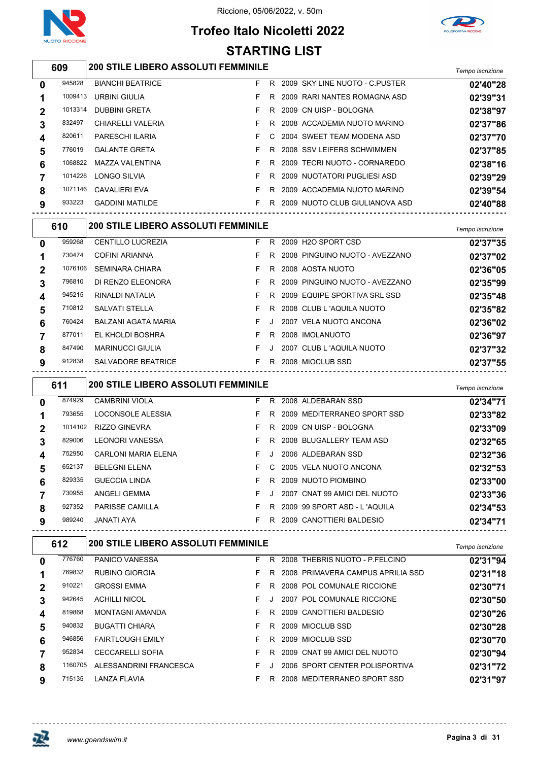

## **Trofeo Italo Nicoletti 2022 STARTING LIST**



## *Tempo iscrizione* **200 STILE LIBERO ASSOLUTI FEMMINILE**

| 0              | 945828  | <b>BIANCHI BEATRICE</b> | F. | R  | 2009 SKY LINE NUOTO - C.PUSTER | 02'40"28 |
|----------------|---------|-------------------------|----|----|--------------------------------|----------|
|                | 1009413 | URBINI GIULIA           |    |    | R 2009 RARI NANTES ROMAGNA ASD | 02'39"31 |
| $\overline{2}$ | 1013314 | <b>DUBBINI GRETA</b>    |    |    | R 2009 CN UISP - BOLOGNA       | 02'38"97 |
| 3              | 832497  | CHIARELLI VALERIA       |    | R. | 2008 ACCADEMIA NUOTO MARINO    | 02'37"86 |
| 4              | 820611  | PARESCHI ILARIA         |    |    | C 2004 SWEET TEAM MODENA ASD   | 02'37"70 |
| 5              | 776019  | <b>GALANTE GRETA</b>    |    | R. | 2008 SSV LEIFERS SCHWIMMEN     | 02'37"85 |
| 6              | 1068822 | MAZZA VALENTINA         |    |    | R 2009 TECRI NUOTO - CORNAREDO | 02'38"16 |
|                | 1014226 | LONGO SILVIA            |    |    | R 2009 NUOTATORI PUGLIESI ASD  | 02'39"29 |
| 8              | 1071146 | <b>CAVALIERI EVA</b>    |    | R  | 2009 ACCADEMIA NUOTO MARINO    | 02'39"54 |
| 9              | 933223  | <b>GADDINI MATILDE</b>  |    | R. | 2009 NUOTO CLUB GIULIANOVA ASD | 02'40"88 |
|                |         |                         |    |    |                                |          |

|             | 610     | <b>200 STILE LIBERO ASSOLUTI FEMMINILE</b> |    |         |                                  | Tempo iscrizione |
|-------------|---------|--------------------------------------------|----|---------|----------------------------------|------------------|
| $\mathbf 0$ | 959268  | <b>CENTILLO LUCREZIA</b>                   | F. | R       | 2009 H2O SPORT CSD               | 02'37"35         |
|             | 730474  | COFINI ARIANNA                             | F. |         | R 2008 PINGUINO NUOTO - AVEZZANO | 02'37"02         |
| $\mathbf 2$ | 1076106 | <b>SEMINARA CHIARA</b>                     | F. | R.      | 2008 AOSTA NUOTO                 | 02'36"05         |
| 3           | 796810  | DI RENZO ELEONORA                          | F. | R.      | 2009 PINGUINO NUOTO - AVEZZANO   | 02'35"99         |
| 4           | 945215  | RINALDI NATALIA                            | F. | R.      | 2009 EQUIPE SPORTIVA SRL SSD     | 02'35"48         |
| 5           | 710812  | <b>SALVATI STELLA</b>                      | F. | R.      | 2008 CLUB L 'AQUILA NUOTO        | 02'35"82         |
| 6           | 760424  | BALZANI AGATA MARIA                        | F. | . J.    | 2007 VELA NUOTO ANCONA           | 02'36"02         |
|             | 877011  | EL KHOLDI BOSHRA                           | F. | R.      | 2008 IMOLANUOTO                  | 02'36"97         |
| 8           | 847490  | <b>MARINUCCI GIULIA</b>                    | F  | $\cdot$ | 2007 CLUB L 'AQUILA NUOTO        | 02'37"32         |
| 9           | 912838  | SALVADORE BEATRICE                         | F. | R.      | 2008 MIOCLUB SSD                 | 02'37"55         |

| 611    |                        |         |    |                                            |    | Tempo iscrizione                                                                                                                                                                                                                                                           |
|--------|------------------------|---------|----|--------------------------------------------|----|----------------------------------------------------------------------------------------------------------------------------------------------------------------------------------------------------------------------------------------------------------------------------|
| 874929 | <b>CAMBRINI VIOLA</b>  | F.      | R. |                                            |    | 02'34"71                                                                                                                                                                                                                                                                   |
| 793655 | LOCONSOLE ALESSIA      | F.      | R. |                                            |    | 02'33"82                                                                                                                                                                                                                                                                   |
|        | RIZZO GINEVRA          | F.      | R. |                                            |    | 02'33"09                                                                                                                                                                                                                                                                   |
| 829006 | LEONORI VANESSA        | F.      |    |                                            |    | 02'32"65                                                                                                                                                                                                                                                                   |
| 752950 | CARLONI MARIA ELENA    | F.      |    |                                            |    | 02'32"36                                                                                                                                                                                                                                                                   |
| 652137 | <b>BELEGNI ELENA</b>   | F.      | C. |                                            |    | 02'32"53                                                                                                                                                                                                                                                                   |
| 829335 | <b>GUECCIA LINDA</b>   | F.      | R. |                                            |    | 02'33"00                                                                                                                                                                                                                                                                   |
| 730955 | ANGELI GEMMA           | F.      |    |                                            |    | 02'33"36                                                                                                                                                                                                                                                                   |
| 927352 | <b>PARISSE CAMILLA</b> | F.      | R  |                                            |    | 02'34"53                                                                                                                                                                                                                                                                   |
| 989240 | JANATI AYA             | F.      | R  |                                            |    | 02'34"71                                                                                                                                                                                                                                                                   |
|        |                        | 1014102 |    | <b>200 STILE LIBERO ASSOLUTI FEMMINILE</b> | R. | 2008 ALDEBARAN SSD<br>2009 MEDITERRANEO SPORT SSD<br>2009 CN UISP - BOLOGNA<br>2008 BLUGALLERY TEAM ASD<br>2006 ALDEBARAN SSD<br>2005 VELA NUOTO ANCONA<br>2009 NUOTO PIOMBINO<br>2007 CNAT 99 AMICI DEL NUOTO<br>2009 99 SPORT ASD - L'AQUILA<br>2009 CANOTTIERI BALDESIO |

| 612         |         |                         | <b>200 STILE LIBERO ASSOLUTI FEMMINILE</b> |    |  |                                   |          |  |  |  |
|-------------|---------|-------------------------|--------------------------------------------|----|--|-----------------------------------|----------|--|--|--|
| $\bf{0}$    | 776760  | <b>PANICO VANESSA</b>   | F.                                         | R  |  | 2008 THEBRIS NUOTO - P FELCINO    | 02'31"94 |  |  |  |
|             | 769832  | <b>RUBINO GIORGIA</b>   | F.                                         | R. |  | 2008 PRIMAVERA CAMPUS APRILIA SSD | 02'31"18 |  |  |  |
| $\mathbf 2$ | 910221  | <b>GROSSI EMMA</b>      | F.                                         | R. |  | 2008 POL COMUNALE RICCIONE        | 02'30"71 |  |  |  |
| 3           | 942645  | <b>ACHILLI NICOL</b>    | F.                                         |    |  | 2007 POL COMUNALE RICCIONE        | 02'30"50 |  |  |  |
| 4           | 819868  | <b>MONTAGNI AMANDA</b>  | F.                                         | R. |  | 2009 CANOTTIERI BALDESIO          | 02'30"26 |  |  |  |
| 5           | 940832  | <b>BUGATTI CHIARA</b>   | F.                                         | R. |  | 2009 MIOCLUB SSD                  | 02'30"28 |  |  |  |
| 6           | 946856  | <b>FAIRTLOUGH EMILY</b> | F.                                         | R. |  | 2009 MIOCLUB SSD                  | 02'30"70 |  |  |  |
|             | 952834  | <b>CECCARELLI SOFIA</b> |                                            | R. |  | 2009 CNAT 99 AMICI DEL NUOTO      | 02'30"94 |  |  |  |
| 8           | 1160705 | ALESSANDRINI FRANCESCA  | F.                                         |    |  | 2006 SPORT CENTER POLISPORTIVA    | 02'31"72 |  |  |  |
| 9           | 715135  | LANZA FLAVIA            |                                            | R  |  | 2008 MEDITERRANEO SPORT SSD       | 02'31"97 |  |  |  |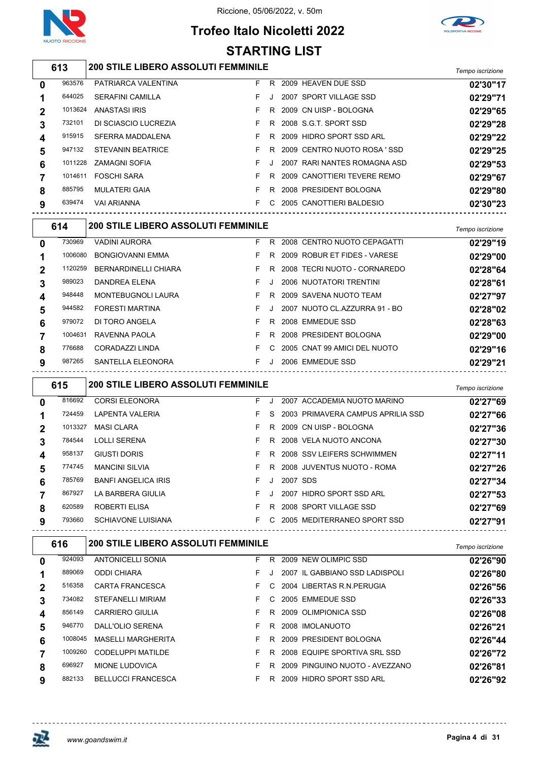

## **Trofeo Italo Nicoletti 2022 STARTING LIST**



## *Tempo iscrizione* **200 STILE LIBERO ASSOLUTI FEMMINILE**

| 0 | 963576  | PATRIARCA VALENTINA      | F. | R  | 2009 HEAVEN DUE SSD          | 02'30"17 |
|---|---------|--------------------------|----|----|------------------------------|----------|
|   | 644025  | <b>SERAFINI CAMILLA</b>  |    |    | 2007 SPORT VILLAGE SSD       | 02'29"71 |
|   | 1013624 | ANASTASI IRIS            |    |    | R 2009 CN UISP - BOLOGNA     | 02'29"65 |
|   | 732101  | DI SCIASCIO LUCREZIA     |    | R. | 2008 S.G.T. SPORT SSD        | 02'29"28 |
| 4 | 915915  | SFERRA MADDALENA         |    | R. | 2009 HIDRO SPORT SSD ARL     | 02'29"22 |
| 5 | 947132  | <b>STEVANIN BEATRICE</b> |    | R  | 2009 CENTRO NUOTO ROSA 'SSD  | 02'29"25 |
| 6 | 1011228 | <b>ZAMAGNI SOFIA</b>     |    |    | 2007 RARI NANTES ROMAGNA ASD | 02'29"53 |
|   | 1014611 | <b>FOSCHI SARA</b>       |    | R  | 2009 CANOTTIERI TEVERE REMO  | 02'29"67 |
| 8 | 885795  | <b>MULATERI GAIA</b>     |    | R  | 2008 PRESIDENT BOLOGNA       | 02'29"80 |
| 9 | 639474  | <b>VAI ARIANNA</b>       |    | C. | 2005 CANOTTIERI BALDESIO     | 02'30"23 |
|   |         |                          |    |    |                              |          |

|             | 614     | <b>200 STILE LIBERO ASSOLUTI FEMMINILE</b> |    |    |                               | Tempo iscrizione |
|-------------|---------|--------------------------------------------|----|----|-------------------------------|------------------|
| $\mathbf 0$ | 730969  | <b>VADINI AURORA</b>                       | F. | R. | 2008 CENTRO NUOTO CEPAGATTI   | 02'29"19         |
|             | 1006080 | <b>BONGIOVANNI EMMA</b>                    | F. | R. | 2009 ROBUR ET FIDES - VARESE  | 02'29"00         |
| 2           | 1120259 | <b>BERNARDINELLI CHIARA</b>                | F. | R. | 2008 TECRI NUOTO - CORNAREDO  | 02'28"64         |
| 3           | 989023  | DANDREA ELENA                              | F. |    | 2006 NUOTATORI TRENTINI       | 02'28"61         |
| 4           | 948448  | <b>MONTEBUGNOLI LAURA</b>                  | F. | R. | 2009 SAVENA NUOTO TEAM        | 02'27"97         |
| 5           | 944582  | <b>FORESTI MARTINA</b>                     | F. |    | 2007 NUOTO CL.AZZURRA 91 - BO | 02'28"02         |
| 6           | 979072  | DI TORO ANGELA                             | F. | R  | 2008 EMMEDUE SSD              | 02'28"63         |
|             | 1004631 | RAVENNA PAOLA                              | F. | R  | 2008 PRESIDENT BOLOGNA        | 02'29"00         |
| 8           | 776688  | CORADAZZI LINDA                            | F. | C. | 2005 CNAT 99 AMICI DEL NUOTO  | 02'29"16         |
| 9           | 987265  | SANTELLA ELEONORA                          | F. |    | 2006 EMMEDUE SSD              | 02'29"21         |

|             | 615     | <b>200 STILE LIBERO ASSOLUTI FEMMINILE</b> |    |         |          |                                   | Tempo iscrizione |
|-------------|---------|--------------------------------------------|----|---------|----------|-----------------------------------|------------------|
| 0           | 816692  | <b>CORSI ELEONORA</b>                      | F  | Л.      |          | 2007 ACCADEMIA NUOTO MARINO       | 02'27"69         |
|             | 724459  | <b>LAPENTA VALERIA</b>                     | F  | S.      |          | 2003 PRIMAVERA CAMPUS APRILIA SSD | 02'27"66         |
| $\mathbf 2$ | 1013327 | <b>MASI CLARA</b>                          | F  | R.      |          | 2009 CN UISP - BOLOGNA            | 02'27"36         |
| 3           | 784544  | <b>LOLLI SERENA</b>                        | F  | R.      |          | 2008 VELA NUOTO ANCONA            | 02'27"30         |
| 4           | 958137  | GIUSTI DORIS                               | F  | R.      |          | 2008 SSV LEIFERS SCHWIMMEN        | 02'27"11         |
| 5           | 774745  | <b>MANCINI SILVIA</b>                      | F  | R.      |          | 2008 JUVENTUS NUOTO - ROMA        | 02'27"26         |
| 6           | 785769  | <b>BANFI ANGELICA IRIS</b>                 | F  | $\cdot$ | 2007 SDS |                                   | 02'27"34         |
|             | 867927  | LA BARBERA GIULIA                          | F  | J       | 2007     | <b>HIDRO SPORT SSD ARL</b>        | 02'27"53         |
| 8           | 620589  | ROBERTI ELISA                              | F  | R.      |          | 2008 SPORT VILLAGE SSD            | 02'27"69         |
| 9           | 793660  | <b>SCHIAVONE LUISIANA</b>                  | F. | C.      |          | 2005 MEDITERRANEO SPORT SSD       | 02'27"91         |

| 616    |                           | Tempo iscrizione   |    |                                            |          |
|--------|---------------------------|--------------------|----|--------------------------------------------|----------|
| 924093 | <b>ANTONICELLI SONIA</b>  | F.                 | R  | 2009 NEW OLIMPIC SSD                       | 02'26"90 |
| 889069 | <b>ODDI CHIARA</b>        | F.                 |    | 2007 IL GABBIANO SSD LADISPOLI             | 02'26"80 |
| 516358 | CARTA FRANCESCA           | F.                 | C. | 2004 LIBERTAS R.N. PERUGIA                 | 02'26"56 |
| 734082 | STEFANELLI MIRIAM         | F.                 | C. | 2005 EMMEDUE SSD                           | 02'26"33 |
| 856149 | CARRIERO GIULIA           | F.                 | R. | 2009 OLIMPIONICA SSD                       | 02'26"08 |
| 946770 | DALL'OLIO SERENA          | F.                 | R  | 2008 IMOLANUOTO                            | 02'26"21 |
|        | <b>MASELLI MARGHERITA</b> | F.                 | R  | 2009 PRESIDENT BOLOGNA                     | 02'26"44 |
|        | CODELUPPI MATILDE         | F.                 | R. | 2008 EQUIPE SPORTIVA SRL SSD               | 02'26"72 |
| 696927 | MIONE LUDOVICA            | F                  | R  | 2009 PINGUINO NUOTO - AVEZZANO             | 02'26"81 |
| 882133 | <b>BELLUCCI FRANCESCA</b> | F.                 | R  | 2009 HIDRO SPORT SSD ARL                   | 02'26"92 |
|        |                           | 1008045<br>1009260 |    | <b>200 STILE LIBERO ASSOLUTI FEMMINILE</b> |          |

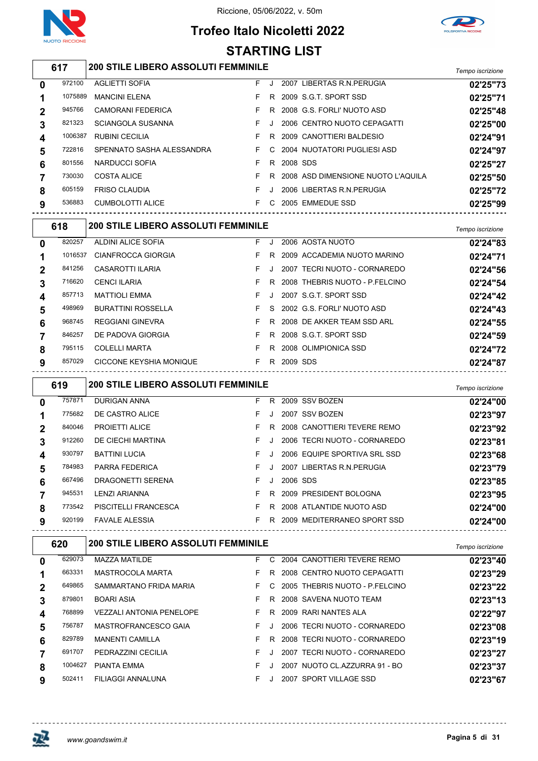

## **Trofeo Italo Nicoletti 2022 STARTING LIST**



## *Tempo iscrizione* **200 STILE LIBERO ASSOLUTI FEMMINILE**

| 0              | 972100  | <b>AGLIETTI SOFIA</b>     | F. |    |          | 2007 LIBERTAS R.N. PERUGIA         | 02'25"73 |
|----------------|---------|---------------------------|----|----|----------|------------------------------------|----------|
|                | 1075889 | <b>MANCINI ELENA</b>      |    |    |          | R 2009 S.G.T. SPORT SSD            | 02'25"71 |
| $\overline{2}$ | 945766  | <b>CAMORANI FEDERICA</b>  |    | R. |          | 2008 G.S. FORLI' NUOTO ASD         | 02'25"48 |
| 3              | 821323  | <b>SCIANGOLA SUSANNA</b>  |    |    |          | 2006 CENTRO NUOTO CEPAGATTI        | 02'25"00 |
| 4              | 1006387 | <b>RUBINI CECILIA</b>     |    | R. |          | 2009 CANOTTIERI BALDESIO           | 02'24"91 |
| 5              | 722816  | SPENNATO SASHA ALESSANDRA | F. | C. |          | 2004 NUOTATORI PUGLIESI ASD        | 02'24"97 |
| 6              | 801556  | NARDUCCI SOFIA            | F. | R. | 2008 SDS |                                    | 02'25"27 |
|                | 730030  | <b>COSTA ALICE</b>        |    | R. |          | 2008 ASD DIMENSIONE NUOTO L'AQUILA | 02'25"50 |
| 8              | 605159  | <b>FRISO CLAUDIA</b>      |    |    |          | 2006 LIBERTAS R.N. PERUGIA         | 02'25"72 |
| 9              | 536883  | CUMBOLOTTI ALICE          |    | C. |          | 2005 EMMEDUE SSD                   | 02'25"99 |
|                |         |                           |    |    |          |                                    |          |

|             | 618     | <b>200 STILE LIBERO ASSOLUTI FEMMINILE</b> |    |    |                                | Tempo iscrizione |
|-------------|---------|--------------------------------------------|----|----|--------------------------------|------------------|
| 0           | 820257  | ALDINI ALICE SOFIA                         | F. |    | 2006 AOSTA NUOTO               | 02'24"83         |
|             | 1016537 | CIANFROCCA GIORGIA                         | F. | R. | 2009 ACCADEMIA NUOTO MARINO    | 02'24"71         |
| $\mathbf 2$ | 841256  | CASAROTTI ILARIA                           | F. |    | 2007 TECRI NUOTO - CORNAREDO   | 02'24"56         |
| 3           | 716620  | <b>CENCI ILARIA</b>                        | F. | R. | 2008 THEBRIS NUOTO - P.FELCINO | 02'24"54         |
| 4           | 857713  | <b>MATTIOLI EMMA</b>                       | F. |    | 2007 S.G.T. SPORT SSD          | 02'24"42         |
| 5           | 498969  | <b>BURATTINI ROSSELLA</b>                  | F. |    | S 2002 G.S. FORLI' NUOTO ASD   | 02'24"43         |
| 6           | 968745  | <b>REGGIANI GINEVRA</b>                    | F. | R. | 2008 DE AKKER TEAM SSD ARL     | 02'24"55         |
|             | 846257  | DE PADOVA GIORGIA                          | F. | R. | 2008 S.G.T. SPORT SSD          | 02'24"59         |
| 8           | 795115  | <b>COLELLI MARTA</b>                       | F. | R. | 2008 OLIMPIONICA SSD           | 02'24"72         |
| 9           | 857029  | CICCONE KEYSHIA MONIQUE                    | F. | R. | 2009 SDS                       | 02'24"87         |
|             |         |                                            |    |    |                                |                  |

| 619      |        | <b>200 STILE LIBERO ASSOLUTI FEMMINILE</b> | Tempo iscrizione |    |          |                              |          |
|----------|--------|--------------------------------------------|------------------|----|----------|------------------------------|----------|
| $\bf{0}$ | 757871 | <b>DURIGAN ANNA</b>                        | F.               | R. |          | 2009 SSV BOZEN               | 02'24"00 |
|          | 775682 | DE CASTRO ALICE                            | F.               |    |          | 2007 SSV BOZEN               | 02'23"97 |
|          | 840046 | <b>PROJETTI ALICE</b>                      | F.               | R  |          | 2008 CANOTTIERI TEVERE REMO  | 02'23"92 |
| 3        | 912260 | DE CIECHI MARTINA                          | F.               |    |          | 2006 TECRI NUOTO - CORNAREDO | 02'23"81 |
| 4        | 930797 | <b>BATTINI LUCIA</b>                       | F.               |    |          | 2006 EQUIPE SPORTIVA SRL SSD | 02'23"68 |
| 5        | 784983 | PARRA FEDERICA                             | F.               |    |          | 2007 LIBERTAS R.N. PERUGIA   | 02'23"79 |
| 6        | 667496 | DRAGONETTI SERENA                          | F.               |    | 2006 SDS |                              | 02'23"85 |
|          | 945531 | <b>LENZI ARIANNA</b>                       | F.               | R. |          | 2009 PRESIDENT BOLOGNA       | 02'23"95 |
| 8        | 773542 | <b>PISCITELLI FRANCESCA</b>                | F.               | R  |          | 2008 ATLANTIDE NUOTO ASD     | 02'24"00 |
| 9        | 920199 | <b>FAVALE ALESSIA</b>                      | F.               | R  |          | 2009 MEDITERRANEO SPORT SSD  | 02'24"00 |

| 620      |         | <b>200 STILE LIBERO ASSOLUTI FEMMINILE</b> | Tempo iscrizione |    |                                |          |
|----------|---------|--------------------------------------------|------------------|----|--------------------------------|----------|
| $\bf{0}$ | 629073  | <b>MAZZA MATILDE</b>                       | F.               | C. | 2004 CANOTTIERI TEVERE REMO    | 02'23"40 |
|          | 663331  | MASTROCOLA MARTA                           | F.               | R  | 2008 CENTRO NUOTO CEPAGATTI    | 02'23"29 |
| 2        | 649865  | SAMMARTANO FRIDA MARIA                     | F.               | C. | 2005 THEBRIS NUOTO - P FELCINO | 02'23"22 |
| 3        | 879801  | <b>BOARI ASIA</b>                          |                  | R. | 2008 SAVENA NUOTO TEAM         | 02'23"13 |
| 4        | 768899  | <b>VEZZALI ANTONIA PENELOPE</b>            | F.               | R. | 2009 RARI NANTES ALA           | 02'22"97 |
| 5        | 756787  | MASTROFRANCESCO GAIA                       | F.               |    | 2006 TECRI NUOTO - CORNAREDO   | 02'23"08 |
| 6        | 829789  | <b>MANENTI CAMILLA</b>                     | F.               | R  | 2008 TECRI NUOTO - CORNAREDO   | 02'23"19 |
|          | 691707  | PEDRAZZINI CECILIA                         | F.               |    | 2007 TECRI NUOTO - CORNAREDO   | 02'23"27 |
| 8        | 1004627 | <b>PIANTA EMMA</b>                         | F                |    | 2007 NUOTO CL.AZZURRA 91 - BO  | 02'23"37 |
| 9        | 502411  | FILIAGGI ANNALUNA                          | F.               |    | 2007 SPORT VILLAGE SSD         | 02'23"67 |

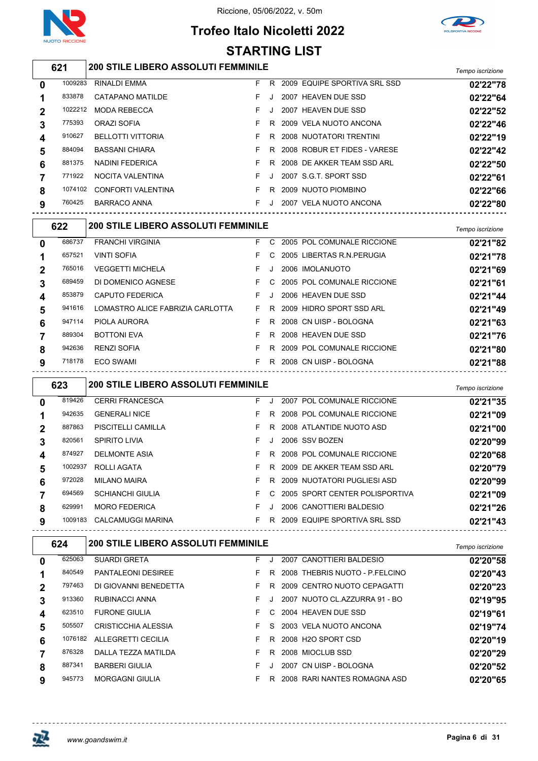

## **Trofeo Italo Nicoletti 2022 STARTING LIST**



## *Tempo iscrizione* **200 STILE LIBERO ASSOLUTI FEMMINILE**

|             |         |                          |    |         |                              | 1.91119910011210110 |
|-------------|---------|--------------------------|----|---------|------------------------------|---------------------|
| $\mathbf 0$ | 1009283 | RINALDI EMMA             | F. | R       | 2009 EQUIPE SPORTIVA SRL SSD | 02'22"78            |
| 1           | 833878  | CATAPANO MATILDE         | F. | J.      | 2007 HEAVEN DUE SSD          | 02'22"64            |
| $\mathbf 2$ | 1022212 | MODA REBECCA             | F. | $\cdot$ | 2007 HEAVEN DUE SSD          | 02'22"52            |
| 3           | 775393  | ORAZI SOFIA              |    | R.      | 2009 VELA NUOTO ANCONA       | 02'22"46            |
| 4           | 910627  | <b>BELLOTTI VITTORIA</b> |    | R       | 2008 NUOTATORI TRENTINI      | 02'22"19            |
| 5           | 884094  | <b>BASSANI CHIARA</b>    |    | R       | 2008 ROBUR ET FIDES - VARESE | 02'22"42            |
| 6           | 881375  | NADINI FEDERICA          |    | R       | 2008 DE AKKER TEAM SSD ARL   | 02'22"50            |
|             | 771922  | NOCITA VALENTINA         | F. | $\cdot$ | 2007 S.G.T. SPORT SSD        | 02'22"61            |
| 8           | 1074102 | CONFORTI VALENTINA       |    | R       | 2009 NUOTO PIOMBINO          | 02'22"66            |
| 9           | 760425  | BARRACO ANNA             | F. | J       | 2007 VELA NUOTO ANCONA       | 02'22"80            |

|                  | 622    | <b>200 STILE LIBERO ASSOLUTI FEMMINILE</b> |    |    |                              |          |  |  |  |
|------------------|--------|--------------------------------------------|----|----|------------------------------|----------|--|--|--|
| $\bf{0}$         | 686737 | <b>FRANCHI VIRGINIA</b>                    | F. | C. | 2005 POL COMUNALE RICCIONE   | 02'21"82 |  |  |  |
|                  | 657521 | <b>VINTI SOFIA</b>                         | F. | C. | 2005 LIBERTAS R.N. PERUGIA   | 02'21"78 |  |  |  |
| 2                | 765016 | <b>VEGGETTI MICHELA</b>                    | F. |    | 2006 IMOLANUOTO              | 02'21"69 |  |  |  |
| 3                | 689459 | DI DOMENICO AGNESE                         | F. |    | C 2005 POL COMUNALE RICCIONE | 02'21"61 |  |  |  |
| $\boldsymbol{4}$ | 853879 | <b>CAPUTO FEDERICA</b>                     | F. |    | 2006 HEAVEN DUE SSD          | 02'21"44 |  |  |  |
| 5                | 941616 | LOMASTRO ALICE FABRIZIA CARLOTTA           | F. | R. | 2009 HIDRO SPORT SSD ARL     | 02'21"49 |  |  |  |
| 6                | 947114 | PIOLA AURORA                               | F. | R  | 2008 CN UISP - BOLOGNA       | 02'21"63 |  |  |  |
|                  | 889304 | <b>BOTTONI EVA</b>                         | F. | R  | 2008 HEAVEN DUE SSD          | 02'21"76 |  |  |  |
| 8                | 942636 | <b>RENZI SOFIA</b>                         | F. | R. | 2009 POL COMUNALE RICCIONE   | 02'21"80 |  |  |  |
| 9                | 718178 | ECO SWAMI                                  | F. | R  | 2008 CN UISP - BOLOGNA       | 02'21"88 |  |  |  |

|   | 623     | <b>200 STILE LIBERO ASSOLUTI FEMMINILE</b> | Tempo iscrizione               |                                            |
|---|---------|--------------------------------------------|--------------------------------|--------------------------------------------|
| 0 | 819426  | <b>CERRI FRANCESCA</b>                     | F.                             | 2007 POL COMUNALE RICCIONE<br>02'21"35     |
|   | 942635  | <b>GENERALI NICE</b>                       | F.<br>R.                       | 2008 POL COMUNALE RICCIONE<br>02'21"09     |
| 2 | 887863  | PISCITELLI CAMILLA                         | F.<br>R.                       | 2008 ATLANTIDE NUOTO ASD<br>02'21"00       |
| 3 | 820561  | <b>SPIRITO LIVIA</b>                       | 2006 SSV BOZEN<br>F.           | 02'20"99                                   |
| 4 | 874927  | <b>DELMONTE ASIA</b>                       | F.<br>R.                       | 2008 POL COMUNALE RICCIONE<br>02'20"68     |
| 5 | 1002937 | ROLLI AGATA                                | F.<br>R.                       | 2009 DE AKKER TEAM SSD ARL<br>02'20"79     |
| 6 | 972028  | <b>MILANO MAIRA</b>                        | F.<br>R                        | 2009 NUOTATORI PUGLIESI ASD<br>02'20"99    |
|   | 694569  | <b>SCHIANCHI GIULIA</b>                    | F.<br>C.                       | 2005 SPORT CENTER POLISPORTIVA<br>02'21"09 |
| 8 | 629991  | <b>MORO FEDERICA</b>                       | F.<br>2006 CANOTTIERI BALDESIO | 02'21"26                                   |
| 9 | 1009183 | CALCAMUGGI MARINA                          | F.<br>R                        | 2009 EQUIPE SPORTIVA SRL SSD<br>02'21"43   |
|   |         |                                            |                                |                                            |

|             | 624     | <b>200 STILE LIBERO ASSOLUTI FEMMINILE</b> | Tempo iscrizione |    |      |                                |          |
|-------------|---------|--------------------------------------------|------------------|----|------|--------------------------------|----------|
| $\bf{0}$    | 625063  | <b>SUARDI GRETA</b>                        | F.               |    |      | 2007 CANOTTIERI BALDESIO       | 02'20"58 |
|             | 840549  | <b>PANTALEONI DESIREE</b>                  | F.               | R. |      | 2008 THEBRIS NUOTO - P FELCINO | 02'20"43 |
| $\mathbf 2$ | 797463  | DI GIOVANNI BENEDETTA                      | F.               | R. |      | 2009 CENTRO NUOTO CEPAGATTI    | 02'20"23 |
| 3           | 913360  | RUBINACCI ANNA                             | F.               |    |      | 2007 NUOTO CL.AZZURRA 91 - BO  | 02'19"95 |
| 4           | 623510  | <b>FURONE GIULIA</b>                       | F.               | C. |      | 2004 HEAVEN DUE SSD            | 02'19"61 |
| 5           | 505507  | <b>CRISTICCHIA ALESSIA</b>                 | F.               | S. |      | 2003 VELA NUOTO ANCONA         | 02'19"74 |
| 6           | 1076182 | ALLEGRETTI CECILIA                         | F.               | R. |      | 2008 H2O SPORT CSD             | 02'20"19 |
|             | 876328  | DALLA TEZZA MATILDA                        | F.               | R. |      | 2008 MIOCLUB SSD               | 02'20"29 |
| 8           | 887341  | <b>BARBERI GIULIA</b>                      | F                |    | 2007 | CN UISP - BOLOGNA              | 02'20"52 |
| 9           | 945773  | <b>MORGAGNI GIULIA</b>                     | F.               | R  |      | 2008 RARI NANTES ROMAGNA ASD   | 02'20"65 |

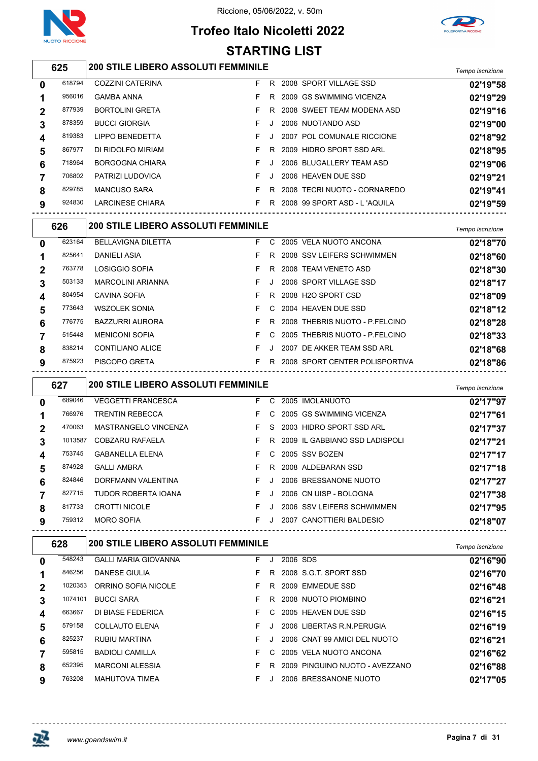

## **Trofeo Italo Nicoletti 2022 STARTING LIST**



## *Tempo iscrizione* **200 STILE LIBERO ASSOLUTI FEMMINILE**

| $\bf{0}$    | 618794 | COZZINI CATERINA        | F. | R       | 2008 SPORT VILLAGE SSD       | 02'19"58 |
|-------------|--------|-------------------------|----|---------|------------------------------|----------|
|             | 956016 | <b>GAMBA ANNA</b>       |    | R       | 2009 GS SWIMMING VICENZA     | 02'19"29 |
| $\mathbf 2$ | 877939 | <b>BORTOLINI GRETA</b>  |    | R       | 2008 SWEET TEAM MODENA ASD   | 02'19"16 |
| 3           | 878359 | <b>BUCCI GIORGIA</b>    | F. | J.      | 2006 NUOTANDO ASD            | 02'19"00 |
| 4           | 819383 | <b>LIPPO BENEDETTA</b>  | F. | $\cdot$ | 2007 POL COMUNALE RICCIONE   | 02'18"92 |
| 5           | 867977 | DI RIDOLFO MIRIAM       |    | R       | 2009 HIDRO SPORT SSD ARL     | 02'18"95 |
| 6           | 718964 | <b>BORGOGNA CHIARA</b>  | F. | J.      | 2006 BLUGALLERY TEAM ASD     | 02'19"06 |
|             | 706802 | PATRIZI LUDOVICA        |    | J       | 2006 HEAVEN DUE SSD          | 02'19"21 |
| 8           | 829785 | <b>MANCUSO SARA</b>     |    | R       | 2008 TECRI NUOTO - CORNAREDO | 02'19"41 |
| 9           | 924830 | <b>LARCINESE CHIARA</b> | F. | R       | 2008 99 SPORT ASD - L'AQUILA | 02'19"59 |
|             |        |                         |    |         |                              |          |

|             | 626    |                           | <b>200 STILE LIBERO ASSOLUTI FEMMINILE</b> |    |  |                                |          |  |  |  |
|-------------|--------|---------------------------|--------------------------------------------|----|--|--------------------------------|----------|--|--|--|
| 0           | 623164 | <b>BELLAVIGNA DILETTA</b> | F.                                         | C. |  | 2005 VELA NUOTO ANCONA         | 02'18"70 |  |  |  |
|             | 825641 | DANIELI ASIA              | F.                                         | R. |  | 2008 SSV LEIFERS SCHWIMMEN     | 02'18"60 |  |  |  |
| $\mathbf 2$ | 763778 | LOSIGGIO SOFIA            | F.                                         | R  |  | 2008 TEAM VENETO ASD           | 02'18"30 |  |  |  |
| 3           | 503133 | <b>MARCOLINI ARIANNA</b>  | F.                                         |    |  | 2006 SPORT VILLAGE SSD         | 02'18"17 |  |  |  |
| 4           | 804954 | CAVINA SOFIA              | F.                                         | R. |  | 2008 H2O SPORT CSD             | 02'18"09 |  |  |  |
| 5           | 773643 | <b>WSZOLEK SONIA</b>      | F.                                         |    |  | C 2004 HEAVEN DUE SSD          | 02'18"12 |  |  |  |
| 6           | 776775 | <b>BAZZURRI AURORA</b>    | F.                                         | R  |  | 2008 THEBRIS NUOTO - P FELCINO | 02'18"28 |  |  |  |
|             | 515448 | <b>MENICONI SOFIA</b>     | F.                                         | C. |  | 2005 THEBRIS NUOTO - P FELCINO | 02'18"33 |  |  |  |
| 8           | 838214 | <b>CONTILIANO ALICE</b>   | F.                                         |    |  | 2007 DE AKKER TEAM SSD ARL     | 02'18"68 |  |  |  |
| 9           | 875923 | <b>PISCOPO GRETA</b>      | F.                                         | R. |  | 2008 SPORT CENTER POLISPORTIVA | 02'18"86 |  |  |  |

|              | 627     | <b>200 STILE LIBERO ASSOLUTI FEMMINILE</b> |    |           |                                | Tempo iscrizione |
|--------------|---------|--------------------------------------------|----|-----------|--------------------------------|------------------|
| $\mathbf{0}$ | 689046  | <b>VEGGETTI FRANCESCA</b>                  | F. | C.        | 2005 IMOLANUOTO                | 02'17"97         |
|              | 766976  | <b>TRENTIN REBECCA</b>                     | F. | C.        | 2005 GS SWIMMING VICENZA       | 02'17"61         |
| $\mathbf 2$  | 470063  | MASTRANGELO VINCENZA                       | F. |           | S 2003 HIDRO SPORT SSD ARL     | 02'17"37         |
| 3            | 1013587 | COBZARU RAFAELA                            | F. | R         | 2009 IL GABBIANO SSD LADISPOLI | 02'17"21         |
| 4            | 753745  | <b>GABANELLA ELENA</b>                     | F. |           | C 2005 SSV BOZEN               | 02'17"17         |
| 5            | 874928  | <b>GALLI AMBRA</b>                         | F. | R.        | 2008 ALDEBARAN SSD             | 02'17"18         |
| 6            | 824846  | DORFMANN VALENTINA                         | F. | $\cdot$   | 2006 BRESSANONE NUOTO          | 02'17"27         |
|              | 827715  | TUDOR ROBERTA IOANA                        | F. | $\cdot$ . | 2006 CN UISP - BOLOGNA         | 02'17"38         |
| 8            | 817733  | <b>CROTTI NICOLE</b>                       | F. | J         | 2006 SSV LEIFERS SCHWIMMEN     | 02'17"95         |
| 9            | 759312  | <b>MORO SOFIA</b>                          | F. | $\cdot$   | 2007 CANOTTIERI BALDESIO       | 02'18"07         |

|             | 628     | <b>200 STILE LIBERO ASSOLUTI FEMMINILE</b> | Tempo iscrizione |         |                                |          |
|-------------|---------|--------------------------------------------|------------------|---------|--------------------------------|----------|
| $\mathbf 0$ | 548243  | <b>GALLI MARIA GIOVANNA</b>                | F.               | J       | 2006 SDS                       | 02'16"90 |
|             | 846256  | DANESE GIULIA                              |                  |         | R 2008 S.G.T. SPORT SSD        | 02'16"70 |
| 2           | 1020353 | ORRINO SOFIA NICOLE                        |                  | R       | 2009 EMMEDUE SSD               | 02'16"48 |
| 3           | 1074101 | <b>BUCCI SARA</b>                          |                  | R       | 2008 NUOTO PIOMBINO            | 02'16"21 |
| 4           | 663667  | DI BIASE FEDERICA                          |                  | C.      | 2005 HEAVEN DUE SSD            | 02'16"15 |
| 5           | 579158  | <b>COLLAUTO ELENA</b>                      |                  |         | 2006 LIBERTAS R.N. PERUGIA     | 02'16"19 |
| 6           | 825237  | <b>RUBIU MARTINA</b>                       | F.               | $\cdot$ | 2006 CNAT 99 AMICI DEL NUOTO   | 02'16"21 |
|             | 595815  | <b>BADIOLI CAMILLA</b>                     |                  | C.      | 2005 VELA NUOTO ANCONA         | 02'16"62 |
| 8           | 652395  | <b>MARCONI ALESSIA</b>                     |                  | R.      | 2009 PINGUINO NUOTO - AVEZZANO | 02'16"88 |
| 9           | 763208  | <b>MAHUTOVA TIMEA</b>                      |                  |         | 2006 BRESSANONE NUOTO          | 02'17"05 |

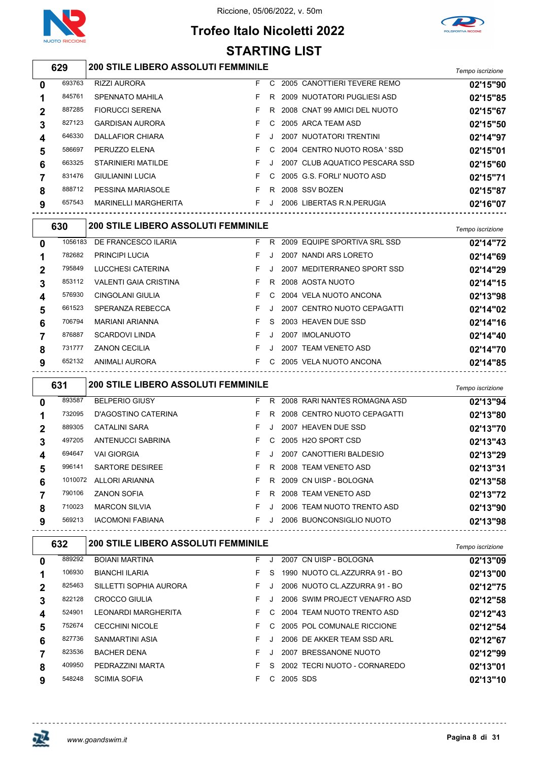

## **Trofeo Italo Nicoletti 2022 STARTING LIST**



## *Tempo iscrizione* **200 STILE LIBERO ASSOLUTI FEMMINILE**

| $\bf{0}$    | 693763 | <b>RIZZI AURORA</b>         | F. | C. | 2005 CANOTTIERI TEVERE REMO    | 02'15"90 |
|-------------|--------|-----------------------------|----|----|--------------------------------|----------|
|             | 845761 | <b>SPENNATO MAHILA</b>      |    | R. | 2009 NUOTATORI PUGLIESI ASD    | 02'15"85 |
| $\mathbf 2$ | 887285 | <b>FIORUCCI SERENA</b>      |    | R. | 2008 CNAT 99 AMICI DEL NUOTO   | 02'15"67 |
| 3           | 827123 | <b>GARDISAN AURORA</b>      |    | C. | 2005 ARCA TEAM ASD             | 02'15"50 |
| 4           | 646330 | DALLAFIOR CHIARA            |    |    | 2007 NUOTATORI TRENTINI        | 02'14"97 |
| 5           | 586697 | PERUZZO ELENA               |    |    | C 2004 CENTRO NUOTO ROSA 'SSD  | 02'15"01 |
| 6           | 663325 | STARINIERI MATILDE          |    | J  | 2007 CLUB AQUATICO PESCARA SSD | 02'15"60 |
|             | 831476 | <b>GIULIANINI LUCIA</b>     |    |    | C 2005 G.S. FORLI' NUOTO ASD   | 02'15"71 |
| 8           | 888712 | PESSINA MARIASOLE           |    | R  | 2008 SSV BOZEN                 | 02'15"87 |
| 9           | 657543 | <b>MARINELLI MARGHERITA</b> |    |    | 2006 LIBERTAS R.N. PERUGIA     | 02'16"07 |
|             |        |                             |    |    |                                |          |

|          | 630     | <b>200 STILE LIBERO ASSOLUTI FEMMINILE</b> |    |         |                              | Tempo iscrizione |
|----------|---------|--------------------------------------------|----|---------|------------------------------|------------------|
| $\bf{0}$ | 1056183 | DE FRANCESCO ILARIA                        | F. | R       | 2009 EQUIPE SPORTIVA SRL SSD | 02'14"72         |
|          | 782682  | <b>PRINCIPI LUCIA</b>                      | F  |         | 2007 NANDI ARS LORETO        | 02'14"69         |
|          | 795849  | LUCCHESI CATERINA                          | F  |         | 2007 MEDITERRANEO SPORT SSD  | 02'14"29         |
| 3        | 853112  | <b>VALENTI GAIA CRISTINA</b>               | F  | R.      | 2008 AOSTA NUOTO             | 02'14"15         |
| 4        | 576930  | CINGOLANI GIULIA                           | F. | C.      | 2004 VELA NUOTO ANCONA       | 02'13"98         |
| 5        | 661523  | SPERANZA REBECCA                           | F  | $\cdot$ | 2007 CENTRO NUOTO CEPAGATTI  | 02'14"02         |
| 6        | 706794  | <b>MARIANI ARIANNA</b>                     | F. | S.      | 2003 HEAVEN DUE SSD          | 02'14"16         |
|          | 876887  | <b>SCARDOVI LINDA</b>                      | F. | J       | 2007 IMOLANUOTO              | 02'14"40         |
| 8        | 731777  | <b>ZANON CECILIA</b>                       | F  |         | 2007 TEAM VENETO ASD         | 02'14"70         |
| 9        | 652132  | ANIMALI AURORA                             | F. | C.      | 2005 VELA NUOTO ANCONA       | 02'14"85         |

|          | 631     | <b>200 STILE LIBERO ASSOLUTI FEMMINILE</b> |    |    |                              | Tempo iscrizione |
|----------|---------|--------------------------------------------|----|----|------------------------------|------------------|
| $\bf{0}$ | 893587  | <b>BELPERIO GIUSY</b>                      | F  | R  | 2008 RARI NANTES ROMAGNA ASD | 02'13"94         |
|          | 732095  | D'AGOSTINO CATERINA                        | F. | R. | 2008 CENTRO NUOTO CEPAGATTI  | 02'13"80         |
|          | 889305  | <b>CATALINI SARA</b>                       | F. |    | 2007 HEAVEN DUE SSD          | 02'13"70         |
| 3        | 497205  | ANTENUCCI SABRINA                          | F. | C. | 2005 H2O SPORT CSD           | 02'13"43         |
| 4        | 694647  | <b>VAI GIORGIA</b>                         | F. |    | 2007 CANOTTIERI BALDESIO     | 02'13"29         |
| 5        | 996141  | <b>SARTORE DESIREE</b>                     | F  | R. | 2008 TEAM VENETO ASD         | 02'13"31         |
| 6        | 1010072 | ALLORI ARIANNA                             | F. | R. | 2009 CN UISP - BOLOGNA       | 02'13"58         |
|          | 790106  | <b>ZANON SOFIA</b>                         | F  | R. | 2008 TEAM VENETO ASD         | 02'13"72         |
| 8        | 710023  | <b>MARCON SILVIA</b>                       | F  |    | 2006 TEAM NUOTO TRENTO ASD   | 02'13"90         |
| 9        | 569213  | <b>IACOMONI FABIANA</b>                    | F  |    | 2006 BUONCONSIGLIO NUOTO     | 02'13"98         |

|              | 632    | <b>200 STILE LIBERO ASSOLUTI FEMMINILE</b> |    |    |                                 | Tempo iscrizione |
|--------------|--------|--------------------------------------------|----|----|---------------------------------|------------------|
| 0            | 889292 | <b>BOIANI MARTINA</b>                      | F. |    | 2007 CN UISP - BOLOGNA          | 02'13"09         |
|              | 106930 | <b>BIANCHI ILARIA</b>                      | F. | S. | 1990 NUOTO CL.AZZURRA 91 - BO   | 02'13"00         |
| $\mathbf{2}$ | 825463 | SILLETTI SOPHIA AURORA                     | F. |    | 2006 NUOTO CL.AZZURRA 91 - BO   | 02'12"75         |
| 3            | 822128 | <b>CROCCO GIULIA</b>                       | F. |    | 2006 SWIM PROJECT VENAFRO ASD   | 02'12"58         |
| 4            | 524901 | LEONARDI MARGHERITA                        | F. | C. | 2004 TEAM NUOTO TRENTO ASD      | 02'12"43         |
| 5            | 752674 | <b>CECCHINI NICOLE</b>                     | F. | C. | 2005 POL COMUNALE RICCIONE      | 02'12"54         |
| 6            | 827736 | SANMARTINI ASIA                            | F. |    | 2006 DE AKKER TEAM SSD ARL      | 02'12"67         |
|              | 823536 | <b>BACHER DENA</b>                         | F  |    | <b>BRESSANONE NUOTO</b><br>2007 | 02'12"99         |
| 8            | 409950 | PEDRAZZINI MARTA                           | F  | S. | 2002 TECRI NUOTO - CORNAREDO    | 02'13"01         |
| 9            | 548248 | <b>SCIMIA SOFIA</b>                        | F. | C. | 2005 SDS                        | 02'13"10         |

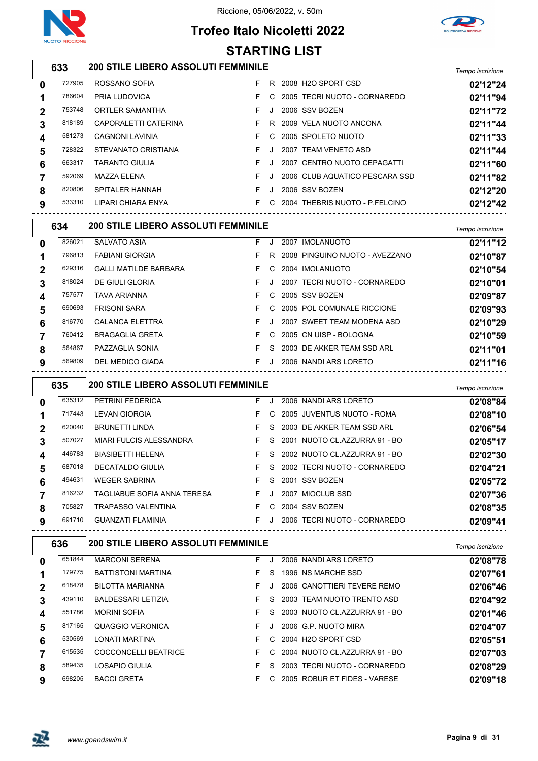

## **Trofeo Italo Nicoletti 2022 STARTING LIST**



## *Tempo iscrizione* **200 STILE LIBERO ASSOLUTI FEMMINILE**

| $\bf{0}$    | 727905 | ROSSANO SOFIA          | F. | R.      | 2008 H2O SPORT CSD             | 02'12"24 |
|-------------|--------|------------------------|----|---------|--------------------------------|----------|
|             | 786604 | PRIA LUDOVICA          |    | C.      | 2005 TECRI NUOTO - CORNAREDO   | 02'11"94 |
| $\mathbf 2$ | 753748 | ORTLER SAMANTHA        |    | J       | 2006 SSV BOZEN                 | 02'11"72 |
| 3           | 818189 | CAPORALETTI CATERINA   |    |         | R 2009 VELA NUOTO ANCONA       | 02'11"44 |
| 4           | 581273 | <b>CAGNONI LAVINIA</b> |    |         | C 2005 SPOLETO NUOTO           | 02'11"33 |
| 5           | 728322 | STEVANATO CRISTIANA    | F. | $\cdot$ | 2007 TEAM VENETO ASD           | 02'11"44 |
| 6           | 663317 | <b>TARANTO GIULIA</b>  |    |         | 2007 CENTRO NUOTO CEPAGATTI    | 02'11"60 |
|             | 592069 | MAZZA ELENA            |    | J.      | 2006 CLUB AQUATICO PESCARA SSD | 02'11"82 |
| 8           | 820806 | SPITALER HANNAH        |    | J.      | 2006 SSV BOZEN                 | 02'12"20 |
| 9           | 533310 | LIPARI CHIARA ENYA     |    | C.      | 2004 THEBRIS NUOTO - P.FELCINO | 02'12"42 |
|             |        |                        |    |         |                                |          |

| Tempo iscrizione |
|------------------|
| 02'11"12         |
| 02'10"87         |
| 02'10"54         |
| 02'10"01         |
| 02'09"87         |
| 02'09"93         |
| 02'10"29         |
| 02'10"59         |
| 02'11"01         |
| 02'11"16         |
|                  |

|          | 635    | <b>200 STILE LIBERO ASSOLUTI FEMMINILE</b> |    |         |                               | Tempo iscrizione |
|----------|--------|--------------------------------------------|----|---------|-------------------------------|------------------|
| $\bf{0}$ | 635312 | <b>PETRINI FEDERICA</b>                    | F  | J       | 2006 NANDI ARS LORETO         | 02'08"84         |
|          | 717443 | <b>LEVAN GIORGIA</b>                       | F. | C.      | 2005 JUVENTUS NUOTO - ROMA    | 02'08"10         |
|          | 620040 | <b>BRUNETTI LINDA</b>                      | F  | S.      | 2003 DE AKKER TEAM SSD ARL    | 02'06"54         |
| 3        | 507027 | MIARI FULCIS ALESSANDRA                    | F  | S.      | 2001 NUOTO CL.AZZURRA 91 - BO | 02'05"17         |
| 4        | 446783 | <b>BIASIBETTI HELENA</b>                   | F. | S.      | 2002 NUOTO CL.AZZURRA 91 - BO | 02'02"30         |
| 5        | 687018 | DECATALDO GIULIA                           | F  | S.      | 2002 TECRI NUOTO - CORNAREDO  | 02'04"21         |
| 6        | 494631 | <b>WEGER SABRINA</b>                       | F  | S.      | 2001 SSV BOZEN                | 02'05"72         |
|          | 816232 | TAGLIABUE SOFIA ANNA TERESA                | F. |         | 2007 MIOCLUB SSD              | 02'07"36         |
| 8        | 705827 | <b>TRAPASSO VALENTINA</b>                  | F  | C.      | 2004 SSV BOZEN                | 02'08"35         |
| 9        | 691710 | <b>GUANZATI FLAMINIA</b>                   | F. | $\cdot$ | 2006 TECRI NUOTO - CORNAREDO  | 02'09"41         |

|              | 636    | <b>200 STILE LIBERO ASSOLUTI FEMMINILE</b> |    |    |                                | Tempo iscrizione |
|--------------|--------|--------------------------------------------|----|----|--------------------------------|------------------|
| $\mathbf{0}$ | 651844 | <b>MARCONI SERENA</b>                      | F. |    | 2006 NANDI ARS LORETO          | 02'08"78         |
|              | 179775 | <b>BATTISTONI MARTINA</b>                  | F. | S. | 1996 NS MARCHE SSD             | 02'07"61         |
| $\mathbf 2$  | 618478 | <b>BILOTTA MARIANNA</b>                    | F. |    | 2006 CANOTTIERI TEVERE REMO    | 02'06"46         |
| 3            | 439110 | <b>BALDESSARI LETIZIA</b>                  | F. | S. | 2003 TEAM NUOTO TRENTO ASD     | 02'04"92         |
| 4            | 551786 | <b>MORINI SOFIA</b>                        | F. | S. | 2003 NUOTO CL.AZZURRA 91 - BO  | 02'01"46         |
| 5            | 817165 | QUAGGIO VERONICA                           | F. |    | 2006 G.P. NUOTO MIRA           | 02'04"07         |
| 6            | 530569 | <b>LONATI MARTINA</b>                      | F. |    | C 2004 H2O SPORT CSD           | 02'05"51         |
|              | 615535 | COCCONCELLI BEATRICE                       | F. |    | C 2004 NUOTO CLAZZURRA 91 - BO | 02'07"03         |
| 8            | 589435 | LOSAPIO GIULIA                             | F. | S. | 2003 TECRI NUOTO - CORNAREDO   | 02'08"29         |
| 9            | 698205 | <b>BACCI GRETA</b>                         | F. | C. | 2005 ROBUR ET FIDES - VARESE   | 02'09"18         |

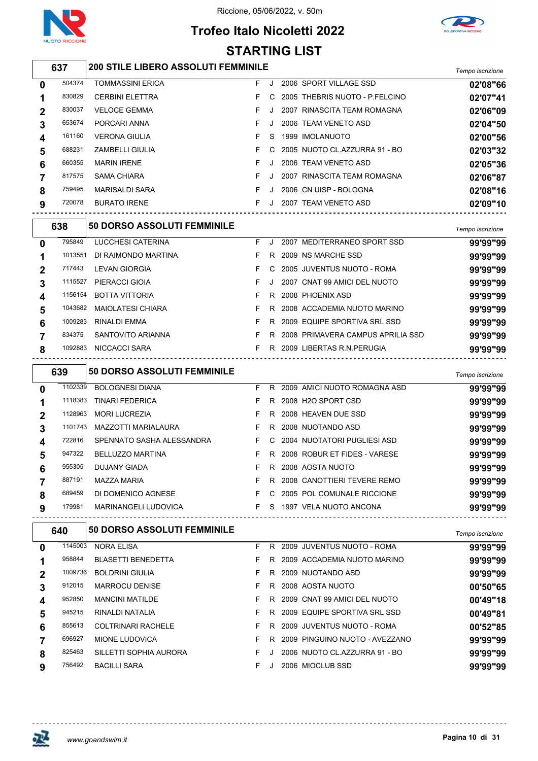

#### Riccione, 05/06/2022, v. 50m



## **Trofeo Italo Nicoletti 2022 STARTING LIST**

#### *Tempo iscrizione* **200 STILE LIBERO ASSOLUTI FEMMINILE** TOMMASSINI ERICA F J 2006 SPORT VILLAGE SSD **02'08"66** 830829 CERBINI ELETTRA **F** C 2005 THEBRIS NUOTO - P.FELCINO **02'07"41**

| 830037 | <b>VELOCE GEMMA</b>   |    | 2007 RINASCITA TEAM ROMAGNA     | 02'06"09 |
|--------|-----------------------|----|---------------------------------|----------|
| 653674 | PORCARI ANNA          |    | 2006 TEAM VENETO ASD            | 02'04"50 |
| 161160 | <b>VERONA GIULIA</b>  | S. | 1999 IMOLANUOTO                 | 02'00"56 |
| 688231 | ZAMBELLI GIULIA       |    | C 2005 NUOTO CL.AZZURRA 91 - BO | 02'03"32 |
| 660355 | <b>MARIN IRENE</b>    |    | 2006 TEAM VENETO ASD            | 02'05"36 |
| 817575 | SAMA CHIARA           |    | 2007 RINASCITA TEAM ROMAGNA     | 02'06"87 |
| 759495 | <b>MARISALDI SARA</b> |    | 2006 CN UISP - BOLOGNA          | 02'08"16 |
| 720078 | <b>BURATO IRENE</b>   |    | 2007 TEAM VENETO ASD            | 02'09"10 |
|        |                       |    |                                 |          |

|             | 638     | 50 DORSO ASSOLUTI FEMMINILE |    |    |                                   | Tempo iscrizione |
|-------------|---------|-----------------------------|----|----|-----------------------------------|------------------|
| 0           | 795849  | LUCCHESI CATERINA           | F. |    | 2007 MEDITERRANEO SPORT SSD       | 99'99"99         |
| 1           | 1013551 | DI RAIMONDO MARTINA         | F  | R. | 2009 NS MARCHE SSD                | 99'99"99         |
| $\mathbf 2$ | 717443  | LEVAN GIORGIA               | F. | C. | 2005 JUVENTUS NUOTO - ROMA        | 99'99"99         |
| 3           | 1115527 | PIERACCI GIOIA              | F. | J  | 2007 CNAT 99 AMICI DEL NUOTO      | 99'99"99         |
| 4           | 1156154 | <b>BOTTA VITTORIA</b>       | F. | R. | 2008 PHOENIX ASD                  | 99'99"99         |
| 5           | 1043682 | MAIOLATESI CHIARA           | F. | R  | 2008 ACCADEMIA NUOTO MARINO       | 99'99"99         |
| 6           | 1009283 | <b>RINALDI EMMA</b>         | F. | R  | 2009 EQUIPE SPORTIVA SRL SSD      | 99'99"99         |
|             | 834375  | SANTOVITO ARIANNA           | F. | R  | 2008 PRIMAVERA CAMPUS APRILIA SSD | 99'99"99         |
| 8           | 1092883 | NICCACCI SARA               | F  | R  | 2009 LIBERTAS R.N. PERUGIA        | 99'99"99         |
|             |         |                             |    |    |                                   |                  |

|   | 639     | <b>50 DORSO ASSOLUTI FEMMINILE</b> |    |    |                                 | Tempo iscrizione |
|---|---------|------------------------------------|----|----|---------------------------------|------------------|
| 0 | 1102339 | <b>BOLOGNESI DIANA</b>             | F. | R. | 2009 AMICI NUOTO ROMAGNA ASD    | 99'99"99         |
|   | 1118383 | <b>TINARI FEDERICA</b>             | F. | R  | 2008 H <sub>2</sub> O SPORT CSD | 99'99"99         |
| 2 | 1128963 | <b>MORI LUCREZIA</b>               | F. | R. | 2008 HEAVEN DUE SSD             | 99'99"99         |
| 3 | 1101743 | MAZZOTTI MARIALAURA                | F. | R. | 2008 NUOTANDO ASD               | 99'99"99         |
| 4 | 722816  | SPENNATO SASHA ALESSANDRA          | F. | C. | 2004 NUOTATORI PUGLIESI ASD     | 99'99"99         |
| 5 | 947322  | <b>BELLUZZO MARTINA</b>            | F. | R  | 2008 ROBUR ET FIDES - VARESE    | 99'99"99         |
| 6 | 955305  | <b>DUJANY GIADA</b>                | F. | R  | 2008 AOSTA NUOTO                | 99'99"99         |
|   | 887191  | <b>MAZZA MARIA</b>                 | F. | R  | 2008 CANOTTIERI TEVERE REMO     | 99'99"99         |
| 8 | 689459  | DI DOMENICO AGNESE                 | F. | C. | 2005 POL COMUNALE RICCIONE      | 99'99"99         |
| 9 | 179981  | <b>MARINANGELI LUDOVICA</b>        | F  | S. | 1997 VELA NUOTO ANCONA          | 99'99"99         |
|   |         |                                    |    |    |                                 |                  |

# *Tempo iscrizione* **50 DORSO ASSOLUTI FEMMINILE**

| 0              | 1145003 | <b>NORA ELISA</b>         | F. | R.  | 2009 JUVENTUS NUOTO - ROMA     | 99'99"99 |
|----------------|---------|---------------------------|----|-----|--------------------------------|----------|
|                | 958844  | <b>BLASETTI BENEDETTA</b> | F. | R   | 2009 ACCADEMIA NUOTO MARINO    | 99'99"99 |
| $\overline{2}$ | 1009736 | <b>BOLDRINI GIULIA</b>    | F. | R.  | 2009 NUOTANDO ASD              | 99'99"99 |
| 3              | 912015  | <b>MARROCU DENISE</b>     |    | R – | 2008 AOSTA NUOTO               | 00'50"65 |
| 4              | 952850  | <b>MANCINI MATILDE</b>    |    |     | R 2009 CNAT 99 AMICI DEL NUOTO | 00'49"18 |
| 5              | 945215  | RINALDI NATALIA           | F. | R.  | 2009 EQUIPE SPORTIVA SRL SSD   | 00'49"81 |
| 6              | 855613  | <b>COLTRINARI RACHELE</b> | F. | R.  | 2009 JUVENTUS NUOTO - ROMA     | 00'52"85 |
|                | 696927  | MIONE LUDOVICA            | F. | - R | 2009 PINGUINO NUOTO - AVEZZANO | 99'99"99 |
| 8              | 825463  | SILLETTI SOPHIA AURORA    | F. |     | 2006 NUOTO CL.AZZURRA 91 - BO  | 99'99"99 |
| 9              | 756492  | <b>BACILLI SARA</b>       |    |     | 2006 MIOCLUB SSD               | 99'99"99 |
|                |         |                           |    |     |                                |          |

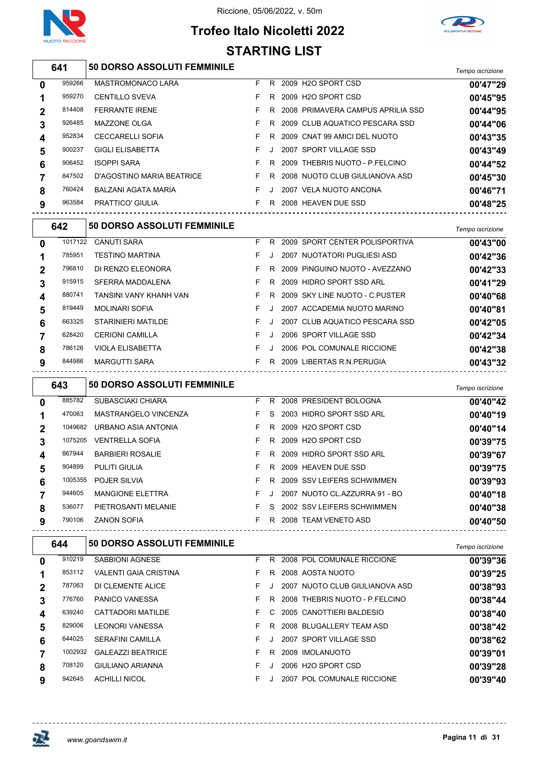





|                |         |                                    |    |              | <b>STARTING LIST</b>                |                  |
|----------------|---------|------------------------------------|----|--------------|-------------------------------------|------------------|
|                | 641     | 50 DORSO ASSOLUTI FEMMINILE        |    |              |                                     | Tempo iscrizione |
| 0              | 959266  | MASTROMONACO LARA                  | F  |              | R 2009 H2O SPORT CSD                | 00'47"29         |
| 1              | 959270  | <b>CENTILLO SVEVA</b>              | F. |              | R 2009 H2O SPORT CSD                | 00'45"95         |
| $\overline{2}$ | 814408  | <b>FERRANTE IRENE</b>              | F. |              | R 2008 PRIMAVERA CAMPUS APRILIA SSD | 00'44"95         |
| 3              | 926485  | MAZZONE OLGA                       | F  |              | R 2009 CLUB AQUATICO PESCARA SSD    | 00'44"06         |
| 4              | 952834  | <b>CECCARELLI SOFIA</b>            | F  |              | R 2009 CNAT 99 AMICI DEL NUOTO      | 00'43"35         |
| 5              | 900237  | <b>GIGLI ELISABETTA</b>            | F. | $\mathbf{J}$ | 2007 SPORT VILLAGE SSD              | 00'43"49         |
| 6              | 906452  | <b>ISOPPI SARA</b>                 | F. |              | R 2009 THEBRIS NUOTO - P.FELCINO    | 00'44"52         |
| 7              | 847502  | D'AGOSTINO MARIA BEATRICE          | F  |              | R 2008 NUOTO CLUB GIULIANOVA ASD    | 00'45"30         |
| 8              | 760424  | <b>BALZANI AGATA MARIA</b>         | F  | J            | 2007 VELA NUOTO ANCONA              | 00'46"71         |
| 9              | 963584  | <b>PRATTICO' GIULIA</b>            |    |              | F R 2008 HEAVEN DUE SSD             | 00'48"25         |
|                | 642     | <b>50 DORSO ASSOLUTI FEMMINILE</b> |    |              |                                     | Tempo iscrizione |
| 0              | 1017122 | <b>CANUTI SARA</b>                 | F. |              | R 2009 SPORT CENTER POLISPORTIVA    | 00'43"00         |
| 1              | 785951  | <b>TESTINO MARTINA</b>             | F. |              | J 2007 NUOTATORI PUGLIESI ASD       | 00'42"36         |
| $\mathbf{2}$   | 796810  | DI RENZO ELEONORA                  | F. |              | R 2009 PINGUINO NUOTO - AVEZZANO    | 00'42"33         |
| 3              | 915915  | <b>SFERRA MADDALENA</b>            | F. |              | R 2009 HIDRO SPORT SSD ARL          | 00'41"29         |
| 4              | 880741  | TANSINI VANY KHANH VAN             | F. |              | R 2009 SKY LINE NUOTO - C PUSTER    | 00'40"68         |
| 5              | 819449  | <b>MOLINARI SOFIA</b>              | F. | $\cdot$      | 2007 ACCADEMIA NUOTO MARINO         | 00'40"81         |
| 6              | 663325  | STARINIERI MATILDE                 | F  | J            | 2007 CLUB AQUATICO PESCARA SSD      | 00'42"05         |
| 7              | 628420  | <b>CERIONI CAMILLA</b>             | F. | J            | 2006 SPORT VILLAGE SSD              | 00'42"34         |
| 8              | 786126  | <b>VIOLA ELISABETTA</b>            | F. | J            | 2006 POL COMUNALE RICCIONE          | 00'42"38         |
| 9              | 844986  | <b>MARGUTTI SARA</b>               |    |              | F R 2009 LIBERTAS R.N.PERUGIA       | 00'43"32         |
|                | 643     | 50 DORSO ASSOLUTI FEMMINILE        |    |              |                                     | Tempo iscrizione |
| 0              | 885782  | SUBASCIAKI CHIARA                  |    |              | F R 2008 PRESIDENT BOLOGNA          | 00'40"42         |

| <b>U</b>     | 000102  | SUDASUIANI UNIARA       |    |    | R ZUUQ PRESIDENI BULUGNA      | <u>00'40''42</u> |
|--------------|---------|-------------------------|----|----|-------------------------------|------------------|
| 1            | 470063  | MASTRANGELO VINCENZA    |    |    | F S 2003 HIDRO SPORT SSD ARL  | 00'40"19         |
| $\mathbf{2}$ | 1049682 | URBANO ASIA ANTONIA     |    |    | F R 2009 H2O SPORT CSD        | 00'40"14         |
| 3            | 1075205 | <b>VENTRELLA SOFIA</b>  | F. | R. | 2009 H2O SPORT CSD            | 00'39"75         |
| 4            | 867944  | <b>BARBIERI ROSALIE</b> | F. | R. | 2009 HIDRO SPORT SSD ARL      | 00'39"67         |
| 5            | 904899  | <b>PULITI GIULIA</b>    |    |    | F R 2009 HEAVEN DUE SSD       | 00'39"75         |
| 6            | 1005355 | <b>POJER SILVIA</b>     | F. |    | R 2009 SSV LEIFERS SCHWIMMEN  | 00'39"93         |
|              | 944605  | <b>MANGIONE ELETTRA</b> | F. | J. | 2007 NUOTO CL.AZZURRA 91 - BO | 00'40"18         |
| 8            | 536077  | PIETROSANTI MELANIE     | F. |    | S 2002 SSV LEIFERS SCHWIMMEN  | 00'40"38         |
| 9            | 790106  | <b>ZANON SOFIA</b>      | F. |    | R 2008 TEAM VENETO ASD        | 00'40"50         |
|              |         |                         |    |    |                               |                  |

|              | 644     | <b>50 DORSO ASSOLUTI FEMMINILE</b> |    |    |                                 | Tempo iscrizione |
|--------------|---------|------------------------------------|----|----|---------------------------------|------------------|
| $\mathbf{0}$ | 910219  | SABBIONI AGNESE                    | F. | R. | 2008 POL COMUNALE RICCIONE      | 00'39"36         |
|              | 853112  | <b>VALENTI GAIA CRISTINA</b>       | F. | R. | 2008 AOSTA NUOTO                | 00'39"25         |
| $\mathbf 2$  | 787063  | DI CLEMENTE ALICE                  | F. |    | 2007 NUOTO CLUB GIULIANOVA ASD  | 00'38"93         |
| 3            | 776760  | <b>PANICO VANESSA</b>              | F. | R. | 2008 THEBRIS NUOTO - P FELCINO  | 00'38"44         |
| 4            | 639240  | CATTADORI MATILDE                  | F. | C. | 2005 CANOTTIERI BALDESIO        | 00'38"40         |
| 5            | 829006  | LEONORI VANESSA                    | F  | R. | 2008 BLUGALLERY TEAM ASD        | 00'38"42         |
| 6            | 644025  | <b>SERAFINI CAMILLA</b>            | F. |    | 2007 SPORT VILLAGE SSD          | 00'38"62         |
|              | 1002932 | <b>GALEAZZI BEATRICE</b>           | F  | R  | 2009 IMOLANUOTO                 | 00'39"01         |
| 8            | 708120  | GIULIANO ARIANNA                   | F  |    | 2006 H <sub>2</sub> O SPORT CSD | 00'39"28         |
| 9            | 942645  | <b>ACHILLI NICOL</b>               | F. |    | 2007 POL COMUNALE RICCIONE      | 00'39"40         |

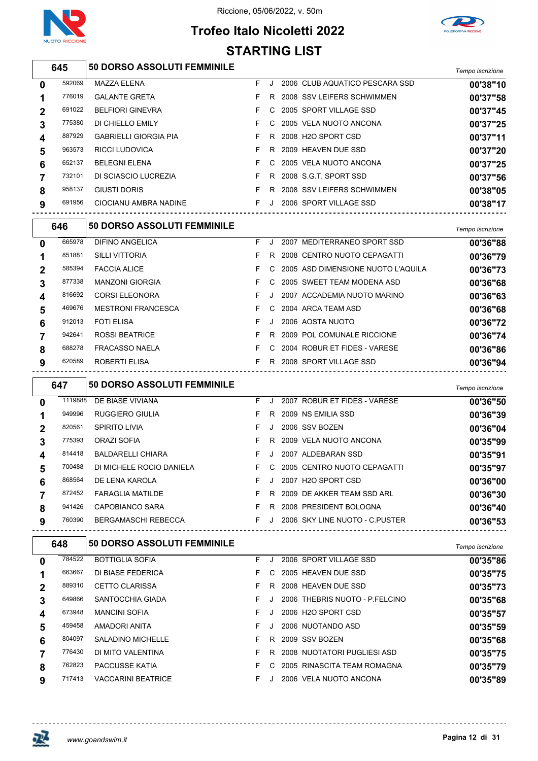





#### *Tempo iscrizione* **50 DORSO ASSOLUTI FEMMINILE** MAZZA ELENA F J 2006 CLUB AQUATICO PESCARA SSD **00'38"10** GALANTE GRETA F R 2008 SSV LEIFERS SCHWIMMEN **00'37"58** BELFIORI GINEVRA F C 2005 SPORT VILLAGE SSD **00'37"45** DI CHIELLO EMILY F C 2005 VELA NUOTO ANCONA **00'37"25** GABRIELLI GIORGIA PIA F R 2008 H2O SPORT CSD **00'37"11** RICCI LUDOVICA F R 2009 HEAVEN DUE SSD **00'37"20** BELEGNI ELENA F C 2005 VELA NUOTO ANCONA **00'37"25** DI SCIASCIO LUCREZIA F R 2008 S.G.T. SPORT SSD **00'37"56** GIUSTI DORIS F R 2008 SSV LEIFERS SCHWIMMEN **00'38"05** CIOCIANU AMBRA NADINE F J 2006 SPORT VILLAGE SSD **00'38"17**

|   | 646    | <b>50 DORSO ASSOLUTI FEMMINILE</b> |    |    |                                      | Tempo iscrizione |
|---|--------|------------------------------------|----|----|--------------------------------------|------------------|
| 0 | 665978 | DIFINO ANGELICA                    | F. |    | MEDITERRANEO SPORT SSD<br>2007       | 00'36"88         |
|   | 851881 | <b>SILLI VITTORIA</b>              | F. | R. | 2008 CENTRO NUOTO CEPAGATTI          | 00'36"79         |
|   | 585394 | <b>FACCIA ALICE</b>                | F. |    | C 2005 ASD DIMENSIONE NUOTO L'AQUILA | 00'36"73         |
| 3 | 877338 | <b>MANZONI GIORGIA</b>             | F. | C. | 2005 SWEET TEAM MODENA ASD           | 00'36"68         |
| 4 | 816692 | <b>CORSI ELEONORA</b>              | F. |    | 2007 ACCADEMIA NUOTO MARINO          | 00'36"63         |
| 5 | 469676 | <b>MESTRONI FRANCESCA</b>          | F. | C. | 2004 ARCA TEAM ASD                   | 00'36"68         |
| 6 | 912013 | <b>FOTI ELISA</b>                  | F. |    | 2006 AOSTA NUOTO                     | 00'36"72         |
|   | 942641 | <b>ROSSI BEATRICE</b>              | F  | R. | 2009 POL COMUNALE RICCIONE           | 00'36"74         |
| 8 | 688278 | <b>FRACASSO NAELA</b>              | F. | C. | 2004 ROBUR ET FIDES - VARESE         | 00'36"86         |
| 9 | 620589 | ROBERTI ELISA                      | F  | R  | 2008 SPORT VILLAGE SSD               | 00'36"94         |

|              | 647     | <b>50 DORSO ASSOLUTI FEMMINILE</b> |    |         |                                | Tempo iscrizione |
|--------------|---------|------------------------------------|----|---------|--------------------------------|------------------|
| 0            | 1119888 | DE BIASE VIVIANA                   | F. | J       | 2007 ROBUR ET FIDES - VARESE   | 00'36"50         |
| 1            | 949996  | <b>RUGGIERO GIULIA</b>             | F  | R       | 2009 NS EMILIA SSD             | 00'36"39         |
| $\mathbf{2}$ | 820561  | <b>SPIRITO LIVIA</b>               | F  | J.      | 2006 SSV BOZEN                 | 00'36"04         |
| 3            | 775393  | ORAZI SOFIA                        | F. | R       | 2009 VELA NUOTO ANCONA         | 00'35"99         |
| 4            | 814418  | <b>BALDARELLI CHIARA</b>           | F. | J.      | 2007 ALDEBARAN SSD             | 00'35"91         |
| 5            | 700488  | DI MICHELE ROCIO DANIELA           | F. | C.      | 2005 CENTRO NUOTO CEPAGATTI    | 00'35"97         |
| 6            | 868564  | DE LENA KAROLA                     | F  | $\cdot$ | 2007 H2O SPORT CSD             | 00'36"00         |
|              | 872452  | <b>FARAGLIA MATILDE</b>            | F. | R       | 2009 DE AKKER TEAM SSD ARL     | 00'36"30         |
| 8            | 941426  | CAPOBIANCO SARA                    | F. | R       | 2008 PRESIDENT BOLOGNA         | 00'36"40         |
| 9            | 760390  | <b>BERGAMASCHI REBECCA</b>         | F  | J.      | 2006 SKY LINE NUOTO - C PUSTER | 00'36"53         |

|   | 648    | 50 DORSO ASSOLUTI FEMMINILE |    |    |                                 | Tempo iscrizione |
|---|--------|-----------------------------|----|----|---------------------------------|------------------|
| 0 | 784522 | <b>BOTTIGLIA SOFIA</b>      | F. |    | 2006 SPORT VILLAGE SSD          | 00'35"86         |
|   | 663667 | DI BIASE FEDERICA           | F. | C. | 2005 HEAVEN DUE SSD             | 00'35"75         |
| 2 | 889310 | <b>CETTO CLARISSA</b>       | F. | R. | 2008 HEAVEN DUE SSD             | 00'35"73         |
| 3 | 649866 | SANTOCCHIA GIADA            | F. |    | 2006 THEBRIS NUOTO - P.FELCINO  | 00'35"68         |
| 4 | 673948 | <b>MANCINI SOFIA</b>        | F. |    | 2006 H <sub>2</sub> O SPORT CSD | 00'35"57         |
| 5 | 459458 | AMADORI ANITA               | F. |    | 2006 NUOTANDO ASD               | 00'35"59         |
| 6 | 804097 | <b>SALADINO MICHELLE</b>    | F  | R. | 2009 SSV BOZEN                  | 00'35"68         |
|   | 776430 | DI MITO VALENTINA           | F. | R. | 2008 NUOTATORI PUGLIESI ASD     | 00'35"75         |
| 8 | 762823 | PACCUSSE KATIA              | F. | C. | 2005 RINASCITA TEAM ROMAGNA     | 00'35"79         |
| 9 | 717413 | <b>VACCARINI BEATRICE</b>   | F. |    | 2006 VELA NUOTO ANCONA          | 00'35"89         |
|   |        |                             |    |    |                                 |                  |

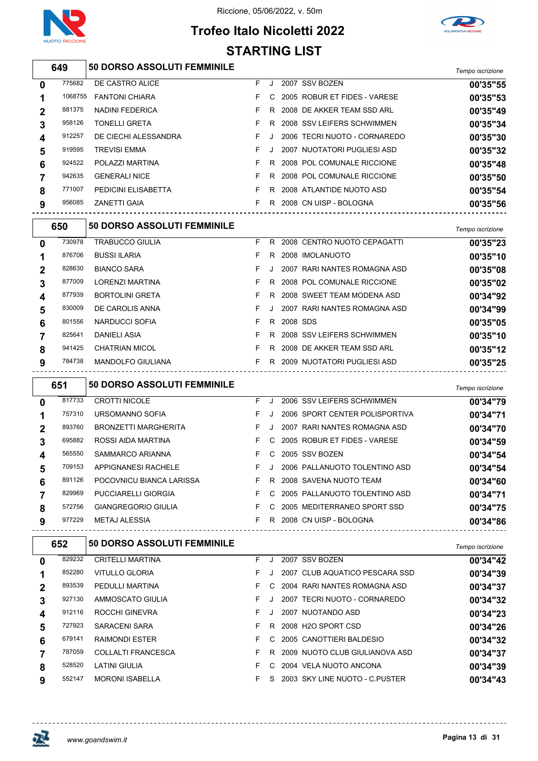

## **Trofeo Italo Nicoletti 2022 STARTING LIST**



|                  | 649     | <b>50 DORSO ASSOLUTI FEMMINILE</b> |    |    |                                | Tempo iscrizione |
|------------------|---------|------------------------------------|----|----|--------------------------------|------------------|
| 0                | 775682  | DE CASTRO ALICE                    | F. | J  | 2007 SSV BOZEN                 | 00'35"55         |
|                  | 1068755 | <b>FANTONI CHIARA</b>              | F. |    | C 2005 ROBUR ET FIDES - VARESE | 00'35"53         |
| $\mathbf{2}$     | 881375  | NADINI FEDERICA                    | F. | R  | 2008 DE AKKER TEAM SSD ARL     | 00'35"49         |
| 3                | 958126  | <b>TONELLI GRETA</b>               | F. | R. | 2008 SSV LEIFERS SCHWIMMEN     | 00'35"34         |
| $\boldsymbol{4}$ | 912257  | DE CIECHI ALESSANDRA               | F. |    | 2006 TECRI NUOTO - CORNAREDO   | 00'35"30         |
| 5                | 919595  | <b>TREVISI EMMA</b>                | F. | J. | 2007 NUOTATORI PUGLIESI ASD    | 00'35"32         |
| 6                | 924522  | POLAZZI MARTINA                    | F. |    | R 2008 POL COMUNALE RICCIONE   | 00'35"48         |
|                  | 942635  | <b>GENERALI NICE</b>               | F. | R  | 2008 POL COMUNALE RICCIONE     | 00'35"50         |
| 8                | 771007  | PEDICINI ELISABETTA                | F. | R. | 2008 ATLANTIDE NUOTO ASD       | 00'35"54         |
| 9                | 956085  | <b>ZANETTI GAIA</b>                | F. | R. | 2008 CN UISP - BOLOGNA         | 00'35"56         |

|             | 650    | <b>50 DORSO ASSOLUTI FEMMINILE</b> |    |    |          |                              | Tempo iscrizione |
|-------------|--------|------------------------------------|----|----|----------|------------------------------|------------------|
| $\mathbf 0$ | 730978 | <b>TRABUCCO GIULIA</b>             | F. | R. |          | 2008 CENTRO NUOTO CEPAGATTI  | 00'35"23         |
|             | 876706 | <b>BUSSI ILARIA</b>                | F. | R  |          | 2008 IMOLANUOTO              | 00'35"10         |
| $\mathbf 2$ | 828630 | <b>BIANCO SARA</b>                 | F. |    |          | 2007 RARI NANTES ROMAGNA ASD | 00'35"08         |
| 3           | 877009 | LORENZI MARTINA                    | F. | R. |          | 2008 POL COMUNALE RICCIONE   | 00'35"02         |
| 4           | 877939 | <b>BORTOLINI GRETA</b>             | F. | R. |          | 2008 SWEET TEAM MODENA ASD   | 00'34"92         |
| 5           | 830009 | DE CAROLIS ANNA                    | F. |    |          | 2007 RARI NANTES ROMAGNA ASD | 00'34"99         |
| 6           | 801556 | NARDUCCI SOFIA                     | F. | R. | 2008 SDS |                              | 00'35"05         |
| 7           | 825641 | DANIELI ASIA                       | F. | R. |          | 2008 SSV LEIFERS SCHWIMMEN   | 00'35"10         |
| 8           | 941425 | <b>CHATRIAN MICOL</b>              | F. | R. |          | 2008 DE AKKER TEAM SSD ARL   | 00'35"12         |
| 9           | 784738 | MANDOLFO GIULIANA                  | F. | R. |          | 2009 NUOTATORI PUGLIESI ASD  | 00'35"25         |

|              | 651    | <b>50 DORSO ASSOLUTI FEMMINILE</b> |    |         |                                | Tempo iscrizione |
|--------------|--------|------------------------------------|----|---------|--------------------------------|------------------|
| 0            | 817733 | <b>CROTTI NICOLE</b>               | F. | J       | 2006 SSV LEIFERS SCHWIMMEN     | 00'34"79         |
|              | 757310 | URSOMANNO SOFIA                    | F. | J.      | 2006 SPORT CENTER POLISPORTIVA | 00'34"71         |
| $\mathbf{2}$ | 893760 | <b>BRONZETTI MARGHERITA</b>        | F. | J.      | 2007 RARI NANTES ROMAGNA ASD   | 00'34"70         |
| 3            | 695882 | ROSSI AIDA MARTINA                 | F. |         | C 2005 ROBUR ET FIDES - VARESE | 00'34"59         |
| 4            | 565550 | SAMMARCO ARIANNA                   | F. | C.      | 2005 SSV BOZEN                 | 00'34"54         |
| 5            | 709153 | <b>APPIGNANESI RACHELE</b>         | F. | $\cdot$ | 2006 PALLANUOTO TOLENTINO ASD  | 00'34"54         |
| 6            | 891126 | POCOVNICU BIANCA LARISSA           |    |         | F R 2008 SAVENA NUOTO TEAM     | 00'34"60         |
|              | 829969 | <b>PUCCIARELLI GIORGIA</b>         | F. | C.      | 2005 PALLANUOTO TOLENTINO ASD  | 00'34"71         |
| 8            | 572756 | <b>GIANGREGORIO GIULIA</b>         | F. | C.      | 2005 MEDITERRANEO SPORT SSD    | 00'34"75         |
| 9            | 977229 | <b>METAJ ALESSIA</b>               | F. |         | R 2008 CN UISP - BOLOGNA       | 00'34"86         |

| 652    | <b>50 DORSO ASSOLUTI FEMMINILE</b> |    |         |    | Tempo iscrizione                                                                                                                                                                                                                                                                      |
|--------|------------------------------------|----|---------|----|---------------------------------------------------------------------------------------------------------------------------------------------------------------------------------------------------------------------------------------------------------------------------------------|
| 829232 | <b>CRITELLI MARTINA</b>            | F. |         |    | 00'34"42                                                                                                                                                                                                                                                                              |
| 852280 | <b>VITULLO GLORIA</b>              | F. | $\cdot$ |    | 00'34"39                                                                                                                                                                                                                                                                              |
| 893539 | PEDULLI MARTINA                    | F. | C.      |    | 00'34"37                                                                                                                                                                                                                                                                              |
| 927130 | AMMOSCATO GIULIA                   | F. | J.      |    | 00'34"32                                                                                                                                                                                                                                                                              |
| 912116 | ROCCHI GINEVRA                     | F. | $\cdot$ |    | 00'34"23                                                                                                                                                                                                                                                                              |
| 727923 | <b>SARACENI SARA</b>               | F. | R.      |    | 00'34"26                                                                                                                                                                                                                                                                              |
| 679141 | <b>RAIMONDI ESTER</b>              | F. | C.      |    | 00'34"32                                                                                                                                                                                                                                                                              |
| 787059 | <b>COLLALTI FRANCESCA</b>          | F. | R.      |    | 00'34"37                                                                                                                                                                                                                                                                              |
| 528520 | LATINI GIULIA                      | F  |         |    | 00'34"39                                                                                                                                                                                                                                                                              |
| 552147 | <b>MORONI ISABELLA</b>             | F. | S.      |    | 00'34"43                                                                                                                                                                                                                                                                              |
|        |                                    |    |         | C. | 2007 SSV BOZEN<br>2007 CLUB AQUATICO PESCARA SSD<br>2004 RARI NANTES ROMAGNA ASD<br>2007 TECRI NUOTO - CORNAREDO<br>2007 NUOTANDO ASD<br>2008 H2O SPORT CSD<br>2005 CANOTTIERI BALDESIO<br>2009 NUOTO CLUB GIULIANOVA ASD<br>2004 VELA NUOTO ANCONA<br>2003 SKY LINE NUOTO - C PUSTER |

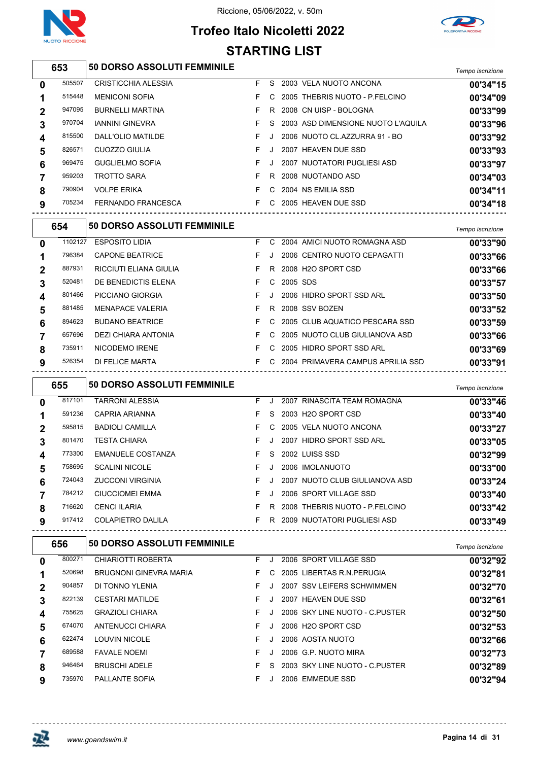



## **Trofeo Italo Nicoletti 2022 STARTING LIST**

| 653 | <b>50 DORSO ASSOLUTI FEMMINILE</b> | Tempo iscrizione |
|-----|------------------------------------|------------------|
|     |                                    |                  |

|        |                            |    |    |  | <b>UNIVATION</b>                                                                                                                                                                                                                                                                  |
|--------|----------------------------|----|----|--|-----------------------------------------------------------------------------------------------------------------------------------------------------------------------------------------------------------------------------------------------------------------------------------|
| 505507 | <b>CRISTICCHIA ALESSIA</b> | F. | S. |  | 00'34"15                                                                                                                                                                                                                                                                          |
| 515448 | <b>MENICONI SOFIA</b>      |    | C. |  | 00'34"09                                                                                                                                                                                                                                                                          |
| 947095 | <b>BURNELLI MARTINA</b>    |    | R. |  | 00'33"99                                                                                                                                                                                                                                                                          |
| 970704 | <b>IANNINI GINEVRA</b>     |    | S. |  | 00'33"96                                                                                                                                                                                                                                                                          |
| 815500 | DALL'OLIO MATILDE          |    |    |  | 00'33"92                                                                                                                                                                                                                                                                          |
| 826571 | CUOZZO GIULIA              |    |    |  | 00'33"93                                                                                                                                                                                                                                                                          |
| 969475 | <b>GUGLIELMO SOFIA</b>     |    | J. |  | 00'33"97                                                                                                                                                                                                                                                                          |
| 959203 | <b>TROTTO SARA</b>         |    | R. |  | 00'34"03                                                                                                                                                                                                                                                                          |
| 790904 | <b>VOLPE ERIKA</b>         |    | C. |  | 00'34"11                                                                                                                                                                                                                                                                          |
| 705234 | FERNANDO FRANCESCA         |    | C. |  | 00'34"18                                                                                                                                                                                                                                                                          |
|        |                            |    |    |  | 2003 VELA NUOTO ANCONA<br>2005 THEBRIS NUOTO - P.FELCINO<br>2008 CN UISP - BOLOGNA<br>2003 ASD DIMENSIONE NUOTO L'AQUILA<br>2006 NUOTO CL.AZZURRA 91 - BO<br>2007 HEAVEN DUE SSD<br>2007 NUOTATORI PUGLIESI ASD<br>2008 NUOTANDO ASD<br>2004 NS EMILIA SSD<br>2005 HEAVEN DUE SSD |

|              | 654     | <b>50 DORSO ASSOLUTI FEMMINILE</b> |    |    |          |                                   | Tempo iscrizione |
|--------------|---------|------------------------------------|----|----|----------|-----------------------------------|------------------|
| $\mathbf{0}$ | 1102127 | <b>ESPOSITO LIDIA</b>              | F. | C. |          | 2004 AMICI NUOTO ROMAGNA ASD      | 00'33"90         |
|              | 796384  | <b>CAPONE BEATRICE</b>             | F. |    |          | 2006 CENTRO NUOTO CEPAGATTI       | 00'33"66         |
| $\mathbf 2$  | 887931  | RICCIUTI ELIANA GIULIA             | F. | R. |          | 2008 H2O SPORT CSD                | 00'33"66         |
| 3            | 520481  | DE BENEDICTIS ELENA                | F. | C. | 2005 SDS |                                   | 00'33"57         |
| 4            | 801466  | PICCIANO GIORGIA                   | F. |    |          | 2006 HIDRO SPORT SSD ARL          | 00'33"50         |
| 5            | 881485  | <b>MENAPACE VALERIA</b>            | F. | R. |          | 2008 SSV BOZEN                    | 00'33"52         |
| 6            | 894623  | <b>BUDANO BEATRICE</b>             | F. |    |          | C 2005 CLUB AQUATICO PESCARA SSD  | 00'33"59         |
|              | 657696  | DEZI CHIARA ANTONIA                | F. | C. |          | 2005 NUOTO CLUB GIULIANOVA ASD    | 00'33"66         |
| 8            | 735911  | NICODEMO IRENE                     | F. | C. |          | 2005 HIDRO SPORT SSD ARL          | 00'33"69         |
| 9            | 526354  | DI FELICE MARTA                    | F. | C. |          | 2004 PRIMAVERA CAMPUS APRILIA SSD | 00'33"91         |
|              |         |                                    |    |    |          |                                   |                  |

|                | 655    | <b>50 DORSO ASSOLUTI FEMMINILE</b> |    |    |                                | Tempo iscrizione |
|----------------|--------|------------------------------------|----|----|--------------------------------|------------------|
| 0              | 817101 | <b>TARRONI ALESSIA</b>             | F. |    | 2007 RINASCITA TEAM ROMAGNA    | 00'33"46         |
|                | 591236 | CAPRIA ARIANNA                     | F  | S. | 2003 H2O SPORT CSD             | 00'33"40         |
| $\overline{2}$ | 595815 | <b>BADIOLI CAMILLA</b>             | F. | C. | 2005 VELA NUOTO ANCONA         | 00'33"27         |
| 3              | 801470 | <b>TESTA CHIARA</b>                | F. |    | 2007 HIDRO SPORT SSD ARL       | 00'33"05         |
| 4              | 773300 | <b>EMANUELE COSTANZA</b>           | F  | S. | 2002 LUISS SSD                 | 00'32"99         |
| 5              | 758695 | <b>SCALINI NICOLE</b>              | F. |    | 2006 IMOLANUOTO                | 00'33"00         |
| 6              | 724043 | <b>ZUCCONI VIRGINIA</b>            | F  |    | 2007 NUOTO CLUB GIULIANOVA ASD | 00'33"24         |
|                | 784212 | <b>CIUCCIOMEI EMMA</b>             | F. |    | 2006 SPORT VILLAGE SSD         | 00'33"40         |
| 8              | 716620 | <b>CENCI ILARIA</b>                | F  | R  | 2008 THEBRIS NUOTO - P.FELCINO | 00'33"42         |
| 9              | 917412 | <b>COLAPIETRO DALILA</b>           | F. | R  | 2009 NUOTATORI PUGLIESI ASD    | 00'33"49         |

| 656    | <b>50 DORSO ASSOLUTI FEMMINILE</b> |    |    |                                 | Tempo iscrizione |
|--------|------------------------------------|----|----|---------------------------------|------------------|
| 800271 | CHIARIOTTI ROBERTA                 | F. |    | 2006 SPORT VILLAGE SSD          | 00'32"92         |
| 520698 | <b>BRUGNONI GINEVRA MARIA</b>      | F. | C. | 2005 LIBERTAS R.N. PERUGIA      | 00'32"81         |
| 904857 | DI TONNO YLENIA                    | F. |    | 2007 SSV LEIFERS SCHWIMMEN      | 00'32"70         |
| 822139 | <b>CESTARI MATILDE</b>             | F. | J  | 2007 HEAVEN DUE SSD             | 00'32"61         |
| 755625 | <b>GRAZIOLI CHIARA</b>             | F. |    | 2006 SKY LINE NUOTO - C PUSTER  | 00'32"50         |
| 674070 | ANTENUCCI CHIARA                   | F. |    | 2006 H <sub>2</sub> O SPORT CSD | 00'32"53         |
| 622474 | <b>LOUVIN NICOLE</b>               | F  |    | 2006 AOSTA NUOTO                | 00'32"66         |
| 689588 | <b>FAVALE NOEMI</b>                | F  |    | 2006 G.P. NUOTO MIRA            | 00'32"73         |
| 946464 | <b>BRUSCHI ADELE</b>               | F  | S. | 2003 SKY LINE NUOTO - C PUSTER  | 00'32"89         |
| 735970 | <b>PALLANTE SOFIA</b>              | F. |    | 2006 EMMEDUE SSD                | 00'32"94         |
|        |                                    |    |    |                                 |                  |

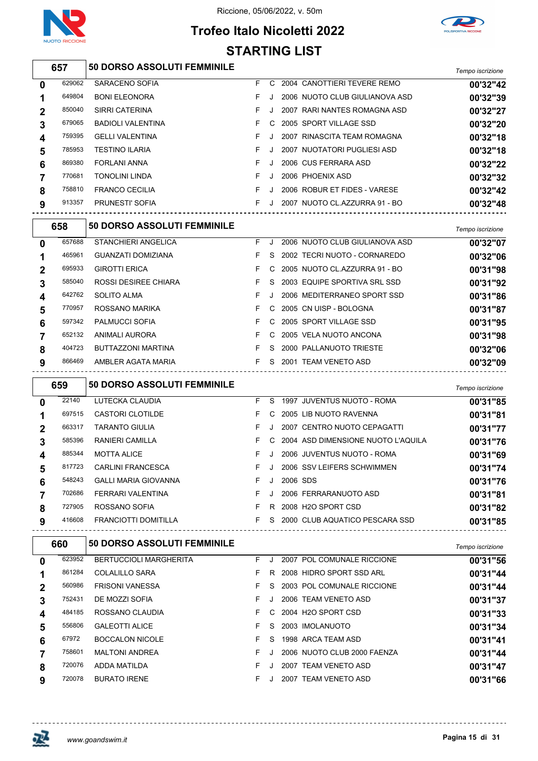



## **Trofeo Italo Nicoletti 2022** STARTING LIST

|                  |        |                                    |    |              | STARTING LIST |                                      |                  |
|------------------|--------|------------------------------------|----|--------------|---------------|--------------------------------------|------------------|
|                  | 657    | 50 DORSO ASSOLUTI FEMMINILE        |    |              |               |                                      | Tempo iscrizione |
| $\boldsymbol{0}$ | 629062 | SARACENO SOFIA                     | F. |              |               | C 2004 CANOTTIERI TEVERE REMO        | 00'32"42         |
| 1                | 649804 | <b>BONI ELEONORA</b>               | F  | J            |               | 2006 NUOTO CLUB GIULIANOVA ASD       | 00'32"39         |
| $\mathbf 2$      | 850040 | <b>SIRRI CATERINA</b>              | F  | J            |               | 2007 RARI NANTES ROMAGNA ASD         | 00'32"27         |
| $\mathbf 3$      | 679065 | <b>BADIOLI VALENTINA</b>           | F  | C            |               | 2005 SPORT VILLAGE SSD               | 00'32"20         |
| 4                | 759395 | <b>GELLI VALENTINA</b>             | F  | J            |               | 2007 RINASCITA TEAM ROMAGNA          | 00'32"18         |
| 5                | 785953 | <b>TESTINO ILARIA</b>              | F  | J            |               | 2007 NUOTATORI PUGLIESI ASD          | 00'32"18         |
| 6                | 869380 | <b>FORLANI ANNA</b>                | F  | J            |               | 2006 CUS FERRARA ASD                 | 00'32"22         |
| 7                | 770681 | <b>TONOLINI LINDA</b>              | F  | J            |               | 2006 PHOENIX ASD                     | 00'32"32         |
| 8                | 758810 | <b>FRANCO CECILIA</b>              | F. | J            |               | 2006 ROBUR ET FIDES - VARESE         | 00'32"42         |
| 9                | 913357 | PRUNESTI' SOFIA                    | F. | J            |               | 2007 NUOTO CL.AZZURRA 91 - BO        | 00'32"48         |
|                  | 658    | <b>50 DORSO ASSOLUTI FEMMINILE</b> |    |              |               |                                      | Tempo iscrizione |
| $\mathbf 0$      | 657688 | <b>STANCHIERI ANGELICA</b>         | F. | J            |               | 2006 NUOTO CLUB GIULIANOVA ASD       | 00'32"07         |
| 1                | 465961 | GUANZATI DOMIZIANA                 | F. | S.           |               | 2002 TECRI NUOTO - CORNAREDO         | 00'32"06         |
| $\boldsymbol{2}$ | 695933 | <b>GIROTTI ERICA</b>               | F  | C            |               | 2005 NUOTO CL.AZZURRA 91 - BO        | 00'31"98         |
| 3                | 585040 | <b>ROSSI DESIREE CHIARA</b>        | F. | S.           |               | 2003 EQUIPE SPORTIVA SRL SSD         | 00'31"92         |
| 4                | 642762 | SOLITO ALMA                        | F  | $\mathbf{J}$ |               | 2006 MEDITERRANEO SPORT SSD          | 00'31"86         |
| 5                | 770957 | ROSSANO MARIKA                     | F  | C            |               | 2005 CN UISP - BOLOGNA               | 00'31"87         |
| 6                | 597342 | PALMUCCI SOFIA                     | F  | C            |               | 2005 SPORT VILLAGE SSD               | 00'31"95         |
| 7                | 652132 | ANIMALI AURORA                     | F  | C            |               | 2005 VELA NUOTO ANCONA               | 00'31"98         |
| 8                | 404723 | BUTTAZZONI MARTINA                 | F. | -S           |               | 2000 PALLANUOTO TRIESTE              | 00'32"06         |
| 9                | 866469 | AMBLER AGATA MARIA                 |    |              |               | F S 2001 TEAM VENETO ASD             | 00'32"09         |
|                  | 659    | <b>50 DORSO ASSOLUTI FEMMINILE</b> |    |              |               |                                      | Tempo iscrizione |
| $\mathbf 0$      | 22140  | LUTECKA CLAUDIA                    | F. |              |               | S 1997 JUVENTUS NUOTO - ROMA         | 00'31"85         |
| 1                | 697515 | CASTORI CLOTILDE                   | F. |              |               | C 2005 LIB NUOTO RAVENNA             | 00'31"81         |
| 2                | 663317 | <b>TARANTO GIULIA</b>              | F  | J            |               | 2007 CENTRO NUOTO CEPAGATTI          | 00'31"77         |
| 3                | 585396 | RANIERI CAMILLA                    | F. |              |               | C 2004 ASD DIMENSIONE NUOTO L'AQUILA | 00'31"76         |
| 4                | 885344 | <b>MOTTA ALICE</b>                 |    | F J          |               | 2006 JUVENTUS NUOTO - ROMA           | 00'31"69         |
| 5                | 817723 | CARLINI FRANCESCA                  | F. |              |               | J 2006 SSV LEIFERS SCHWIMMEN         | 00'31"74         |
| 6                | 548243 | GALLI MARIA GIOVANNA               | F. |              | J 2006 SDS    |                                      | 00'31"76         |
| 7                | 702686 | FERRARI VALENTINA                  |    |              |               | F J 2006 FERRARANUOTO ASD            | 00'31"81         |
| 8                | 727905 | ROSSANO SOFIA                      |    |              |               | F R 2008 H2O SPORT CSD               | 00'31"82         |
| 9                | 416608 | FRANCIOTTI DOMITILLA               |    |              |               | F S 2000 CLUB AQUATICO PESCARA SSD   | 00'31"85         |
|                  | 660    | <b>50 DORSO ASSOLUTI FEMMINILE</b> |    |              |               |                                      | Tempo iscrizione |

|              |        |                               |    |         |                             | . 7.1.0 0.10 0.000 0.000 |
|--------------|--------|-------------------------------|----|---------|-----------------------------|--------------------------|
| 0            | 623952 | <b>BERTUCCIOLI MARGHERITA</b> | F. |         | 2007 POL COMUNALE RICCIONE  | 00'31"56                 |
| 1            | 861284 | COLALILLO SARA                |    | R       | 2008 HIDRO SPORT SSD ARL    | 00'31"44                 |
| $\mathbf{2}$ | 560986 | <b>FRISONI VANESSA</b>        |    | S.      | 2003 POL COMUNALE RICCIONE  | 00'31"44                 |
| 3            | 752431 | DE MOZZI SOFIA                |    | $\cdot$ | 2006 TEAM VENETO ASD        | 00'31"37                 |
| 4            | 484185 | ROSSANO CLAUDIA               |    | C.      | 2004 H2O SPORT CSD          | 00'31"33                 |
| 5            | 556806 | <b>GALEOTTI ALICE</b>         |    | S.      | 2003 IMOLANUOTO             | 00'31"34                 |
| 6            | 67972  | <b>BOCCALON NICOLE</b>        |    | S.      | 1998 ARCA TEAM ASD          | 00'31"41                 |
|              | 758601 | <b>MALTONI ANDREA</b>         |    |         | 2006 NUOTO CLUB 2000 FAENZA | 00'31"44                 |
| 8            | 720076 | ADDA MATILDA                  |    |         | 2007 TEAM VENETO ASD        | 00'31"47                 |
| 9            | 720078 | <b>BURATO IRENE</b>           |    |         | 2007 TEAM VENETO ASD        | 00'31"66                 |
|              |        |                               |    |         |                             |                          |



 $\sim$   $\sim$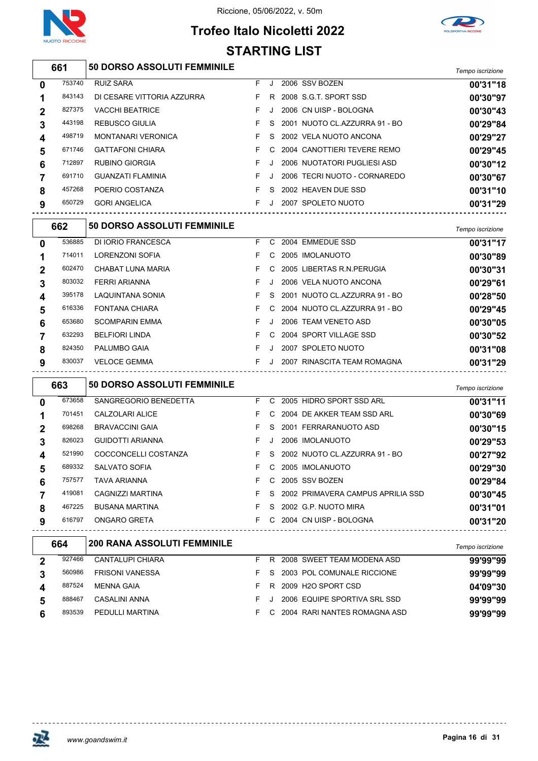

# **Trofeo Italo Nicoletti 2022**

Riccione, 05/06/2022, v. 50m



# **STARTING LIST**

| 661 | <b>50 DORSO ASSOLUTI FEMMINILE</b> | Tempo iscrizione |
|-----|------------------------------------|------------------|
|-----|------------------------------------|------------------|

| 0            | 753740 | <b>RUIZ SARA</b>           | F. |    | 2006 SSV BOZEN                | 00'31"18 |
|--------------|--------|----------------------------|----|----|-------------------------------|----------|
| 1            | 843143 | DI CESARE VITTORIA AZZURRA | F. | R. | 2008 S.G.T. SPORT SSD         | 00'30"97 |
| $\mathbf{2}$ | 827375 | <b>VACCHI BEATRICE</b>     |    |    | 2006 CN UISP - BOLOGNA        | 00'30"43 |
| 3            | 443198 | REBUSCO GIULIA             |    | S. | 2001 NUOTO CL.AZZURRA 91 - BO | 00'29"84 |
| 4            | 498719 | <b>MONTANARI VERONICA</b>  |    | S. | 2002 VELA NUOTO ANCONA        | 00'29"27 |
| 5            | 671746 | <b>GATTAFONI CHIARA</b>    |    | C. | 2004 CANOTTIERI TEVERE REMO   | 00'29"45 |
| 6            | 712897 | <b>RUBINO GIORGIA</b>      |    |    | 2006 NUOTATORI PUGLIESI ASD   | 00'30"12 |
| 7            | 691710 | <b>GUANZATI FLAMINIA</b>   |    |    | 2006 TECRI NUOTO - CORNAREDO  | 00'30"67 |
| 8            | 457268 | POERIO COSTANZA            |    | S. | 2002 HEAVEN DUE SSD           | 00'31"10 |
| 9            | 650729 | <b>GORI ANGELICA</b>       |    |    | 2007 SPOLETO NUOTO            | 00'31"29 |
|              |        |                            |    |    |                               |          |

|             | 662    | <b>50 DORSO ASSOLUTI FEMMINILE</b> |    |    |                               | Tempo iscrizione |
|-------------|--------|------------------------------------|----|----|-------------------------------|------------------|
| $\mathbf 0$ | 536885 | DI IORIO FRANCESCA                 | F. | C. | 2004 EMMEDUE SSD              | 00'31"17         |
|             | 714011 | LORENZONI SOFIA                    | F. | C. | 2005 IMOLANUOTO               | 00'30"89         |
| $\mathbf 2$ | 602470 | CHABAT LUNA MARIA                  | F. | C. | 2005 LIBERTAS R.N. PERUGIA    | 00'30"31         |
| 3           | 803032 | FERRI ARIANNA                      | F. |    | 2006 VELA NUOTO ANCONA        | 00'29"61         |
| 4           | 395178 | LAQUINTANA SONIA                   | F. | S. | 2001 NUOTO CL.AZZURRA 91 - BO | 00'28"50         |
| 5           | 616336 | <b>FONTANA CHIARA</b>              | F. | C. | 2004 NUOTO CL.AZZURRA 91 - BO | 00'29"45         |
| 6           | 653680 | <b>SCOMPARIN EMMA</b>              | F. |    | 2006 TEAM VENETO ASD          | 00'30"05         |
|             | 632293 | <b>BELFIORI LINDA</b>              | F. | C. | 2004 SPORT VILLAGE SSD        | 00'30"52         |
| 8           | 824350 | <b>PALUMBO GAIA</b>                | F  |    | 2007 SPOLETO NUOTO            | 00'31"08         |
| 9           | 830037 | <b>VELOCE GEMMA</b>                | F. |    | 2007 RINASCITA TEAM ROMAGNA   | 00'31"29         |

|                | 663    | <b>50 DORSO ASSOLUTI FEMMINILE</b> |    |    |                                   | Tempo iscrizione |
|----------------|--------|------------------------------------|----|----|-----------------------------------|------------------|
| 0              | 673658 | SANGREGORIO BENEDETTA              | F. | C. | 2005 HIDRO SPORT SSD ARL          | 00'31"11         |
|                | 701451 | CALZOLARI ALICE                    | F. | C. | 2004 DE AKKER TEAM SSD ARL        | 00'30"69         |
| $\overline{2}$ | 698268 | <b>BRAVACCINI GAIA</b>             | F. | S. | 2001 FERRARANUOTO ASD             | 00'30"15         |
| 3              | 826023 | <b>GUIDOTTI ARIANNA</b>            | F. | J. | 2006 IMOLANUOTO                   | 00'29"53         |
| 4              | 521990 | COCCONCELLI COSTANZA               | F. | S. | 2002 NUOTO CL.AZZURRA 91 - BO     | 00'27"92         |
| 5              | 689332 | SALVATO SOFIA                      | F. | C. | 2005 IMOLANUOTO                   | 00'29"30         |
| 6              | 757577 | TAVA ARIANNA                       | F. | C. | 2005 SSV BOZEN                    | 00'29"84         |
|                | 419081 | CAGNIZZI MARTINA                   | F. | S. | 2002 PRIMAVERA CAMPUS APRILIA SSD | 00'30"45         |
| 8              | 467225 | <b>BUSANA MARTINA</b>              | F. | S. | 2002 G.P. NUOTO MIRA              | 00'31"01         |
| 9              | 616797 | ONGARO GRETA                       | F. | C. | 2004 CN UISP - BOLOGNA            | 00'31"20         |

| 664    | 200 RANA ASSOLUTI FEMMINILE |    |    |                              | Tempo iscrizione |
|--------|-----------------------------|----|----|------------------------------|------------------|
| 927466 | <b>CANTALUPI CHIARA</b>     |    | R  | 2008 SWEET TEAM MODENA ASD   | 99'99"99         |
| 560986 | <b>FRISONI VANESSA</b>      |    | S. | 2003 POL COMUNALE RICCIONE   | 99'99"99         |
| 887524 | MENNA GAIA                  |    | R. | 2009 H2O SPORT CSD           | 04'09"30         |
| 888467 | CASALINI ANNA               |    |    | 2006 EQUIPE SPORTIVA SRL SSD | 99'99"99         |
| 893539 | <b>PEDULLI MARTINA</b>      | ь. |    | 2004 RARI NANTES ROMAGNA ASD | 99'99"99         |



<u> - - - - - - - - - - - -</u>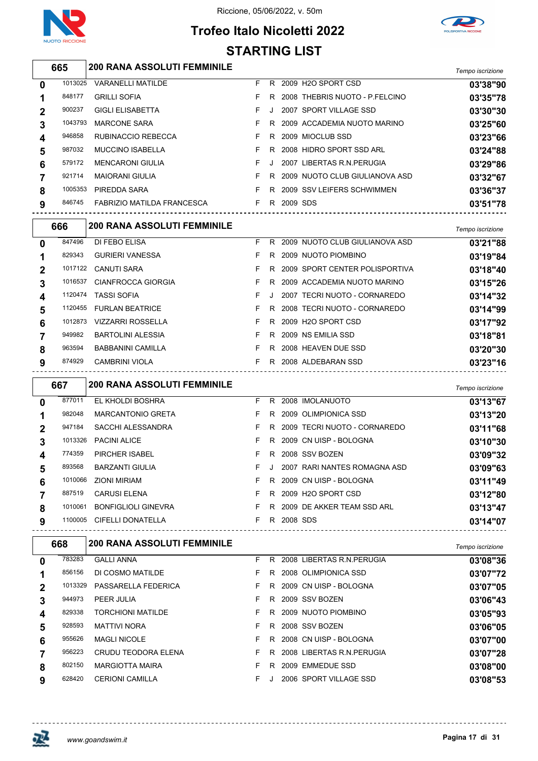

## **Trofeo Italo Nicoletti 2022 STARTING LIST**



## *Tempo iscrizione* **200 RANA ASSOLUTI FEMMINILE**

| 0           | 1013025 | <b>VARANELLI MATILDE</b>          | F. | R. |          | 2009 H <sub>2</sub> O SPORT CSD | 03'38"90 |
|-------------|---------|-----------------------------------|----|----|----------|---------------------------------|----------|
|             | 848177  | <b>GRILLI SOFIA</b>               |    | R. |          | 2008 THEBRIS NUOTO - P.FELCINO  | 03'35"78 |
| $\mathbf 2$ | 900237  | <b>GIGLI ELISABETTA</b>           | F. | л. |          | 2007 SPORT VILLAGE SSD          | 03'30"30 |
| 3           | 1043793 | <b>MARCONE SARA</b>               |    | R. |          | 2009 ACCADEMIA NUOTO MARINO     | 03'25"60 |
| 4           | 946858  | RUBINACCIO REBECCA                |    | R. |          | 2009 MIOCLUB SSD                | 03'23"66 |
| 5           | 987032  | <b>MUCCINO ISABELLA</b>           |    | R  |          | 2008 HIDRO SPORT SSD ARL        | 03'24"88 |
| 6           | 579172  | <b>MENCARONI GIULIA</b>           |    | J. |          | 2007 LIBERTAS R.N. PERUGIA      | 03'29"86 |
|             | 921714  | <b>MAIORANI GIULIA</b>            | F. | R  |          | 2009 NUOTO CLUB GIULIANOVA ASD  | 03'32"67 |
| 8           | 1005353 | PIREDDA SARA                      |    | R. |          | 2009 SSV LEIFERS SCHWIMMEN      | 03'36"37 |
| 9           | 846745  | <b>FABRIZIO MATILDA FRANCESCA</b> |    | R  | 2009 SDS |                                 | 03'51"78 |
|             |         |                                   |    |    |          |                                 |          |

|              | 666     | <b>200 RANA ASSOLUTI FEMMINILE</b> |    |    |                                | Tempo iscrizione |
|--------------|---------|------------------------------------|----|----|--------------------------------|------------------|
| $\mathbf{0}$ | 847496  | DI FEBO ELISA                      | F. | -R | 2009 NUOTO CLUB GIULIANOVA ASD | 03'21"88         |
|              | 829343  | <b>GURIERI VANESSA</b>             | F. | R. | 2009 NUOTO PIOMBINO            | 03'19"84         |
| $\mathbf{2}$ | 1017122 | CANUTI SARA                        | F. | R. | 2009 SPORT CENTER POLISPORTIVA | 03'18"40         |
| 3            | 1016537 | CIANFROCCA GIORGIA                 | F. | R  | 2009 ACCADEMIA NUOTO MARINO    | 03'15"26         |
| 4            | 1120474 | <b>TASSI SOFIA</b>                 | F. |    | 2007 TECRI NUOTO - CORNAREDO   | 03'14"32         |
| 5            | 1120455 | <b>FURLAN BEATRICE</b>             | F. | R. | 2008 TECRI NUOTO - CORNAREDO   | 03'14"99         |
| 6            | 1012873 | VIZZARRI ROSSELLA                  | F. | R. | 2009 H2O SPORT CSD             | 03'17"92         |
|              | 949982  | <b>BARTOLINI ALESSIA</b>           | F. | R. | 2009 NS EMILIA SSD             | 03'18"81         |
| 8            | 963594  | <b>BABBANINI CAMILLA</b>           | F. | R. | 2008 HEAVEN DUE SSD            | 03'20"30         |
| 9            | 874929  | <b>CAMBRINI VIOLA</b>              | F. | R  | 2008 ALDEBARAN SSD             | 03'23"16         |

|   | 667     | <b>200 RANA ASSOLUTI FEMMINILE</b> |    |           |          |                              | Tempo iscrizione |
|---|---------|------------------------------------|----|-----------|----------|------------------------------|------------------|
| 0 | 877011  | EL KHOLDI BOSHRA                   | F. | R.        |          | 2008 IMOLANUOTO              | 03'13"67         |
|   | 982048  | <b>MARCANTONIO GRETA</b>           | F. | R.        |          | 2009 OLIMPIONICA SSD         | 03'13"20         |
| 2 | 947184  | <b>SACCHI ALESSANDRA</b>           | F. | R.        |          | 2009 TECRI NUOTO - CORNAREDO | 03'11"68         |
| 3 | 1013326 | <b>PACINI ALICE</b>                | F. | R.        |          | 2009 CN UISP - BOLOGNA       | 03'10"30         |
| 4 | 774359  | PIRCHER ISABEL                     | F. | R.        |          | 2008 SSV BOZEN               | 03'09"32         |
| 5 | 893568  | <b>BARZANTI GIULIA</b>             | F. | $\cdot$ . |          | 2007 RARI NANTES ROMAGNA ASD | 03'09"63         |
| 6 | 1010066 | ZIONI MIRIAM                       | F. |           |          | R 2009 CN UISP - BOLOGNA     | 03'11"49         |
|   | 887519  | <b>CARUSI ELENA</b>                | F. | R.        |          | 2009 H2O SPORT CSD           | 03'12"80         |
| 8 | 1010061 | <b>BONFIGLIOLI GINEVRA</b>         | F. | R.        |          | 2009 DE AKKER TEAM SSD ARL   | 03'13"47         |
| 9 | 1100005 | <b>CIFELLI DONATELLA</b>           | F. | R.        | 2008 SDS |                              | 03'14"07         |

| 668    |                          |                                               |    |          | Tempo iscrizione                                                                                                                                                                                                                              |
|--------|--------------------------|-----------------------------------------------|----|----------|-----------------------------------------------------------------------------------------------------------------------------------------------------------------------------------------------------------------------------------------------|
| 783283 | <b>GALLI ANNA</b>        | F.                                            | R  |          | 03'08"36                                                                                                                                                                                                                                      |
| 856156 | DI COSMO MATILDE         | F.                                            | R. |          | 03'07"72                                                                                                                                                                                                                                      |
|        | PASSARELLA FEDERICA      | F.                                            | R. |          | 03'07"05                                                                                                                                                                                                                                      |
| 944973 | PEER JULIA               | F.                                            | R. |          | 03'06"43                                                                                                                                                                                                                                      |
| 829338 | <b>TORCHIONI MATILDE</b> | F.                                            |    |          | 03'05"93                                                                                                                                                                                                                                      |
| 928593 | <b>MATTIVI NORA</b>      | F.                                            | R. |          | 03'06"05                                                                                                                                                                                                                                      |
| 955626 | <b>MAGLI NICOLE</b>      | F.                                            |    |          | 03'07"00                                                                                                                                                                                                                                      |
| 956223 | CRUDU TEODORA ELENA      | F.                                            | R  |          | 03'07"28                                                                                                                                                                                                                                      |
| 802150 | <b>MARGIOTTA MAIRA</b>   |                                               | R. |          | 03'08"00                                                                                                                                                                                                                                      |
| 628420 | <b>CERIONI CAMILLA</b>   | F.                                            |    |          | 03'08"53                                                                                                                                                                                                                                      |
|        |                          | <b>200 RANA ASSOLUTI FEMMINILE</b><br>1013329 |    | R.<br>R. | 2008 LIBERTAS R.N. PERUGIA<br>2008 OLIMPIONICA SSD<br>2009 CN UISP - BOLOGNA<br>2009 SSV BOZEN<br>2009 NUOTO PIOMBINO<br>2008 SSV BOZEN<br>2008 CN UISP - BOLOGNA<br>2008 LIBERTAS R.N. PERUGIA<br>2009 EMMEDUE SSD<br>2006 SPORT VILLAGE SSD |

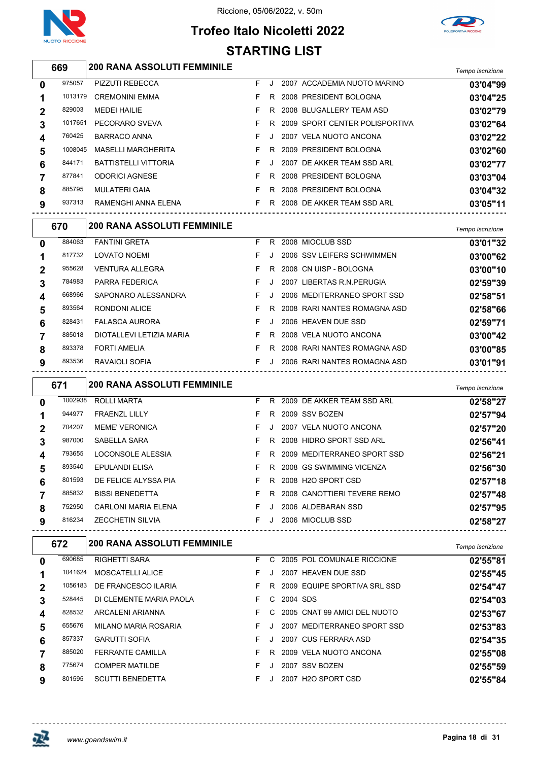

**Trofeo Italo Nicoletti 2022**



# **STARTING LIST**

|              | 669     | <b>200 RANA ASSOLUTI FEMMINILE</b> |    |       |                                | Tempo iscrizione |
|--------------|---------|------------------------------------|----|-------|--------------------------------|------------------|
| $\mathbf{0}$ | 975057  | <b>PIZZUTI REBECCA</b>             | F. | . . 1 | 2007 ACCADEMIA NUOTO MARINO    | 03'04"99         |
| 1            | 1013179 | <b>CREMONINI EMMA</b>              | F. | R     | 2008 PRESIDENT BOLOGNA         | 03'04"25         |
| $\mathbf{2}$ | 829003  | <b>MEDEI HAILIE</b>                | F. | R     | 2008 BLUGALLERY TEAM ASD       | 03'02"79         |
| 3            | 1017651 | PECORARO SVEVA                     | F. | R.    | 2009 SPORT CENTER POLISPORTIVA | 03'02"64         |
| 4            | 760425  | BARRACO ANNA                       | F. |       | 2007 VELA NUOTO ANCONA         | 03'02"22         |
| 5            | 1008045 | <b>MASELLI MARGHERITA</b>          | F. | R.    | 2009 PRESIDENT BOLOGNA         | 03'02"60         |
| 6            | 844171  | <b>BATTISTELLI VITTORIA</b>        | F. | J.    | 2007 DE AKKER TEAM SSD ARL     | 03'02"77         |
| 7            | 877841  | <b>ODORICI AGNESE</b>              | F. | R.    | 2008 PRESIDENT BOLOGNA         | 03'03"04         |
| 8            | 885795  | <b>MULATERI GAIA</b>               | F. | R.    | 2008 PRESIDENT BOLOGNA         | 03'04"32         |
| 9            | 937313  | RAMENGHI ANNA ELENA                | F. | - R   | 2008 DE AKKER TEAM SSD ARL     | 03'05"11         |

|   | 670    | <b>200 RANA ASSOLUTI FEMMINILE</b> |    |         |                              | Tempo iscrizione |
|---|--------|------------------------------------|----|---------|------------------------------|------------------|
| 0 | 884063 | <b>FANTINI GRETA</b>               | F. | R.      | 2008 MIOCLUB SSD             | 03'01"32         |
| 1 | 817732 | <b>LOVATO NOEMI</b>                | F  |         | 2006 SSV LEIFERS SCHWIMMEN   | 03'00"62         |
| 2 | 955628 | <b>VENTURA ALLEGRA</b>             | F. | R.      | 2008 CN UISP - BOLOGNA       | 03'00"10         |
| 3 | 784983 | PARRA FEDERICA                     | F. | J.      | 2007 LIBERTAS R.N. PERUGIA   | 02'59"39         |
| 4 | 668966 | SAPONARO ALESSANDRA                | F  | J.      | 2006 MEDITERRANEO SPORT SSD  | 02'58"51         |
| 5 | 893564 | RONDONI ALICE                      | F  | R.      | 2008 RARI NANTES ROMAGNA ASD | 02'58"66         |
| 6 | 828431 | <b>FALASCA AURORA</b>              | F. | J.      | 2006 HEAVEN DUE SSD          | 02'59"71         |
|   | 885018 | DIOTALLEVI LETIZIA MARIA           | F. | R.      | 2008 VELA NUOTO ANCONA       | 03'00"42         |
| 8 | 893378 | <b>FORTI AMELIA</b>                | F  | R       | 2008 RARI NANTES ROMAGNA ASD | 03'00"85         |
| 9 | 893536 | RAVAIOLI SOFIA                     | F. | $\cdot$ | 2006 RARI NANTES ROMAGNA ASD | 03'01"91         |

|                | 671     | <b>200 RANA ASSOLUTI FEMMINILE</b> |    |    |                               | Tempo iscrizione |
|----------------|---------|------------------------------------|----|----|-------------------------------|------------------|
| 0              | 1002938 | <b>ROLLI MARTA</b>                 | F. | R. | 2009 DE AKKER TEAM SSD ARL    | 02'58"27         |
|                | 944977  | <b>FRAENZL LILLY</b>               | F  | R. | 2009 SSV BOZEN                | 02'57"94         |
| $\overline{2}$ | 704207  | <b>MEME' VERONICA</b>              | F. |    | 2007 VELA NUOTO ANCONA        | 02'57"20         |
| 3              | 987000  | SABELLA SARA                       | F. | R  | 2008 HIDRO SPORT SSD ARL      | 02'56"41         |
| 4              | 793655  | LOCONSOLE ALESSIA                  | F  |    | R 2009 MEDITERRANEO SPORT SSD | 02'56"21         |
| 5              | 893540  | <b>EPULANDI ELISA</b>              | F. | R  | 2008 GS SWIMMING VICENZA      | 02'56"30         |
| 6              | 801593  | DE FELICE ALYSSA PIA               | F. |    | R 2008 H2O SPORT CSD          | 02'57"18         |
|                | 885832  | <b>BISSI BENEDETTA</b>             | F  | R  | 2008 CANOTTIERI TEVERE REMO   | 02'57"48         |
| 8              | 752950  | <b>CARLONI MARIA ELENA</b>         | F. | J  | 2006 ALDEBARAN SSD            | 02'57"95         |
| 9              | 816234  | <b>ZECCHETIN SILVIA</b>            | F  | J. | 2006 MIOCLUB SSD              | 02'58"27         |

| 672    | <b>200 RANA ASSOLUTI FEMMINILE</b> |                    |    |  | Tempo iscrizione                                                                                                                                                                                                                                                           |
|--------|------------------------------------|--------------------|----|--|----------------------------------------------------------------------------------------------------------------------------------------------------------------------------------------------------------------------------------------------------------------------------|
| 690685 | <b>RIGHETTI SARA</b>               | F                  | C. |  | 02'55"81                                                                                                                                                                                                                                                                   |
|        | MOSCATELLI ALICE                   | F                  |    |  | 02'55"45                                                                                                                                                                                                                                                                   |
|        | DE FRANCESCO ILARIA                | F.                 | R. |  | 02'54"47                                                                                                                                                                                                                                                                   |
| 528445 | DI CLEMENTE MARIA PAOLA            | F.                 |    |  | 02'54"03                                                                                                                                                                                                                                                                   |
| 828532 | ARCALENI ARIANNA                   | F.                 |    |  | 02'53"67                                                                                                                                                                                                                                                                   |
| 655676 | MILANO MARIA ROSARIA               | F                  |    |  | 02'53"83                                                                                                                                                                                                                                                                   |
| 857337 | <b>GARUTTI SOFIA</b>               | F.                 | J. |  | 02'54"35                                                                                                                                                                                                                                                                   |
| 885020 | <b>FERRANTE CAMILLA</b>            | F.                 | R. |  | 02'55"08                                                                                                                                                                                                                                                                   |
| 775674 | <b>COMPER MATILDE</b>              | F                  |    |  | 02'55"59                                                                                                                                                                                                                                                                   |
| 801595 | <b>SCUTTI BENEDETTA</b>            | F.                 |    |  | 02'55"84                                                                                                                                                                                                                                                                   |
|        |                                    | 1041624<br>1056183 |    |  | 2005 POL COMUNALE RICCIONE<br>2007 HEAVEN DUE SSD<br>2009 EQUIPE SPORTIVA SRL SSD<br>C 2004 SDS<br>C 2005 CNAT 99 AMICI DEL NUOTO<br>MEDITERRANEO SPORT SSD<br>2007<br>2007 CUS FERRARA ASD<br>2009 VELA NUOTO ANCONA<br>2007 SSV BOZEN<br>2007 H <sub>2</sub> O SPORT CSD |

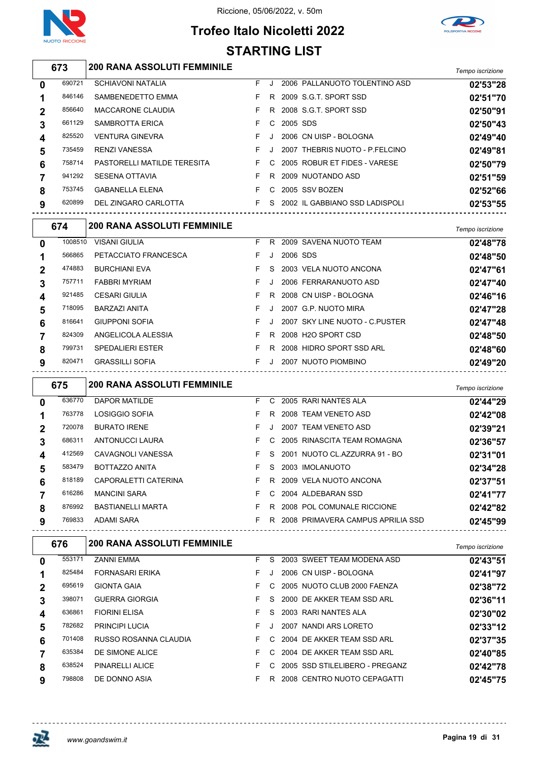



## **Trofeo Italo Nicoletti 2022 STARTING LIST**

| <b>200 RANA ASSOLUTI FEMMINILE</b> | Tempo iscrizione |
|------------------------------------|------------------|
|                                    |                  |

| 0           | 690721 | <b>SCHIAVONI NATALIA</b>    | F. |         |          | 2006 PALLANUOTO TOLENTINO ASD  | 02'53"28 |
|-------------|--------|-----------------------------|----|---------|----------|--------------------------------|----------|
|             | 846146 | SAMBENEDETTO EMMA           |    | R.      |          | 2009 S.G.T. SPORT SSD          | 02'51"70 |
| $\mathbf 2$ | 856640 | <b>MACCARONE CLAUDIA</b>    |    | R.      |          | 2008 S.G.T. SPORT SSD          | 02'50"91 |
| 3           | 661129 | <b>SAMBROTTA ERICA</b>      |    | C.      | 2005 SDS |                                | 02'50"43 |
| 4           | 825520 | <b>VENTURA GINEVRA</b>      |    | $\cdot$ |          | 2006 CN UISP - BOLOGNA         | 02'49"40 |
| 5           | 735459 | <b>RENZI VANESSA</b>        | F. | J       |          | 2007 THEBRIS NUOTO - P.FELCINO | 02'49"81 |
| 6           | 758714 | PASTORELLI MATILDE TERESITA |    | C.      |          | 2005 ROBUR ET FIDES - VARESE   | 02'50"79 |
|             | 941292 | <b>SESENA OTTAVIA</b>       |    | R.      |          | 2009 NUOTANDO ASD              | 02'51"59 |
| 8           | 753745 | <b>GABANELLA ELENA</b>      |    | C.      |          | 2005 SSV BOZEN                 | 02'52"66 |
| 9           | 620899 | DEL ZINGARO CARLOTTA        |    | S.      |          | 2002 IL GABBIANO SSD LADISPOLI | 02'53"55 |
|             |        |                             |    |         |          |                                |          |

|                  | 674     | <b>200 RANA ASSOLUTI FEMMINILE</b> |    |         |          |                                | Tempo iscrizione |
|------------------|---------|------------------------------------|----|---------|----------|--------------------------------|------------------|
| $\mathbf 0$      | 1008510 | <b>VISANI GIULIA</b>               | F. | R.      |          | 2009 SAVENA NUOTO TEAM         | 02'48"78         |
|                  | 566865  | PETACCIATO FRANCESCA               | F. |         | 2006 SDS |                                | 02'48"50         |
| $\mathbf{2}$     | 474883  | <b>BURCHIANI EVA</b>               | F. | S.      |          | 2003 VELA NUOTO ANCONA         | 02'47"61         |
| 3                | 757711  | <b>FABBRI MYRIAM</b>               | F. |         |          | 2006 FERRARANUOTO ASD          | 02'47"40         |
| $\boldsymbol{4}$ | 921485  | <b>CESARI GIULIA</b>               | F. | R.      |          | 2008 CN UISP - BOLOGNA         | 02'46"16         |
| 5                | 718095  | <b>BARZAZI ANITA</b>               | F. |         |          | 2007 G.P. NUOTO MIRA           | 02'47"28         |
| 6                | 816641  | <b>GIUPPONI SOFIA</b>              | F. |         |          | 2007 SKY LINE NUOTO - C.PUSTER | 02'47"48         |
|                  | 824309  | ANGELICOLA ALESSIA                 | F. | R.      |          | 2008 H2O SPORT CSD             | 02'48"50         |
| 8                | 799731  | <b>SPEDALIERI ESTER</b>            | F. | R       |          | 2008 HIDRO SPORT SSD ARL       | 02'48"60         |
| 9                | 820471  | <b>GRASSILLI SOFIA</b>             | F. | $\cdot$ |          | 2007 NUOTO PIOMBINO            | 02'49"20         |

|          | 675    | <b>200 RANA ASSOLUTI FEMMINILE</b> |    |    |                                   | Tempo iscrizione |
|----------|--------|------------------------------------|----|----|-----------------------------------|------------------|
| $\bf{0}$ | 636770 | <b>DAPOR MATILDE</b>               | F. | C. | 2005 RARI NANTES ALA              | 02'44"29         |
|          | 763778 | LOSIGGIO SOFIA                     | F  | R. | 2008 TEAM VENETO ASD              | 02'42"08         |
| 2        | 720078 | <b>BURATO IRENE</b>                | F. |    | 2007 TEAM VENETO ASD              | 02'39"21         |
| 3        | 686311 | ANTONUCCI LAURA                    | F. | C. | 2005 RINASCITA TEAM ROMAGNA       | 02'36"57         |
| 4        | 412569 | CAVAGNOLI VANESSA                  | F  | S. | 2001 NUOTO CL.AZZURRA 91 - BO     | 02'31"01         |
| 5        | 583479 | BOTTAZZO ANITA                     | F. | S. | 2003 IMOLANUOTO                   | 02'34"28         |
| 6        | 818189 | CAPORALETTI CATERINA               | F  | R. | 2009 VELA NUOTO ANCONA            | 02'37"51         |
|          | 616286 | <b>MANCINI SARA</b>                | F. | C. | 2004 ALDEBARAN SSD                | 02'41"77         |
| 8        | 876992 | <b>BASTIANELLI MARTA</b>           | F. | R. | 2008 POL COMUNALE RICCIONE        | 02'42"82         |
| 9        | 769833 | <b>ADAMI SARA</b>                  | F  | R  | 2008 PRIMAVERA CAMPUS APRILIA SSD | 02'45"99         |

| 676    | <b>200 RANA ASSOLUTI FEMMINILE</b> |    |    |                | Tempo iscrizione                                                                                                                                                                                                                                                                                           |
|--------|------------------------------------|----|----|----------------|------------------------------------------------------------------------------------------------------------------------------------------------------------------------------------------------------------------------------------------------------------------------------------------------------------|
| 553171 | <b>ZANNI EMMA</b>                  | F. | S. |                | 02'43"51                                                                                                                                                                                                                                                                                                   |
| 825484 | <b>FORNASARI ERIKA</b>             | F. |    |                | 02'41"97                                                                                                                                                                                                                                                                                                   |
| 695619 | <b>GIONTA GAIA</b>                 | F. |    |                | 02'38"72                                                                                                                                                                                                                                                                                                   |
| 398071 | <b>GUERRA GIORGIA</b>              | F. |    |                | 02'36"11                                                                                                                                                                                                                                                                                                   |
| 636861 | <b>FIORINI ELISA</b>               | F. | S. |                | 02'30"02                                                                                                                                                                                                                                                                                                   |
| 782682 | <b>PRINCIPI LUCIA</b>              | F. |    |                | 02'33"12                                                                                                                                                                                                                                                                                                   |
| 701408 | RUSSO ROSANNA CLAUDIA              | F. |    |                | 02'37"35                                                                                                                                                                                                                                                                                                   |
| 635384 | DE SIMONE ALICE                    | F. |    |                | 02'40"85                                                                                                                                                                                                                                                                                                   |
| 638524 | PINARELLI ALICE                    | F. |    |                | 02'42"78                                                                                                                                                                                                                                                                                                   |
| 798808 | DE DONNO ASIA                      | F. | R. |                | 02'45"75                                                                                                                                                                                                                                                                                                   |
|        |                                    |    |    | $\overline{C}$ | 2003 SWEET TEAM MODENA ASD<br>2006 CN UISP - BOLOGNA<br>2005 NUOTO CLUB 2000 FAENZA<br>S 2000 DE AKKER TEAM SSD ARL<br>2003 RARI NANTES ALA<br>NANDI ARS LORETO<br>2007<br>C 2004 DE AKKER TEAM SSD ARL<br>C 2004 DE AKKER TEAM SSD ARL<br>C 2005 SSD STILELIBERO - PREGANZ<br>2008 CENTRO NUOTO CEPAGATTI |

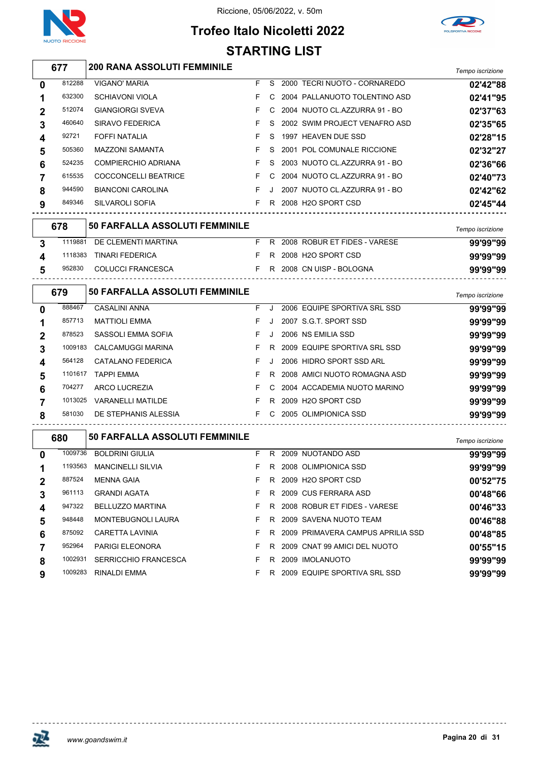



## **Trofeo Italo Nicoletti 2022 STARTING LIST**

|                         | 677     | <b>200 RANA ASSOLUTI FEMMINILE</b>    |    |    |                                     | Tempo iscrizione |
|-------------------------|---------|---------------------------------------|----|----|-------------------------------------|------------------|
| 0                       | 812288  | <b>VIGANO' MARIA</b>                  | F. | S  | 2000 TECRI NUOTO - CORNAREDO        | 02'42"88         |
| 1                       | 632300  | <b>SCHIAVONI VIOLA</b>                | F. | С  | 2004 PALLANUOTO TOLENTINO ASD       | 02'41"95         |
| 2                       | 512074  | <b>GIANGIORGI SVEVA</b>               | F  | C  | 2004 NUOTO CL.AZZURRA 91 - BO       | 02'37"63         |
| 3                       | 460640  | SIRAVO FEDERICA                       | F  | S  | 2002 SWIM PROJECT VENAFRO ASD       | 02'35"65         |
| 4                       | 92721   | FOFFI NATALIA                         | F  | S  | 1997 HEAVEN DUE SSD                 | 02'28"15         |
| 5                       | 505360  | <b>MAZZONI SAMANTA</b>                | F  | S  | 2001 POL COMUNALE RICCIONE          | 02'32"27         |
| 6                       | 524235  | <b>COMPIERCHIO ADRIANA</b>            | F. | S  | 2003 NUOTO CL.AZZURRA 91 - BO       | 02'36"66         |
| 7                       | 615535  | COCCONCELLI BEATRICE                  | F. | C  | 2004 NUOTO CL.AZZURRA 91 - BO       | 02'40"73         |
| 8                       | 944590  | <b>BIANCONI CAROLINA</b>              | F. | J  | 2007 NUOTO CL.AZZURRA 91 - BO       | 02'42"62         |
| 9                       | 849346  | SILVAROLI SOFIA                       | F. |    | R 2008 H2O SPORT CSD                | 02'45"44         |
|                         | 678     | 50 FARFALLA ASSOLUTI FEMMINILE        |    |    |                                     | Tempo iscrizione |
| 3                       | 1119881 | DE CLEMENTI MARTINA                   |    |    | F R 2008 ROBUR ET FIDES - VARESE    | 99'99"99         |
| $\overline{\mathbf{4}}$ | 1118383 | <b>TINARI FEDERICA</b>                | F. |    | R 2008 H2O SPORT CSD                | 99'99"99         |
| 5                       | 952830  | COLUCCI FRANCESCA<br>$\overline{F}$   |    |    | R 2008 CN UISP - BOLOGNA            | 99'99"99         |
|                         | 679     | <b>50 FARFALLA ASSOLUTI FEMMINILE</b> |    |    |                                     | Tempo iscrizione |
| 0                       | 888467  | <b>CASALINI ANNA</b>                  | F. | J  | 2006 EQUIPE SPORTIVA SRL SSD        | 99'99"99         |
| 1                       | 857713  | <b>MATTIOLI EMMA</b>                  | F  | J  | 2007 S.G.T. SPORT SSD               | 99'99"99         |
| 2                       | 878523  | SASSOLI EMMA SOFIA                    | F. | J  | 2006 NS EMILIA SSD                  | 99'99"99         |
| 3                       | 1009183 | <b>CALCAMUGGI MARINA</b>              | F. | R  | 2009 EQUIPE SPORTIVA SRL SSD        | 99'99"99         |
| 4                       | 564128  | CATALANO FEDERICA                     | F  | J. | 2006 HIDRO SPORT SSD ARL            | 99'99"99         |
| 5                       | 1101617 | <b>TAPPI EMMA</b>                     | F  | R  | 2008 AMICI NUOTO ROMAGNA ASD        | 99'99"99         |
| 6                       | 704277  | ARCO LUCREZIA                         | F  | C  | 2004 ACCADEMIA NUOTO MARINO         | 99'99"99         |
| $\overline{7}$          | 1013025 | <b>VARANELLI MATILDE</b>              | F. |    | R 2009 H2O SPORT CSD                | 99'99"99         |
| 8                       | 581030  | DE STEPHANIS ALESSIA                  |    |    | F C 2005 OLIMPIONICA SSD            | 99'99"99         |
|                         | 680     | 50 FARFALLA ASSOLUTI FEMMINILE        |    |    |                                     | Tempo iscrizione |
| 0                       | 1009736 | <b>BOLDRINI GIULIA</b>                | F. |    | R 2009 NUOTANDO ASD                 | 99'99"99         |
| $\mathbf 1$             |         | 1193563 MANCINELLI SILVIA             |    |    | F R 2008 OLIMPIONICA SSD            | 99'99"99         |
| $\boldsymbol{2}$        | 887524  | <b>MENNA GAIA</b>                     | F. |    | R 2009 H2O SPORT CSD                | 00'52"75         |
| 3                       | 961113  | <b>GRANDI AGATA</b>                   | F. |    | R 2009 CUS FERRARA ASD              | 00'48"66         |
| 4                       | 947322  | <b>BELLUZZO MARTINA</b>               | F. |    | R 2008 ROBUR ET FIDES - VARESE      | 00'46"33         |
| 5                       | 948448  | MONTEBUGNOLI LAURA                    | F. |    | R 2009 SAVENA NUOTO TEAM            | 00'46"88         |
| 6                       | 875092  | CARETTA LAVINIA                       | F. |    | R 2009 PRIMAVERA CAMPUS APRILIA SSD | 00'48"85         |
| 7                       | 952964  | PARIGI ELEONORA                       | F. |    | R 2009 CNAT 99 AMICI DEL NUOTO      | 00'55"15         |
| 8                       | 1002931 | <b>SERRICCHIO FRANCESCA</b>           | F. |    | R 2009 IMOLANUOTO                   | 99'99"99         |

RINALDI EMMA F R 2009 EQUIPE SPORTIVA SRL SSD **99'99"99**



<u> - - - - - - - - - - - - -</u>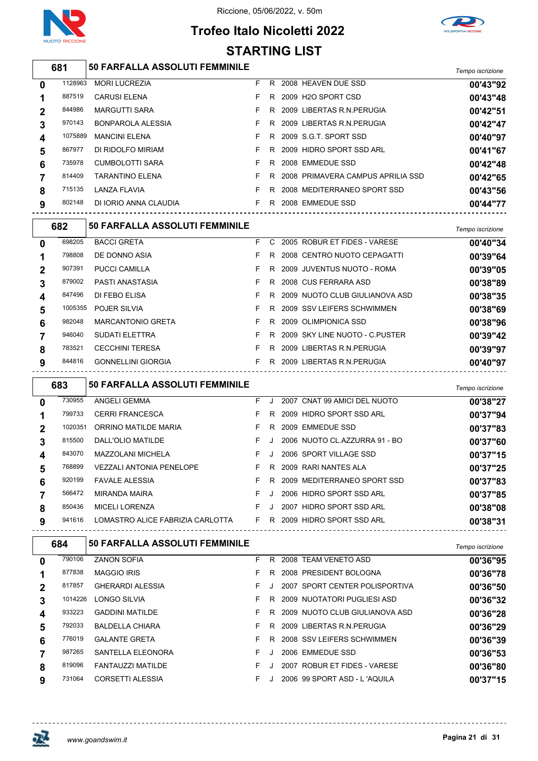

 $\overline{1}$ 

#### Riccione, 05/06/2022, v. 50m

## **Trofeo Italo Nicoletti 2022 STARTING LIST**



|                | 681     | <b>50 FARFALLA ASSOLUTI FEMMINILE</b> |    |    |                                     | Tempo iscrizione             |
|----------------|---------|---------------------------------------|----|----|-------------------------------------|------------------------------|
| $\mathbf 0$    | 1128963 | <b>MORI LUCREZIA</b>                  | F. | R. | 2008 HEAVEN DUE SSD                 | 00'43"92                     |
| 1              | 887519  | <b>CARUSI ELENA</b>                   | F. |    | R 2009 H2O SPORT CSD                | 00'43"48                     |
| $\mathbf{2}$   | 844986  | <b>MARGUTTI SARA</b>                  | F. | R. | 2009 LIBERTAS R.N.PERUGIA           | 00'42"51                     |
| 3              | 970143  | <b>BONPAROLA ALESSIA</b>              | F. | R. | 2009 LIBERTAS R.N.PERUGIA           | 00'42"47                     |
| 4              | 1075889 | <b>MANCINI ELENA</b>                  | F. |    | R 2009 S.G.T. SPORT SSD             | 00'40"97                     |
| 5              | 867977  | DI RIDOLFO MIRIAM                     | F. |    | R 2009 HIDRO SPORT SSD ARL          | 00'41"67                     |
| 6              | 735978  | <b>CUMBOLOTTI SARA</b>                | F. |    | R 2008 EMMEDUE SSD                  | 00'42"48                     |
| $\overline{7}$ | 814409  | <b>TARANTINO ELENA</b>                | F. |    | R 2008 PRIMAVERA CAMPUS APRILIA SSD | 00'42"65                     |
| 8              | 715135  | LANZA FLAVIA                          | F. | R. | 2008 MEDITERRANEO SPORT SSD         | 00'43"56                     |
| 9              | 802148  | DI IORIO ANNA CLAUDIA                 | F. |    | R 2008 EMMEDUE SSD                  | 00'44"77                     |
|                | 682     | <b>50 FARFALLA ASSOLUTI FEMMINILE</b> |    |    |                                     | The second for a start and a |

|                | ◡◡▵     | VV I AIN ALLA AVVVLV II I LIIIIIIIILL |    |    |                                | Tempo iscrizione |
|----------------|---------|---------------------------------------|----|----|--------------------------------|------------------|
| $\mathbf 0$    | 698205  | <b>BACCI GRETA</b>                    | F  |    | C 2005 ROBUR ET FIDES - VARESE | 00'40"34         |
|                | 798808  | DE DONNO ASIA                         | F. | R  | 2008 CENTRO NUOTO CEPAGATTI    | 00'39"64         |
| $\overline{2}$ | 907391  | PUCCI CAMILLA                         | F. | R. | 2009 JUVENTUS NUOTO - ROMA     | 00'39"05         |
| 3              | 879002  | PASTI ANASTASIA                       | F. | R  | 2008 CUS FERRARA ASD           | 00'38"89         |
| 4              | 847496  | DI FEBO ELISA                         | F. | R  | 2009 NUOTO CLUB GIULIANOVA ASD | 00'38"35         |
| 5              | 1005355 | <b>POJER SILVIA</b>                   | F. | R  | 2009 SSV LEIFERS SCHWIMMEN     | 00'38"69         |
| 6              | 982048  | <b>MARCANTONIO GRETA</b>              | F. | R  | 2009 OLIMPIONICA SSD           | 00'38"96         |
|                | 946040  | <b>SUDATI ELETTRA</b>                 | F. | R  | 2009 SKY LINE NUOTO - C.PUSTER | 00'39"42         |
| 8              | 783521  | <b>CECCHINI TERESA</b>                | F. | R  | 2009 LIBERTAS R.N. PERUGIA     | 00'39"97         |
| 9              | 844816  | <b>GONNELLINI GIORGIA</b>             | F. | R  | 2009 LIBERTAS R.N.PERUGIA      | 00'40"97         |
|                |         |                                       |    |    |                                |                  |

|          | 683     | <b>50 FARFALLA ASSOLUTI FEMMINILE</b> |    |         |                               | Tempo iscrizione |
|----------|---------|---------------------------------------|----|---------|-------------------------------|------------------|
| $\bf{0}$ | 730955  | ANGELI GEMMA                          | F. | $\cdot$ | 2007 CNAT 99 AMICI DEL NUOTO  | 00'38"27         |
|          | 799733  | <b>CERRI FRANCESCA</b>                | F. |         | R 2009 HIDRO SPORT SSD ARL    | 00'37"94         |
| 2        | 1020351 | ORRINO MATILDE MARIA                  | F. | R.      | 2009 EMMEDUE SSD              | 00'37"83         |
| 3        | 815500  | DALL'OLIO MATILDE                     | F. | $\cdot$ | 2006 NUOTO CL.AZZURRA 91 - BO | 00'37"60         |
| 4        | 843070  | <b>MAZZOLANI MICHELA</b>              | F. | $\cdot$ | 2006 SPORT VILLAGE SSD        | 00'37"15         |
| 5        | 768899  | <b>VEZZALI ANTONIA PENELOPE</b>       | F. | R.      | 2009 RARI NANTES ALA          | 00'37"25         |
| 6        | 920199  | <b>FAVALE ALESSIA</b>                 | F. | R       | 2009 MEDITERRANEO SPORT SSD   | 00'37"83         |
|          | 566472  | <b>MIRANDA MAIRA</b>                  | F  | $\cdot$ | 2006 HIDRO SPORT SSD ARL      | 00'37"85         |
| 8        | 850436  | <b>MICELI LORENZA</b>                 | F. | J       | 2007 HIDRO SPORT SSD ARL      | 00'38"08         |
| 9        | 941616  | LOMASTRO ALICE FABRIZIA CARLOTTA      | F. | R.      | 2009 HIDRO SPORT SSD ARL      | 00'38"31         |
|          |         |                                       |    |         |                               |                  |

|              | 684     | <b>50 FARFALLA ASSOLUTI FEMMINILE</b> |    |    |      |                                | Tempo iscrizione |
|--------------|---------|---------------------------------------|----|----|------|--------------------------------|------------------|
| 0            | 790106  | <b>ZANON SOFIA</b>                    | F  | R. |      | 2008 TEAM VENETO ASD           | 00'36"95         |
|              | 877838  | <b>MAGGIO IRIS</b>                    | F  | R. |      | 2008 PRESIDENT BOLOGNA         | 00'36"78         |
| $\mathbf{2}$ | 817857  | <b>GHERARDI ALESSIA</b>               | F. |    |      | 2007 SPORT CENTER POLISPORTIVA | 00'36"50         |
| 3            | 1014226 | LONGO SILVIA                          | F. | R. |      | 2009 NUOTATORI PUGLIESI ASD    | 00'36"32         |
| 4            | 933223  | <b>GADDINI MATILDE</b>                | F  | R. |      | 2009 NUOTO CLUB GIULIANOVA ASD | 00'36"28         |
| 5            | 792033  | <b>BALDELLA CHIARA</b>                | F  | R. |      | 2009 LIBERTAS R.N. PERUGIA     | 00'36"29         |
| 6            | 776019  | <b>GALANTE GRETA</b>                  | F. | R. |      | 2008 SSV LEIFERS SCHWIMMEN     | 00'36"39         |
|              | 987265  | SANTELLA ELEONORA                     | F  |    |      | 2006 EMMEDUE SSD               | 00'36"53         |
| 8            | 819096  | FANTAUZZI MATILDE                     | F  |    | 2007 | ROBUR ET FIDES - VARESE        | 00'36"80         |
| 9            | 731064  | CORSETTI ALESSIA                      | F. |    |      | 2006 99 SPORT ASD - L'AQUILA   | 00'37"15         |

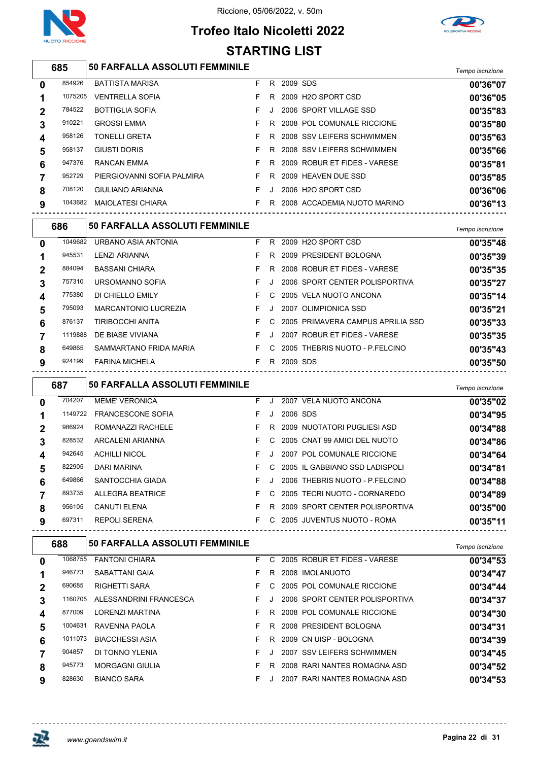

## **Trofeo Italo Nicoletti 2022 STARTING LIST**



#### *Tempo iscrizione* **50 FARFALLA ASSOLUTI FEMMINILE** BATTISTA MARISA F R 2009 SDS **00'36"07** VENTRELLA SOFIA F R 2009 H2O SPORT CSD **00'36"05** BOTTIGLIA SOFIA F J 2006 SPORT VILLAGE SSD **00'35"83** GROSSI EMMA F R 2008 POL COMUNALE RICCIONE **00'35"80** TONELLI GRETA F R 2008 SSV LEIFERS SCHWIMMEN **00'35"63** 958137 GIUSTI DORIS **CONSERVER SERVICES SOM CONTROLLERS SCHWIMMEN 00'35"66**  RANCAN EMMA F R 2009 ROBUR ET FIDES - VARESE **00'35"81** PIERGIOVANNI SOFIA PALMIRA F R 2009 HEAVEN DUE SSD **00'35"85** GIULIANO ARIANNA F J 2006 H2O SPORT CSD **00'36"06** MAIOLATESI CHIARA F R 2008 ACCADEMIA NUOTO MARINO **00'36"13**

|          | 686     | <b>50 FARFALLA ASSOLUTI FEMMINILE</b> |    |              |                                     | Tempo iscrizione |
|----------|---------|---------------------------------------|----|--------------|-------------------------------------|------------------|
| $\bf{0}$ | 1049682 | URBANO ASIA ANTONIA                   | F. |              | R 2009 H2O SPORT CSD                | 00'35"48         |
|          | 945531  | LENZI ARIANNA                         | F. | R.           | 2009 PRESIDENT BOLOGNA              | 00'35"39         |
|          | 884094  | <b>BASSANI CHIARA</b>                 | F  |              | R 2008 ROBUR ET FIDES - VARESE      | 00'35"35         |
| 3        | 757310  | URSOMANNO SOFIA                       | F. | J            | 2006 SPORT CENTER POLISPORTIVA      | 00'35"27         |
| 4        | 775380  | DI CHIELLO EMILY                      | F. | C.           | 2005 VELA NUOTO ANCONA              | 00'35"14         |
| 5        | 795093  | <b>MARCANTONIO LUCREZIA</b>           | F. | $\mathbf{J}$ | 2007 OLIMPIONICA SSD                | 00'35"21         |
| 6        | 876137  | TIRIBOCCHI ANITA                      | F. |              | C 2005 PRIMAVERA CAMPUS APRILIA SSD | 00'35"33         |
|          | 1119888 | DE BIASE VIVIANA                      | F. | J            | 2007 ROBUR ET FIDES - VARESE        | 00'35"35         |
| 8        | 649865  | SAMMARTANO FRIDA MARIA                | F. | C.           | 2005 THEBRIS NUOTO - P.FELCINO      | 00'35"43         |
| 9        | 924199  | <b>FARINA MICHELA</b>                 | F. | R            | 2009 SDS                            | 00'35"50         |

|   | 687     | <b>50 FARFALLA ASSOLUTI FEMMINILE</b> |    |         |          |                                | Tempo iscrizione |
|---|---------|---------------------------------------|----|---------|----------|--------------------------------|------------------|
| 0 | 704207  | <b>MEME' VERONICA</b>                 | F. | J       |          | 2007 VELA NUOTO ANCONA         | 00'35"02         |
| 1 | 1149722 | <b>FRANCESCONE SOFIA</b>              | F. | J       | 2006 SDS |                                | 00'34"95         |
| 2 | 986924  | ROMANAZZI RACHELE                     | F. | R.      |          | 2009 NUOTATORI PUGLIESI ASD    | 00'34"88         |
| 3 | 828532  | <b>ARCALENI ARIANNA</b>               | F. | C.      |          | 2005 CNAT 99 AMICI DEL NUOTO   | 00'34"86         |
| 4 | 942645  | <b>ACHILLI NICOL</b>                  | F. | $\cdot$ |          | 2007 POL COMUNALE RICCIONE     | 00'34"64         |
| 5 | 822905  | DARI MARINA                           | F. | C.      |          | 2005 IL GABBIANO SSD LADISPOLI | 00'34"81         |
| 6 | 649866  | <b>SANTOCCHIA GIADA</b>               | F. | $\cdot$ |          | 2006 THEBRIS NUOTO - P.FELCINO | 00'34"88         |
|   | 893735  | <b>ALLEGRA BEATRICE</b>               | F. | C.      |          | 2005 TECRI NUOTO - CORNAREDO   | 00'34"89         |
| 8 | 956105  | <b>CANUTI ELENA</b>                   | F. | R.      |          | 2009 SPORT CENTER POLISPORTIVA | 00'35"00         |
| 9 | 697311  | <b>REPOLI SERENA</b>                  | F. | C.      |          | 2005 JUVENTUS NUOTO - ROMA     | 00'35"11         |

|        |                        |                                                                                   |    |    | Tempo iscrizione                                                                                                                                                                                                                                                                                   |
|--------|------------------------|-----------------------------------------------------------------------------------|----|----|----------------------------------------------------------------------------------------------------------------------------------------------------------------------------------------------------------------------------------------------------------------------------------------------------|
|        | <b>FANTONI CHIARA</b>  | F.                                                                                | C. |    | 00'34"53                                                                                                                                                                                                                                                                                           |
| 946773 | SABATTANI GAIA         | F.                                                                                | R  |    | 00'34"47                                                                                                                                                                                                                                                                                           |
| 690685 | <b>RIGHETTI SARA</b>   | F.                                                                                |    |    | 00'34"44                                                                                                                                                                                                                                                                                           |
|        | ALESSANDRINI FRANCESCA | F.                                                                                |    |    | 00'34"37                                                                                                                                                                                                                                                                                           |
| 877009 | <b>LORENZI MARTINA</b> | F.                                                                                | R. |    | 00'34"30                                                                                                                                                                                                                                                                                           |
|        | RAVENNA PAOLA          | F.                                                                                | R. |    | 00'34"31                                                                                                                                                                                                                                                                                           |
|        | <b>BIACCHESSI ASIA</b> | F.                                                                                | R. |    | 00'34"39                                                                                                                                                                                                                                                                                           |
| 904857 | DI TONNO YLENIA        | F.                                                                                |    |    | 00'34"45                                                                                                                                                                                                                                                                                           |
| 945773 | <b>MORGAGNI GIULIA</b> | F.                                                                                | R. |    | 00'34"52                                                                                                                                                                                                                                                                                           |
| 828630 | <b>BIANCO SARA</b>     | F.                                                                                |    |    | 00'34"53                                                                                                                                                                                                                                                                                           |
|        | 688                    | <b>50 FARFALLA ASSOLUTI FEMMINILE</b><br>1068755<br>1160705<br>1004631<br>1011073 |    | C. | 2005 ROBUR ET FIDES - VARESE<br>2008 IMOLANUOTO<br>2005 POL COMUNALE RICCIONE<br>2006 SPORT CENTER POLISPORTIVA<br>2008 POL COMUNALE RICCIONE<br>2008 PRESIDENT BOLOGNA<br>2009 CN UISP - BOLOGNA<br>2007 SSV LEIFERS SCHWIMMEN<br>2008 RARI NANTES ROMAGNA ASD<br>RARI NANTES ROMAGNA ASD<br>2007 |

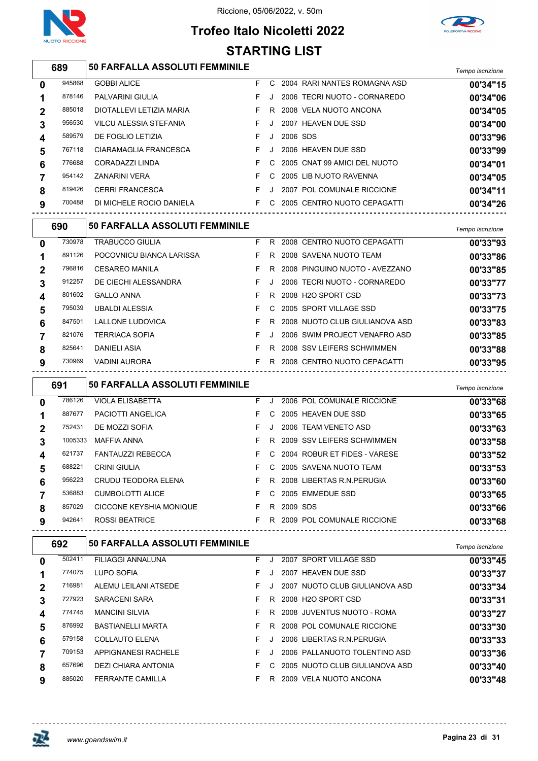





#### *Tempo iscrizione* **50 FARFALLA ASSOLUTI FEMMINILE** 945868 GOBBI ALICE **F** C 2004 RARI NANTES ROMAGNA ASD **00'34"15**  PALVARINI GIULIA F J 2006 TECRI NUOTO - CORNAREDO **00'34"06** DIOTALLEVI LETIZIA MARIA F R 2008 VELA NUOTO ANCONA **00'34"05** VILCU ALESSIA STEFANIA F J 2007 HEAVEN DUE SSD **00'34"00** DE FOGLIO LETIZIA F J 2006 SDS **00'33"96** CIARAMAGLIA FRANCESCA F J 2006 HEAVEN DUE SSD **00'33"99** CORADAZZI LINDA F C 2005 CNAT 99 AMICI DEL NUOTO **00'34"01** ZANARINI VERA F C 2005 LIB NUOTO RAVENNA **00'34"05** CERRI FRANCESCA F J 2007 POL COMUNALE RICCIONE **00'34"11** DI MICHELE ROCIO DANIELA F C 2005 CENTRO NUOTO CEPAGATTI **00'34"26**

|                | 690    | <b>50 FARFALLA ASSOLUTI FEMMINILE</b> |    |              |                                | Tempo iscrizione |
|----------------|--------|---------------------------------------|----|--------------|--------------------------------|------------------|
| $\mathbf{0}$   | 730978 | <b>TRABUCCO GIULIA</b>                | F. | R.           | 2008 CENTRO NUOTO CEPAGATTI    | 00'33"93         |
|                | 891126 | POCOVNICU BIANCA LARISSA              | F. | R.           | 2008 SAVENA NUOTO TEAM         | 00'33"86         |
| $\overline{2}$ | 796816 | <b>CESAREO MANILA</b>                 | F. | R            | 2008 PINGUINO NUOTO - AVEZZANO | 00'33"85         |
| 3              | 912257 | DE CIECHI ALESSANDRA                  | F. | $\mathbf{J}$ | 2006 TECRI NUOTO - CORNAREDO   | 00'33"77         |
| 4              | 801602 | <b>GALLO ANNA</b>                     | F. | R.           | 2008 H2O SPORT CSD             | 00'33"73         |
| 5              | 795039 | <b>UBALDI ALESSIA</b>                 | F. |              | C 2005 SPORT VILLAGE SSD       | 00'33"75         |
| 6              | 847501 | LALLONE LUDOVICA                      | F. | R.           | 2008 NUOTO CLUB GIULIANOVA ASD | 00'33"83         |
|                | 821076 | <b>TERRIACA SOFIA</b>                 | F. | $\cdot$      | 2006 SWIM PROJECT VENAFRO ASD  | 00'33"85         |
| 8              | 825641 | <b>DANIELI ASIA</b>                   | F. | R.           | 2008 SSV LEIFERS SCHWIMMEN     | 00'33"88         |
| 9              | 730969 | <b>VADINI AURORA</b>                  | F. | R            | 2008 CENTRO NUOTO CEPAGATTI    | 00'33"95         |
|                |        |                                       |    |              |                                |                  |

|              | 691     | <b>50 FARFALLA ASSOLUTI FEMMINILE</b> |    |    |                                  | Tempo iscrizione |
|--------------|---------|---------------------------------------|----|----|----------------------------------|------------------|
| $\mathbf 0$  | 786126  | <b>VIOLA ELISABETTA</b>               | F. |    | 2006 POL COMUNALE RICCIONE       | 00'33"68         |
|              | 887677  | <b>PACIOTTI ANGELICA</b>              | F. |    | C 2005 HEAVEN DUE SSD            | 00'33"65         |
| $\mathbf{2}$ | 752431  | DE MOZZI SOFIA                        | F. | J. | 2006 TEAM VENETO ASD             | 00'33"63         |
| 3            | 1005333 | <b>MAFFIA ANNA</b>                    | F. |    | R 2009 SSV LEIFERS SCHWIMMEN     | 00'33"58         |
| 4            | 621737  | <b>FANTAUZZI REBECCA</b>              |    |    | F C 2004 ROBUR ET FIDES - VARESE | 00'33"52         |
| 5            | 688221  | <b>CRINI GIULIA</b>                   | F. |    | C 2005 SAVENA NUOTO TEAM         | 00'33"53         |
| 6            | 956223  | <b>CRUDU TEODORA ELENA</b>            | F. | R. | 2008 LIBERTAS R.N.PERUGIA        | 00'33"60         |
|              | 536883  | <b>CUMBOLOTTI ALICE</b>               | F. |    | C 2005 EMMEDUE SSD               | 00'33"65         |
| 8            | 857029  | CICCONE KEYSHIA MONIQUE               | F. | R. | 2009 SDS                         | 00'33"66         |
| 9            | 942641  | <b>ROSSI BEATRICE</b>                 | F. |    | R 2009 POL COMUNALE RICCIONE     | 00'33"68         |

|              | 692    | <b>50 FARFALLA ASSOLUTI FEMMINILE</b> |    |         |                                | Tempo iscrizione |
|--------------|--------|---------------------------------------|----|---------|--------------------------------|------------------|
| $\mathbf{0}$ | 502411 | FILIAGGI ANNALUNA                     | F. | $\cdot$ | 2007 SPORT VILLAGE SSD         | 00'33"45         |
|              | 774075 | LUPO SOFIA                            | F. |         | 2007 HEAVEN DUE SSD            | 00'33"37         |
| 2            | 716981 | ALEMU LEILANI ATSEDE                  | F. |         | 2007 NUOTO CLUB GIULIANOVA ASD | 00'33"34         |
| 3            | 727923 | <b>SARACENI SARA</b>                  | F. | R       | 2008 H2O SPORT CSD             | 00'33"31         |
| 4            | 774745 | <b>MANCINI SILVIA</b>                 | F. | R.      | 2008 JUVENTUS NUOTO - ROMA     | 00'33"27         |
| 5            | 876992 | <b>BASTIANELLI MARTA</b>              | F. | R.      | 2008 POL COMUNALE RICCIONE     | 00'33"30         |
| 6            | 579158 | <b>COLLAUTO ELENA</b>                 | F. |         | 2006 LIBERTAS R.N. PERUGIA     | 00'33"33         |
|              | 709153 | APPIGNANESI RACHELE                   | F. |         | 2006 PALLANUOTO TOLENTINO ASD  | 00'33"36         |
| 8            | 657696 | DEZI CHIARA ANTONIA                   | F. | C.      | 2005 NUOTO CLUB GIULIANOVA ASD | 00'33"40         |
| 9            | 885020 | <b>FERRANTE CAMILLA</b>               | F. | R       | 2009 VELA NUOTO ANCONA         | 00'33"48         |

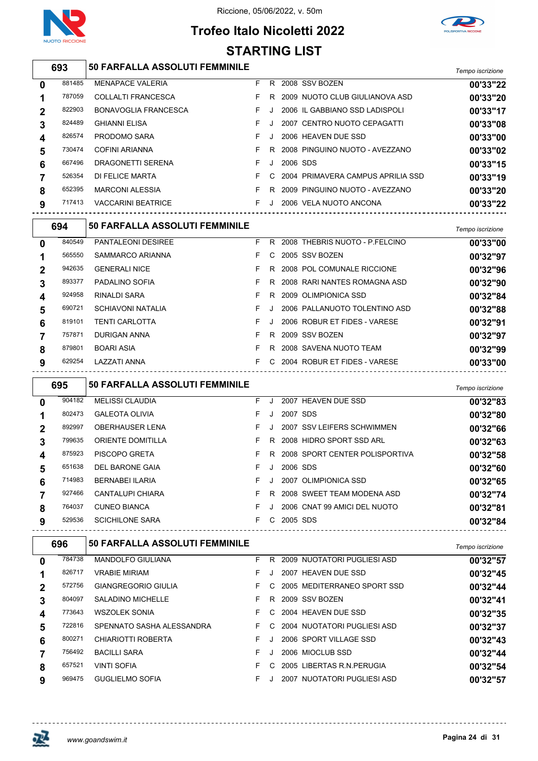

## **Trofeo Italo Nicoletti 2022 STARTING LIST**



|              | 693    | <b>50 FARFALLA ASSOLUTI FEMMINILE</b> |    |         |          |                                   | Tempo iscrizione |
|--------------|--------|---------------------------------------|----|---------|----------|-----------------------------------|------------------|
| $\mathbf{0}$ | 881485 | <b>MENAPACE VALERIA</b>               | F. | R.      |          | 2008 SSV BOZEN                    | 00'33"22         |
|              | 787059 | <b>COLLALTI FRANCESCA</b>             | F. | R.      |          | 2009 NUOTO CLUB GIULIANOVA ASD    | 00'33"20         |
| $\mathbf 2$  | 822903 | <b>BONAVOGLIA FRANCESCA</b>           | F. |         |          | 2006 IL GABBIANO SSD LADISPOLI    | 00'33"17         |
| 3            | 824489 | <b>GHIANNI ELISA</b>                  | F. |         |          | 2007 CENTRO NUOTO CEPAGATTI       | 00'33"08         |
| 4            | 826574 | PRODOMO SARA                          | F. | $\cdot$ |          | 2006 HEAVEN DUE SSD               | 00'33"00         |
| 5            | 730474 | <b>COFINI ARIANNA</b>                 | F. | R.      |          | 2008 PINGUINO NUOTO - AVEZZANO    | 00'33"02         |
| 6            | 667496 | DRAGONETTI SERENA                     | F. | J.      | 2006 SDS |                                   | 00'33"15         |
|              | 526354 | DI FELICE MARTA                       | F. | C.      |          | 2004 PRIMAVERA CAMPUS APRILIA SSD | 00'33"19         |
| 8            | 652395 | <b>MARCONI ALESSIA</b>                |    | R.      |          | 2009 PINGUINO NUOTO - AVEZZANO    | 00'33"20         |
| 9            | 717413 | <b>VACCARINI BEATRICE</b>             | F. |         |          | 2006 VELA NUOTO ANCONA            | 00'33"22         |

|    | 694    | <b>50 FARFALLA ASSOLUTI FEMMINILE</b> |    |                                | Tempo iscrizione |
|----|--------|---------------------------------------|----|--------------------------------|------------------|
| 0  | 840549 | <b>PANTALEONI DESIREE</b>             | R. | 2008 THEBRIS NUOTO - P.FELCINO | 00'33"00         |
| 1  | 565550 | SAMMARCO ARIANNA                      | C. | 2005 SSV BOZEN                 | 00'32"97         |
| 2  | 942635 | <b>GENERALI NICE</b>                  | R. | 2008 POL COMUNALE RICCIONE     | 00'32"96         |
| 3  | 893377 | PADALINO SOFIA                        | R. | 2008 RARI NANTES ROMAGNA ASD   | 00'32"90         |
| 4  | 924958 | RINALDI SARA                          | R. | 2009 OLIMPIONICA SSD           | 00'32"84         |
| E. | 690721 | SCHIAVONI NATALIA                     |    | 2006 PALLANUOTO TOI ENTINO ASD | 00'32"88         |

| 690721 | SCHIAVONI NATALIA     | F J | 2006 PALLANUOTO TOLENTINO ASD    | 00'32"88 |
|--------|-----------------------|-----|----------------------------------|----------|
| 819101 | <b>TENTI CARLOTTA</b> | FJ. | 2006 ROBUR ET FIDES - VARESE     | 00'32"91 |
| 757871 | DURIGAN ANNA          |     | F R 2009 SSV BOZEN               | 00'32"97 |
| 879801 | <b>BOARI ASIA</b>     |     | F R 2008 SAVENA NUOTO TEAM       | 00'32"99 |
| 629254 | LAZZATI ANNA          |     | F C 2004 ROBUR ET FIDES - VARESE | 00'33"00 |
|        |                       |     |                                  |          |

|              | 695    | <b>50 FARFALLA ASSOLUTI FEMMINILE</b> |    |    |          |                                | Tempo iscrizione |
|--------------|--------|---------------------------------------|----|----|----------|--------------------------------|------------------|
| $\mathbf{0}$ | 904182 | <b>MELISSI CLAUDIA</b>                | F. |    |          | 2007 HEAVEN DUE SSD            | 00'32"83         |
|              | 802473 | <b>GALEOTA OLIVIA</b>                 | F. |    | 2007 SDS |                                | 00'32"80         |
| $\mathbf 2$  | 892997 | <b>OBERHAUSER LENA</b>                | F. |    |          | 2007 SSV LEIFERS SCHWIMMEN     | 00'32"66         |
| 3            | 799635 | <b>ORIENTE DOMITILLA</b>              | F. | R. |          | 2008 HIDRO SPORT SSD ARL       | 00'32"63         |
| 4            | 875923 | <b>PISCOPO GRETA</b>                  | F. | R. |          | 2008 SPORT CENTER POLISPORTIVA | 00'32"58         |
| 5            | 651638 | DEL BARONE GAIA                       | F  |    | 2006 SDS |                                | 00'32"60         |
| 6            | 714983 | <b>BERNABEI ILARIA</b>                | F. |    |          | 2007 OLIMPIONICA SSD           | 00'32"65         |
|              | 927466 | CANTALUPI CHIARA                      | F. | R. |          | 2008 SWEET TEAM MODENA ASD     | 00'32"74         |
| 8            | 764037 | <b>CUNEO BIANCA</b>                   | F. |    |          | 2006 CNAT 99 AMICI DEL NUOTO   | 00'32"81         |
| 9            | 529536 | <b>SCICHILONE SARA</b>                | F. | C. | 2005 SDS |                                | 00'32"84         |
|              |        |                                       |    |    |          |                                |                  |

|              | 696    | <b>50 FARFALLA ASSOLUTI FEMMINILE</b> |    |    |                             | Tempo iscrizione |
|--------------|--------|---------------------------------------|----|----|-----------------------------|------------------|
| 0            | 784738 | <b>MANDOLFO GIULIANA</b>              | F  | R. | 2009 NUOTATORI PUGLIESI ASD | 00'32"57         |
|              | 826717 | <b>VRABIE MIRIAM</b>                  | F. |    | 2007 HEAVEN DUE SSD         | 00'32"45         |
| $\mathbf{2}$ | 572756 | GIANGREGORIO GIULIA                   | F. | C. | 2005 MEDITERRANEO SPORT SSD | 00'32"44         |
| 3            | 804097 | <b>SALADINO MICHELLE</b>              | F. | R. | 2009 SSV BOZEN              | 00'32"41         |
| 4            | 773643 | <b>WSZOLEK SONIA</b>                  | F. | C. | 2004 HEAVEN DUE SSD         | 00'32"35         |
| 5            | 722816 | SPENNATO SASHA ALESSANDRA             | F. | C. | 2004 NUOTATORI PUGLIESI ASD | 00'32"37         |
| 6            | 800271 | CHIARIOTTI ROBERTA                    | F. |    | 2006 SPORT VILLAGE SSD      | 00'32"43         |
|              | 756492 | <b>BACILLI SARA</b>                   | F  |    | 2006 MIOCLUB SSD            | 00'32"44         |
| 8            | 657521 | <b>VINTI SOFIA</b>                    | F. | C. | 2005 LIBERTAS R.N. PERUGIA  | 00'32"54         |
| 9            | 969475 | <b>GUGLIELMO SOFIA</b>                | F. |    | 2007 NUOTATORI PUGLIESI ASD | 00'32"57         |

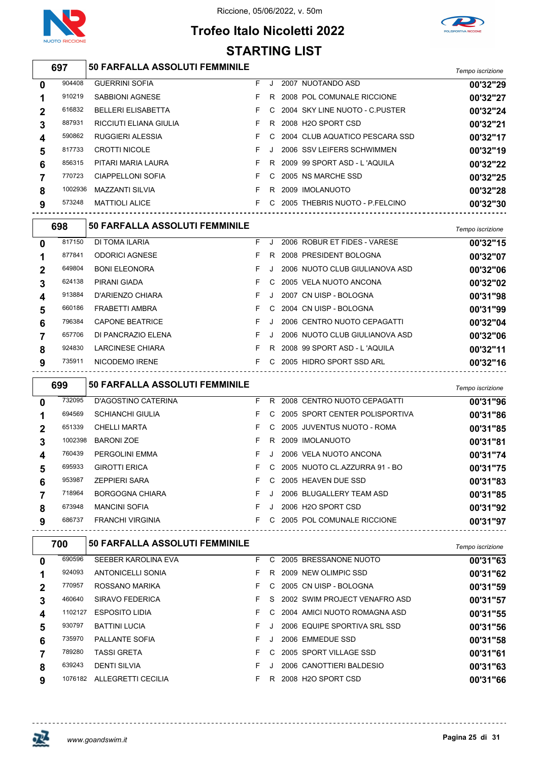

Riccione, 05/06/2022, v. 50m

## **Trofeo Italo Nicoletti 2022 STARTING LIST**



|   | 697     | 50 FARFALLA ASSOLUTI FEMMINILE |    |    |                                  | Tempo iscrizione |
|---|---------|--------------------------------|----|----|----------------------------------|------------------|
| 0 | 904408  | <b>GUERRINI SOFIA</b>          | F. |    | 2007 NUOTANDO ASD                | 00'32"29         |
|   | 910219  | <b>SABBIONI AGNESE</b>         |    | R. | 2008 POL COMUNALE RICCIONE       | 00'32"27         |
| 2 | 616832  | <b>BELLERI ELISABETTA</b>      |    |    | C 2004 SKY LINE NUOTO - C.PUSTER | 00'32"24         |
| 3 | 887931  | RICCIUTI ELIANA GIULIA         |    | R  | 2008 H2O SPORT CSD               | 00'32"21         |
| 4 | 590862  | <b>RUGGIERI ALESSIA</b>        |    |    | C 2004 CLUB AQUATICO PESCARA SSD | 00'32"17         |
| 5 | 817733  | <b>CROTTI NICOLE</b>           |    | J  | 2006 SSV LEIFERS SCHWIMMEN       | 00'32"19         |
| 6 | 856315  | PITARI MARIA LAURA             |    | R  | 2009 99 SPORT ASD - L'AQUILA     | 00'32"22         |
|   | 770723  | <b>CIAPPELLONI SOFIA</b>       | F. | C. | 2005 NS MARCHE SSD               | 00'32"25         |
| 8 | 1002936 | <b>MAZZANTI SILVIA</b>         |    | R  | 2009 IMOLANUOTO                  | 00'32"28         |
|   |         |                                |    |    |                                  |                  |

MATTIOLI ALICE F C 2005 THEBRIS NUOTO - P.FELCINO **00'32"30**

|   | 698    | <b>50 FARFALLA ASSOLUTI FEMMINILE</b> |    |         |                                | Tempo iscrizione |
|---|--------|---------------------------------------|----|---------|--------------------------------|------------------|
| 0 | 817150 | DI TOMA ILARIA                        | F  |         | 2006 ROBUR ET FIDES - VARESE   | 00'32"15         |
|   | 877841 | <b>ODORICI AGNESE</b>                 | F  | R.      | 2008 PRESIDENT BOLOGNA         | 00'32"07         |
| 2 | 649804 | <b>BONI ELEONORA</b>                  | F. |         | 2006 NUOTO CLUB GIULIANOVA ASD | 00'32"06         |
| 3 | 624138 | PIRANI GIADA                          | F  | C.      | 2005 VELA NUOTO ANCONA         | 00'32"02         |
| 4 | 913884 | D'ARIENZO CHIARA                      | F  |         | 2007 CN UISP - BOLOGNA         | 00'31"98         |
| 5 | 660186 | FRABETTI AMBRA                        | F. | C.      | 2004 CN UISP - BOLOGNA         | 00'31"99         |
| 6 | 796384 | <b>CAPONE BEATRICE</b>                | F  | $\cdot$ | 2006 CENTRO NUOTO CEPAGATTI    | 00'32"04         |
|   | 657706 | DI PANCRAZIO ELENA                    | F  | $\cdot$ | 2006 NUOTO CLUB GIULIANOVA ASD | 00'32"06         |
| 8 | 924830 | <b>LARCINESE CHIARA</b>               | F. | R.      | 2008 99 SPORT ASD - L'AQUILA   | 00'32"11         |
| 9 | 735911 | NICODEMO IRENE                        | F. | C.      | 2005 HIDRO SPORT SSD ARL       | 00'32"16         |

|              | 699     | <b>50 FARFALLA ASSOLUTI FEMMINILE</b> |    |    |                                | Tempo iscrizione |
|--------------|---------|---------------------------------------|----|----|--------------------------------|------------------|
| $\mathbf{0}$ | 732095  | D'AGOSTINO CATERINA                   | F. | R. | 2008 CENTRO NUOTO CEPAGATTI    | 00'31"96         |
|              | 694569  | <b>SCHIANCHI GIULIA</b>               | F. | C. | 2005 SPORT CENTER POLISPORTIVA | 00'31"86         |
| $\mathbf 2$  | 651339  | <b>CHELLI MARTA</b>                   | F. | C. | 2005 JUVENTUS NUOTO - ROMA     | 00'31"85         |
| 3            | 1002398 | <b>BARONI ZOE</b>                     | F  | R  | 2009 IMOLANUOTO                | 00'31"81         |
| 4            | 760439  | <b>PERGOLINI EMMA</b>                 | F  | J  | 2006 VELA NUOTO ANCONA         | 00'31"74         |
| 5            | 695933  | <b>GIROTTI ERICA</b>                  | F  | C. | 2005 NUOTO CL.AZZURRA 91 - BO  | 00'31"75         |
| 6            | 953987  | <b>ZEPPIERI SARA</b>                  | F. | C. | 2005 HEAVEN DUE SSD            | 00'31"83         |
|              | 718964  | <b>BORGOGNA CHIARA</b>                | F  | J  | 2006 BLUGALLERY TEAM ASD       | 00'31"85         |
| 8            | 673948  | <b>MANCINI SOFIA</b>                  | F  | Л. | 2006 H2O SPORT CSD             | 00'31"92         |
| 9            | 686737  | <b>FRANCHI VIRGINIA</b>               | F. | C. | 2005 POL COMUNALE RICCIONE     | 00'31"97         |

| 700    | <b>50 FARFALLA ASSOLUTI FEMMINILE</b> |                    |    |    | Tempo iscrizione                                                                                                                                                                                                                                                         |
|--------|---------------------------------------|--------------------|----|----|--------------------------------------------------------------------------------------------------------------------------------------------------------------------------------------------------------------------------------------------------------------------------|
| 690596 | SEEBER KAROLINA EVA                   | F.                 | C. |    | 00'31"63                                                                                                                                                                                                                                                                 |
| 924093 | ANTONICELLI SONIA                     | F.                 | R  |    | 00'31"62                                                                                                                                                                                                                                                                 |
| 770957 | ROSSANO MARIKA                        | F.                 | C. |    | 00'31"59                                                                                                                                                                                                                                                                 |
| 460640 | SIRAVO FEDERICA                       | F.                 | S. |    | 00'31"57                                                                                                                                                                                                                                                                 |
|        | <b>ESPOSITO LIDIA</b>                 | F.                 |    |    | 00'31"55                                                                                                                                                                                                                                                                 |
| 930797 | <b>BATTINI LUCIA</b>                  | F.                 |    |    | 00'31"56                                                                                                                                                                                                                                                                 |
| 735970 | PALLANTE SOFIA                        | F.                 |    |    | 00'31"58                                                                                                                                                                                                                                                                 |
| 789280 | <b>TASSI GRETA</b>                    | F.                 | C. |    | 00'31"61                                                                                                                                                                                                                                                                 |
| 639243 | <b>DENTI SILVIA</b>                   | F.                 |    |    | 00'31"63                                                                                                                                                                                                                                                                 |
|        | ALLEGRETTI CECILIA                    | F.                 | R  |    | 00'31"66                                                                                                                                                                                                                                                                 |
|        |                                       | 1102127<br>1076182 |    | C. | 2005 BRESSANONE NUOTO<br>2009 NEW OLIMPIC SSD<br>2005 CN UISP - BOLOGNA<br>2002 SWIM PROJECT VENAFRO ASD<br>2004 AMICI NUOTO ROMAGNA ASD<br>2006 EQUIPE SPORTIVA SRL SSD<br>2006 EMMEDUE SSD<br>2005 SPORT VILLAGE SSD<br>2006 CANOTTIERI BALDESIO<br>2008 H2O SPORT CSD |

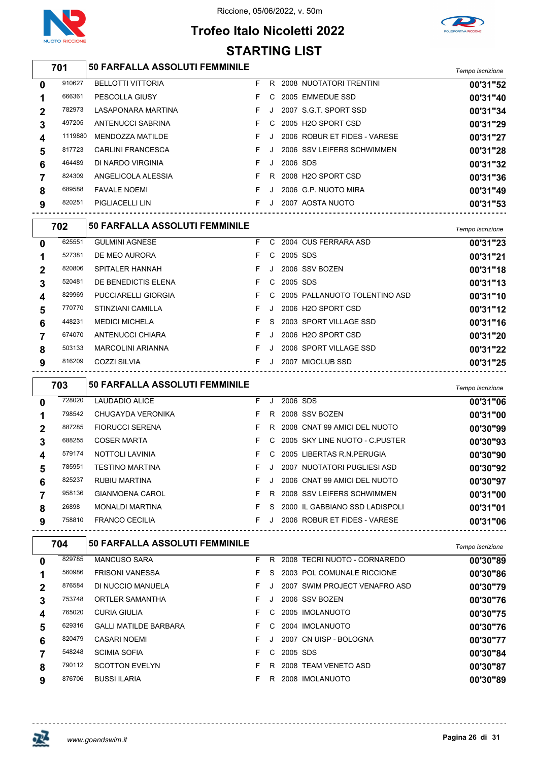





|                         | 701     | 50 FARFALLA ASSOLUTI FEMMINILE        |    |         |          |                              | Tempo iscrizione |
|-------------------------|---------|---------------------------------------|----|---------|----------|------------------------------|------------------|
| $\mathbf{0}$            | 910627  | <b>BELLOTTI VITTORIA</b>              | F. |         |          | R 2008 NUOTATORI TRENTINI    | 00'31"52         |
| 1                       | 666361  | PESCOLLA GIUSY                        | F. |         |          | C 2005 EMMEDUE SSD           | 00'31"40         |
| $\mathbf{2}$            | 782973  | LASAPONARA MARTINA                    | F. | J       |          | 2007 S.G.T. SPORT SSD        | 00'31"34         |
| 3                       | 497205  | ANTENUCCI SABRINA                     | F. |         |          | C 2005 H2O SPORT CSD         | 00'31"29         |
| $\overline{\mathbf{4}}$ | 1119880 | MENDOZZA MATILDE                      | F. | $\cdot$ |          | 2006 ROBUR ET FIDES - VARESE | 00'31"27         |
| 5                       | 817723  | <b>CARLINI FRANCESCA</b>              | F. | $\cdot$ |          | 2006 SSV LEIFERS SCHWIMMEN   | 00'31"28         |
| 6                       | 464489  | DI NARDO VIRGINIA                     | F. | $\cdot$ | 2006 SDS |                              | 00'31"32         |
| $\overline{7}$          | 824309  | ANGELICOLA ALESSIA                    | F. |         |          | R 2008 H2O SPORT CSD         | 00'31"36         |
| 8                       | 689588  | <b>FAVALE NOEMI</b>                   | F. | $\cdot$ |          | 2006 G.P. NUOTO MIRA         | 00'31"49         |
| 9                       | 820251  | <b>PIGLIACELLI LIN</b>                | F. |         |          | J 2007 AOSTA NUOTO           | 00'31"53         |
|                         | 702     | <b>50 FARFALLA ASSOLUTI FEMMINILE</b> |    |         |          |                              | Tempo iscrizione |
| n.                      | 625551  | GUI MINI AGNESE                       | F. |         |          | C 2004 CUS FERRARA ASD       | 00'31"23         |

| 0 | 625551 | <b>GULMINI AGNESE</b>      | F. |              |            | C 2004 CUS FERRARA ASD            | 00'31"23 |
|---|--------|----------------------------|----|--------------|------------|-----------------------------------|----------|
|   | 527381 | DE MEO AURORA              | F. | $\mathsf{C}$ | 2005 SDS   |                                   | 00'31"21 |
|   | 820806 | <b>SPITALER HANNAH</b>     | F. | J            |            | 2006 SSV BOZEN                    | 00'31"18 |
|   | 520481 | DE BENEDICTIS ELENA        | F. |              | C 2005 SDS |                                   | 00'31"13 |
| 4 | 829969 | <b>PUCCIARELLI GIORGIA</b> |    |              |            | F C 2005 PALLANUOTO TOLENTINO ASD | 00'31"10 |
| 5 | 770770 | STINZIANI CAMILLA          | F. |              |            | 2006 H2O SPORT CSD                | 00'31"12 |
| 6 | 448231 | <b>MEDICI MICHELA</b>      | F. | S.           |            | 2003 SPORT VILLAGE SSD            | 00'31"16 |
|   | 674070 | ANTENUCCI CHIARA           | F. |              |            | 2006 H2O SPORT CSD                | 00'31"20 |
| 8 | 503133 | <b>MARCOLINI ARIANNA</b>   | F. |              |            | 2006 SPORT VILLAGE SSD            | 00'31"22 |
| 9 | 816209 | COZZI SILVIA               | F. | $\cdot$      |            | 2007 MIOCLUB SSD                  | 00'31"25 |
|   |        |                            |    |              |            |                                   |          |

|             | 703    | <b>50 FARFALLA ASSOLUTI FEMMINILE</b> |    |    |          |                                  | Tempo iscrizione |
|-------------|--------|---------------------------------------|----|----|----------|----------------------------------|------------------|
| $\bf{0}$    | 728020 | <b>LAUDADIO ALICE</b>                 | F. | J. | 2006 SDS |                                  | 00'31"06         |
|             | 798542 | CHUGAYDA VERONIKA                     | F. | R. |          | 2008 SSV BOZEN                   | 00'31"00         |
| $\mathbf 2$ | 887285 | <b>FIORUCCI SERENA</b>                | F. | R. |          | 2008 CNAT 99 AMICI DEL NUOTO     | 00'30"99         |
| 3           | 688255 | <b>COSER MARTA</b>                    | F. |    |          | C 2005 SKY LINE NUOTO - C.PUSTER | 00'30"93         |
| 4           | 579174 | <b>NOTTOLI LAVINIA</b>                | F. |    |          | C 2005 LIBERTAS R.N. PERUGIA     | 00'30"90         |
| 5           | 785951 | <b>TESTINO MARTINA</b>                | F. |    |          | 2007 NUOTATORI PUGLIESI ASD      | 00'30"92         |
| 6           | 825237 | RUBIU MARTINA                         | F. |    |          | 2006 CNAT 99 AMICI DEL NUOTO     | 00'30"97         |
|             | 958136 | <b>GIANMOENA CAROL</b>                | F. | R. |          | 2008 SSV LEIFERS SCHWIMMEN       | 00'31"00         |
| 8           | 26898  | <b>MONALDI MARTINA</b>                | F. | S. |          | 2000 IL GABBIANO SSD LADISPOLI   | 00'31"01         |
| 9           | 758810 | <b>FRANCO CECILIA</b>                 | F. |    |          | 2006 ROBUR ET FIDES - VARESE     | 00'31"06         |
|             |        |                                       |    |    |          |                                  |                  |

|             | 704    | <b>50 FARFALLA ASSOLUTI FEMMINILE</b> |    |    |          |                               | Tempo iscrizione |
|-------------|--------|---------------------------------------|----|----|----------|-------------------------------|------------------|
| 0           | 829785 | <b>MANCUSO SARA</b>                   | F. | R  |          | 2008 TECRI NUOTO - CORNAREDO  | 00'30"89         |
|             | 560986 | <b>FRISONI VANESSA</b>                | F  | S. |          | 2003 POL COMUNALE RICCIONE    | 00'30"86         |
| $\mathbf 2$ | 876584 | DI NUCCIO MANUELA                     | F. |    |          | 2007 SWIM PROJECT VENAFRO ASD | 00'30"79         |
| 3           | 753748 | <b>ORTLER SAMANTHA</b>                | F. |    |          | 2006 SSV BOZEN                | 00'30"76         |
| 4           | 765020 | <b>CURIA GIULIA</b>                   | F. | C. |          | 2005 IMOLANUOTO               | 00'30"75         |
| 5           | 629316 | <b>GALLI MATILDE BARBARA</b>          | F. | C. |          | 2004 IMOLANUOTO               | 00'30"76         |
| 6           | 820479 | <b>CASARI NOEMI</b>                   | F. |    |          | 2007 CN UISP - BOLOGNA        | 00'30"77         |
|             | 548248 | <b>SCIMIA SOFIA</b>                   | F  | C. | 2005 SDS |                               | 00'30"84         |
| 8           | 790112 | <b>SCOTTON EVELYN</b>                 | F. | R  |          | 2008 TEAM VENETO ASD          | 00'30"87         |
| 9           | 876706 | <b>BUSSI ILARIA</b>                   | F  | R  |          | 2008 IMOLANUOTO               | 00'30"89         |

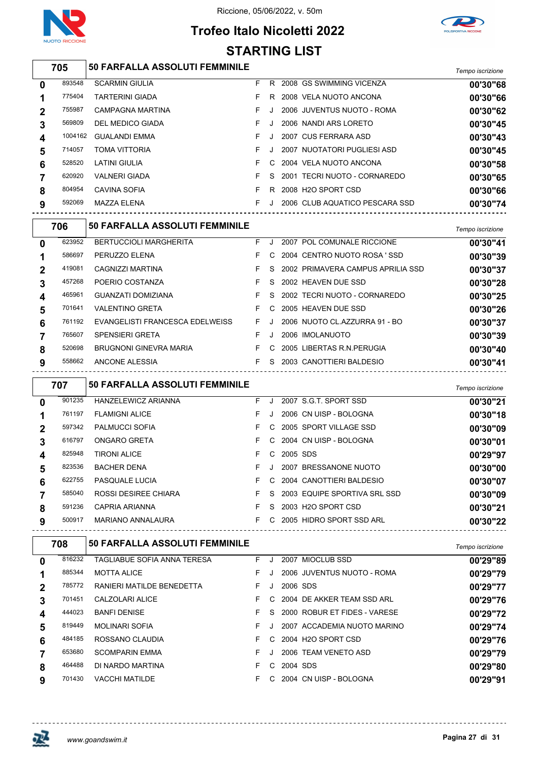



## **Trofeo Italo Nicoletti 2022 STARTING LIST**

|                | 705     | 50 FARFALLA ASSOLUTI FEMMINILE                       |     |    |              |                                    | Tempo iscrizione |
|----------------|---------|------------------------------------------------------|-----|----|--------------|------------------------------------|------------------|
| 0              | 893548  | <b>SCARMIN GIULIA</b>                                |     |    |              | F R 2008 GS SWIMMING VICENZA       | 00'30"68         |
| 1              | 775404  | <b>TARTERINI GIADA</b>                               | F   |    |              | R 2008 VELA NUOTO ANCONA           | 00'30"66         |
| $\mathbf 2$    | 755987  | CAMPAGNA MARTINA                                     | F   | J  |              | 2006 JUVENTUS NUOTO - ROMA         | 00'30"62         |
| 3              | 569809  | DEL MEDICO GIADA                                     | F   | J  |              | 2006 NANDI ARS LORETO              | 00'30"45         |
| 4              | 1004162 | <b>GUALANDI EMMA</b>                                 | F   | J  |              | 2007 CUS FERRARA ASD               | 00'30"43         |
| 5              | 714057  | <b>TOMA VITTORIA</b>                                 | F   | J. |              | 2007 NUOTATORI PUGLIESI ASD        | 00'30"45         |
| 6              | 528520  | <b>LATINI GIULIA</b>                                 | F   | C  |              | 2004 VELA NUOTO ANCONA             | 00'30"58         |
| 7              | 620920  | <b>VALNERI GIADA</b>                                 | F   | S  |              | 2001 TECRI NUOTO - CORNAREDO       | 00'30"65         |
| 8              | 804954  | <b>CAVINA SOFIA</b>                                  | F.  |    |              | R 2008 H2O SPORT CSD               | 00'30"66         |
| 9              | 592069  | MAZZA ELENA<br>------------------------------------- |     |    |              | F J 2006 CLUB AQUATICO PESCARA SSD | 00'30"74         |
|                | 706     | <b>50 FARFALLA ASSOLUTI FEMMINILE</b>                |     |    |              |                                    | Tempo iscrizione |
| 0              | 623952  | <b>BERTUCCIOLI MARGHERITA</b>                        |     |    |              | F J 2007 POL COMUNALE RICCIONE     | 00'30"41         |
| 1              | 586697  | PERUZZO ELENA                                        | F   |    |              | C 2004 CENTRO NUOTO ROSA 'SSD      | 00'30"39         |
| $\mathbf 2$    | 419081  | CAGNIZZI MARTINA                                     | F   | S. |              | 2002 PRIMAVERA CAMPUS APRILIA SSD  | 00'30"37         |
| 3              | 457268  | POERIO COSTANZA                                      | F   | S  |              | 2002 HEAVEN DUE SSD                | 00'30"28         |
| 4              | 465961  | <b>GUANZATI DOMIZIANA</b>                            | F.  | S  |              | 2002 TECRI NUOTO - CORNAREDO       | 00'30"25         |
| 5              | 701641  | <b>VALENTINO GRETA</b>                               | - F |    |              | C 2005 HEAVEN DUE SSD              | 00'30"26         |
| 6              | 761192  | EVANGELISTI FRANCESCA EDELWEISS FU                   |     |    |              | 2006 NUOTO CL.AZZURRA 91 - BO      | 00'30"37         |
| 7              | 765607  | <b>SPENSIERI GRETA</b>                               | - F | J  |              | 2006 IMOLANUOTO                    | 00'30"39         |
| 8              | 520698  | BRUGNONI GINEVRA MARIA                               |     |    |              | F C 2005 LIBERTAS R.N.PERUGIA      | 00'30"40         |
| 9              | 558662  | ANCONE ALESSIA                                       |     |    |              | F S 2003 CANOTTIERI BALDESIO       | 00'30"41         |
|                | 707     | 50 FARFALLA ASSOLUTI FEMMINILE                       |     |    |              |                                    | Tempo iscrizione |
| $\mathbf 0$    | 901235  | HANZELEWICZ ARIANNA                                  |     |    |              | F J 2007 S.G.T. SPORT SSD          | 00'30"21         |
| 1              | 761197  | <b>FLAMIGNI ALICE</b>                                | F.  | J  |              | 2006 CN UISP - BOLOGNA             | 00'30"18         |
|                |         |                                                      | F   | C  |              | 2005 SPORT VILLAGE SSD             | 00'30"09         |
| $\mathbf 2$    | 597342  | PALMUCCI SOFIA                                       |     |    |              |                                    |                  |
| 3              | 616797  | ONGARO GRETA                                         | F   | C  |              | 2004 CN UISP - BOLOGNA             | 00'30"01         |
| 4              | 825948  | <b>TIRONI ALICE</b>                                  | F.  |    | C 2005 SDS   |                                    | 00'29"97         |
| 5              | 823536  | <b>BACHER DENA</b>                                   |     |    |              | F J 2007 BRESSANONE NUOTO          | 00'30"00         |
| 6              | 622755  | PASQUALE LUCIA                                       |     |    |              | F C 2004 CANOTTIERI BALDESIO       | 00'30"07         |
| $\overline{7}$ | 585040  | ROSSI DESIREE CHIARA                                 |     |    |              | F S 2003 EQUIPE SPORTIVA SRL SSD   | 00'30"09         |
| 8              | 591236  | CAPRIA ARIANNA                                       |     |    |              | F S 2003 H2O SPORT CSD             | 00'30"21         |
| 9              | 500917  | MARIANO ANNALAURA                                    |     |    |              | F C 2005 HIDRO SPORT SSD ARL       | 00'30"22         |
|                | 708     | <b>50 FARFALLA ASSOLUTI FEMMINILE</b>                |     |    |              |                                    | Tempo iscrizione |
|                | 816232  | TAGLIABUE SOFIA ANNA TERESA                          |     |    |              | F J 2007 MIOCLUB SSD               | 00'29"89         |
| 0<br>1         | 885344  | <b>MOTTA ALICE</b>                                   |     |    |              | F J 2006 JUVENTUS NUOTO - ROMA     | 00'29"79         |
| $\mathbf 2$    | 785772  | RANIERI MATILDE BENEDETTA                            |     |    | F J 2006 SDS |                                    | 00'29"77         |
| 3              | 701451  | CALZOLARI ALICE                                      |     |    |              | F C 2004 DE AKKER TEAM SSD ARL     | 00'29"76         |
| 4              | 444023  | <b>BANFI DENISE</b>                                  |     |    |              | F S 2000 ROBUR ET FIDES - VARESE   | 00'29"72         |
| 5              | 819449  | MOLINARI SOFIA                                       | F.  |    |              | J 2007 ACCADEMIA NUOTO MARINO      | 00'29"74         |
| 6              | 484185  | ROSSANO CLAUDIA                                      | F.  |    |              | C 2004 H2O SPORT CSD               | 00'29"76         |
| $\overline{7}$ | 653680  | <b>SCOMPARIN EMMA</b>                                | F.  |    |              | J 2006 TEAM VENETO ASD             | 00'29"79         |

VACCHI MATILDE F C 2004 CN UISP - BOLOGNA **00'29"91**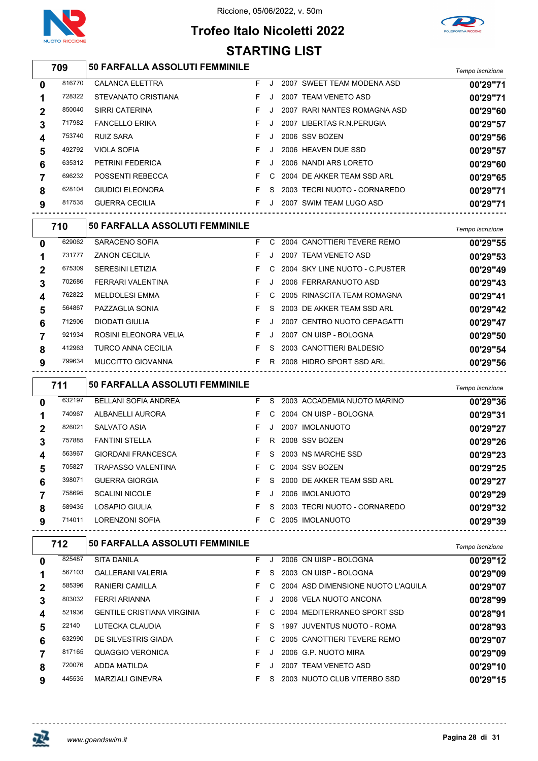

## **Trofeo Italo Nicoletti 2022 STARTING LIST**



#### *Tempo iscrizione* **50 FARFALLA ASSOLUTI FEMMINILE** CALANCA ELETTRA F J 2007 SWEET TEAM MODENA ASD **00'29"71** STEVANATO CRISTIANA F J 2007 TEAM VENETO ASD **00'29"71** SIRRI CATERINA F J 2007 RARI NANTES ROMAGNA ASD **00'29"60** FANCELLO ERIKA F J 2007 LIBERTAS R.N.PERUGIA **00'29"57** RUIZ SARA F J 2006 SSV BOZEN **00'29"56** VIOLA SOFIA F J 2006 HEAVEN DUE SSD **00'29"57** PETRINI FEDERICA F J 2006 NANDI ARS LORETO **00'29"60** POSSENTI REBECCA F C 2004 DE AKKER TEAM SSD ARL **00'29"65** GIUDICI ELEONORA F S 2003 TECRI NUOTO - CORNAREDO **00'29"71** GUERRA CECILIA F J 2007 SWIM TEAM LUGO ASD **00'29"71**

|                | 710    | <b>50 FARFALLA ASSOLUTI FEMMINILE</b> |    |              |                                  | Tempo iscrizione |
|----------------|--------|---------------------------------------|----|--------------|----------------------------------|------------------|
| $\bf{0}$       | 629062 | SARACENO SOFIA                        | F. |              | C 2004 CANOTTIERI TEVERE REMO    | 00'29"55         |
|                | 731777 | <b>ZANON CECILIA</b>                  | F. | $\cdot$      | 2007 TEAM VENETO ASD             | 00'29"53         |
| $\overline{2}$ | 675309 | <b>SERESINI LETIZIA</b>               | F. |              | C 2004 SKY LINE NUOTO - C.PUSTER | 00'29"49         |
|                | 702686 | FERRARI VALENTINA                     | F. | . J.         | 2006 FERRARANUOTO ASD            | 00'29"43         |
| 4              | 762822 | <b>MELDOLESI EMMA</b>                 | F. |              | C 2005 RINASCITA TEAM ROMAGNA    | 00'29"41         |
| 5              | 564867 | PAZZAGLIA SONIA                       | F. |              | S 2003 DE AKKER TEAM SSD ARL     | 00'29"42         |
| 6              | 712906 | DIODATI GIULIA                        | F. | $\mathbf{J}$ | 2007 CENTRO NUOTO CEPAGATTI      | 00'29"47         |
|                | 921934 | ROSINI ELEONORA VELIA                 | F. |              | 2007 CN UISP - BOLOGNA           | 00'29"50         |
| 8              | 412963 | <b>TURCO ANNA CECILIA</b>             | F. | S.           | 2003 CANOTTIERI BALDESIO         | 00'29"54         |
| 9              | 799634 | MUCCITTO GIOVANNA                     | F. |              | R 2008 HIDRO SPORT SSD ARL       | 00'29"56         |

|              | 711    | <b>50 FARFALLA ASSOLUTI FEMMINILE</b> |    |         |                              | Tempo iscrizione |
|--------------|--------|---------------------------------------|----|---------|------------------------------|------------------|
| $\mathbf{0}$ | 632197 | <b>BELLANI SOFIA ANDREA</b>           | F. | S.      | 2003 ACCADEMIA NUOTO MARINO  | 00'29"36         |
|              | 740967 | ALBANELLI AURORA                      | F. |         | C 2004 CN UISP - BOLOGNA     | 00'29"31         |
| 2            | 826021 | <b>SALVATO ASIA</b>                   | F. | J       | 2007 IMOLANUOTO              | 00'29"27         |
| 3            | 757885 | <b>FANTINI STELLA</b>                 | F. | R.      | 2008 SSV BOZEN               | 00'29"26         |
| 4            | 563967 | <b>GIORDANI FRANCESCA</b>             | F. |         | S 2003 NS MARCHE SSD         | 00'29"23         |
| 5            | 705827 | <b>TRAPASSO VALENTINA</b>             | F. |         | C 2004 SSV BOZEN             | 00'29"25         |
| 6            | 398071 | <b>GUERRA GIORGIA</b>                 | F. | S.      | 2000 DE AKKER TEAM SSD ARL   | 00'29"27         |
|              | 758695 | <b>SCALINI NICOLE</b>                 | F  | $\cdot$ | 2006 IMOLANUOTO              | 00'29"29         |
| 8            | 589435 | LOSAPIO GIULIA                        | F. | S.      | 2003 TECRI NUOTO - CORNAREDO | 00'29"32         |
| 9            | 714011 | LORENZONI SOFIA                       | F. | C.      | 2005 IMOLANUOTO              | 00'29"39         |

|              | 712    | <b>50 FARFALLA ASSOLUTI FEMMINILE</b> |    |    |      |                                    | Tempo iscrizione |
|--------------|--------|---------------------------------------|----|----|------|------------------------------------|------------------|
| $\bf{0}$     | 825487 | <b>SITA DANILA</b>                    | F. | J. |      | 2006 CN UISP - BOLOGNA             | 00'29"12         |
|              | 567103 | <b>GALLERANI VALERIA</b>              | F. | S. |      | 2003 CN UISP - BOLOGNA             | 00'29"09         |
| $\mathbf{2}$ | 585396 | <b>RANIERI CAMILLA</b>                | F. | C. |      | 2004 ASD DIMENSIONE NUOTO L'AQUILA | 00'29"07         |
| 3            | 803032 | <b>FERRI ARIANNA</b>                  | F. |    |      | 2006 VELA NUOTO ANCONA             | 00'28"99         |
| 4            | 521936 | <b>GENTILE CRISTIANA VIRGINIA</b>     | F. | C. |      | 2004 MEDITERRANEO SPORT SSD        | 00'28"91         |
| 5            | 22140  | LUTECKA CLAUDIA                       |    | S. |      | 1997 JUVENTUS NUOTO - ROMA         | 00'28"93         |
| 6            | 632990 | DE SILVESTRIS GIADA                   | F. | C. |      | 2005 CANOTTIERI TEVERE REMO        | 00'29"07         |
|              | 817165 | QUAGGIO VERONICA                      | F. |    |      | 2006 G.P. NUOTO MIRA               | 00'29"09         |
| 8            | 720076 | ADDA MATILDA                          | F. |    | 2007 | TEAM VENETO ASD                    | 00'29"10         |
| 9            | 445535 | <b>MARZIALI GINEVRA</b>               |    | S  |      | 2003 NUOTO CLUB VITERBO SSD        | 00'29"15         |

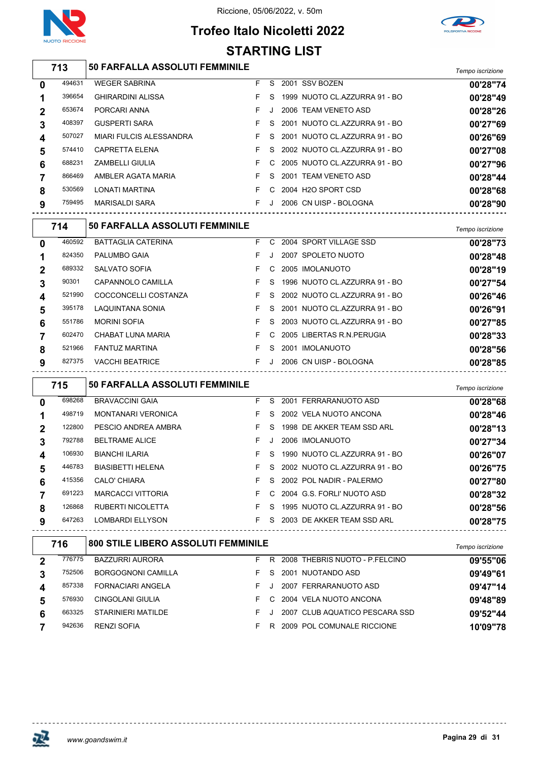

 $\overline{1}$ 

#### Riccione, 05/06/2022, v. 50m

## **Trofeo Italo Nicoletti 2022 STARTING LIST**



|              | 713    | <b>50 FARFALLA ASSOLUTI FEMMINILE</b> |    |               |                                 | Tempo iscrizione |
|--------------|--------|---------------------------------------|----|---------------|---------------------------------|------------------|
| $\mathbf 0$  | 494631 | <b>WEGER SABRINA</b>                  | F. | S.            | 2001 SSV BOZEN                  | 00'28"74         |
| 1            | 396654 | <b>GHIRARDINI ALISSA</b>              | F. | S.            | 1999 NUOTO CL.AZZURRA 91 - BO   | 00'28"49         |
| $\mathbf{2}$ | 653674 | PORCARI ANNA                          | F  | $\cdot$       | 2006 TEAM VENETO ASD            | 00'28"26         |
| 3            | 408397 | <b>GUSPERTI SARA</b>                  | F. | S.            | 2001 NUOTO CL.AZZURRA 91 - BO   | 00'27"69         |
| 4            | 507027 | MIARI FULCIS ALESSANDRA               | F. |               | S 2001 NUOTO CL.AZZURRA 91 - BO | 00'26"69         |
| 5            | 574410 | <b>CAPRETTA ELENA</b>                 | F. | $\mathcal{S}$ | 2002 NUOTO CL.AZZURRA 91 - BO   | 00'27"08         |
| 6            | 688231 | <b>ZAMBELLI GIULIA</b>                | F. |               | C 2005 NUOTO CL.AZZURRA 91 - BO | 00'27"96         |
|              | 866469 | AMBLER AGATA MARIA                    | F. |               | S 2001 TEAM VENETO ASD          | 00'28"44         |
| 8            | 530569 | LONATI MARTINA                        | F. |               | C 2004 H2O SPORT CSD            | 00'28"68         |
| 9            | 759495 | MARISALDI SARA                        | F. | J             | 2006 CN UISP - BOLOGNA          | 00'28"90         |
|              | 714    | <b>50 FARFALLA ASSOLUTI FEMMINILE</b> |    |               |                                 | Tempo iscrizione |
| $\bf{0}$     | 460592 | <b>BATTAGLIA CATERINA</b>             | F. | C.            | 2004 SPORT VILLAGE SSD          | 00'28"73         |

| 0           | 460592 | <b>BATTAGLIA CATERINA</b> |    |    | C 2004 SPORT VILLAGE SSD          | 00'28"73 |
|-------------|--------|---------------------------|----|----|-----------------------------------|----------|
| 1           | 824350 | PALUMBO GAIA              | F. |    | 2007 SPOLETO NUOTO                | 00'28"48 |
| $\mathbf 2$ | 689332 | <b>SALVATO SOFIA</b>      | F. |    | C 2005 IMOLANUOTO                 | 00'28"19 |
| 3           | 90301  | CAPANNOLO CAMILLA         | F. | S. | 1996 NUOTO CL.AZZURRA 91 - BO     | 00'27"54 |
| 4           | 521990 | COCCONCELLI COSTANZA      |    |    | F S 2002 NUOTO CL.AZZURRA 91 - BO | 00'26"46 |
| 5           | 395178 | LAQUINTANA SONIA          |    |    | F S 2001 NUOTO CLAZZURRA 91 - BO  | 00'26"91 |
| 6           | 551786 | <b>MORINI SOFIA</b>       | F. |    | S 2003 NUOTO CL.AZZURRA 91 - BO   | 00'27"85 |
|             | 602470 | CHABAT LUNA MARIA         | F. |    | C 2005 LIBERTAS R.N.PERUGIA       | 00'28"33 |
| 8           | 521966 | <b>FANTUZ MARTINA</b>     | F. | S. | 2001 IMOLANUOTO                   | 00'28"56 |
| 9           | 827375 | <b>VACCHI BEATRICE</b>    | F. |    | 2006 CN UISP - BOLOGNA            | 00'28"85 |

|              | 715    | <b>50 FARFALLA ASSOLUTI FEMMINILE</b> |    |    |                               | Tempo iscrizione |
|--------------|--------|---------------------------------------|----|----|-------------------------------|------------------|
| $\bf{0}$     | 698268 | <b>BRAVACCINI GAIA</b>                | F. | S. | 2001 FERRARANUOTO ASD         | 00'28"68         |
|              | 498719 | <b>MONTANARI VERONICA</b>             | F. | S. | 2002 VELA NUOTO ANCONA        | 00'28"46         |
| $\mathbf{2}$ | 122800 | PESCIO ANDREA AMBRA                   | F. | S. | 1998 DE AKKER TEAM SSD ARL    | 00'28"13         |
| 3            | 792788 | <b>BELTRAME ALICE</b>                 | F. |    | 2006 IMOLANUOTO               | 00'27"34         |
| 4            | 106930 | <b>BIANCHI ILARIA</b>                 | F. | S. | 1990 NUOTO CL.AZZURRA 91 - BO | 00'26"07         |
| 5            | 446783 | <b>BIASIBETTI HELENA</b>              | F. | S. | 2002 NUOTO CL.AZZURRA 91 - BO | 00'26"75         |
| 6            | 415356 | CALO' CHIARA                          | F. | S. | 2002 POL NADIR - PALERMO      | 00'27"80         |
|              | 691223 | <b>MARCACCI VITTORIA</b>              | F. | C. | 2004 G.S. FORLI' NUOTO ASD    | 00'28"32         |
| 8            | 126868 | <b>RUBERTI NICOLETTA</b>              | F. | S. | 1995 NUOTO CL.AZZURRA 91 - BO | 00'28"56         |
| 9            | 647263 | LOMBARDI ELLYSON                      | F. | S. | 2003 DE AKKER TEAM SSD ARL    | 00'28"75         |

| 716    |                           |    |                                            | Tempo iscrizione         |
|--------|---------------------------|----|--------------------------------------------|--------------------------|
| 776775 | <b>BAZZURRI AURORA</b>    | R. | 2008 THEBRIS NUOTO - P.FELCINO             | 09'55"06                 |
| 752506 | <b>BORGOGNONI CAMILLA</b> | S. | 2001 NUOTANDO ASD                          | 09'49"61                 |
| 857338 | <b>FORNACIARI ANGELA</b>  |    | 2007 FERRARANUOTO ASD                      | 09'47"14                 |
| 576930 | CINGOLANI GIULIA          |    |                                            | 09'48"89                 |
| 663325 | STARINIERI MATILDE        |    | 2007 CLUB AQUATICO PESCARA SSD             | 09'52"44                 |
| 942636 | <b>RENZI SOFIA</b>        | R  | 2009 POL COMUNALE RICCIONE                 | 10'09"78                 |
|        |                           |    | <b>800 STILE LIBERO ASSOLUTI FEMMINILE</b> | C 2004 VELA NUOTO ANCONA |

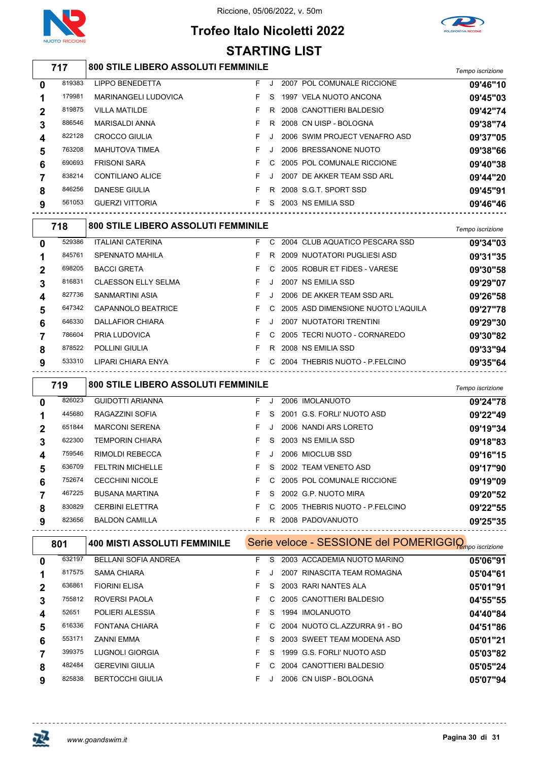

## **Trofeo Italo Nicoletti 2022 STARTING LIST**



## *Tempo iscrizione* **800 STILE LIBERO ASSOLUTI FEMMINILE**

| $\bf{0}$    | 819383 | <b>LIPPO BENEDETTA</b>      | F. | J.      | 2007 POL COMUNALE RICCIONE    | 09'46"10 |
|-------------|--------|-----------------------------|----|---------|-------------------------------|----------|
|             | 179981 | <b>MARINANGELI LUDOVICA</b> | F. | S.      | 1997 VELA NUOTO ANCONA        | 09'45"03 |
| $\mathbf 2$ | 819875 | <b>VILLA MATILDE</b>        |    | R.      | 2008 CANOTTIERI BALDESIO      | 09'42"74 |
| 3           | 886546 | MARISALDI ANNA              |    | R       | 2008 CN UISP - BOLOGNA        | 09'38"74 |
| 4           | 822128 | <b>CROCCO GIULIA</b>        |    |         | 2006 SWIM PROJECT VENAFRO ASD | 09'37"05 |
| 5           | 763208 | <b>MAHUTOVA TIMEA</b>       |    | $\cdot$ | 2006 BRESSANONE NUOTO         | 09'38"66 |
| 6           | 690693 | <b>FRISONI SARA</b>         |    |         | C 2005 POL COMUNALE RICCIONE  | 09'40"38 |
|             | 838214 | CONTILIANO ALICE            |    | J.      | 2007 DE AKKER TEAM SSD ARL    | 09'44"20 |
| 8           | 846256 | <b>DANESE GIULIA</b>        |    | R.      | 2008 S.G.T. SPORT SSD         | 09'45"91 |
| 9           | 561053 | <b>GUERZI VITTORIA</b>      |    | S.      | 2003 NS EMILIA SSD            | 09'46"46 |
|             |        |                             |    |         |                               |          |

|             | 718    | <b>800 STILE LIBERO ASSOLUTI FEMMINILE</b> |    |    |                                      | Tempo iscrizione |
|-------------|--------|--------------------------------------------|----|----|--------------------------------------|------------------|
| 0           | 529386 | <b>ITALIANI CATERINA</b>                   | F. | C. | 2004 CLUB AQUATICO PESCARA SSD       | 09'34"03         |
|             | 845761 | SPENNATO MAHILA                            | F. | R. | 2009 NUOTATORI PUGLIESI ASD          | 09'31"35         |
| $\mathbf 2$ | 698205 | <b>BACCI GRETA</b>                         | F. |    | C 2005 ROBUR ET FIDES - VARESE       | 09'30"58         |
| 3           | 816831 | <b>CLAESSON ELLY SELMA</b>                 | F. |    | 2007 NS EMILIA SSD                   | 09'29"07         |
| 4           | 827736 | SANMARTINI ASIA                            | F. |    | 2006 DE AKKER TEAM SSD ARL           | 09'26"58         |
| 5           | 647342 | CAPANNOLO BEATRICE                         | F. |    | C 2005 ASD DIMENSIONE NUOTO L'AQUILA | 09'27"78         |
| 6           | 646330 | DALLAFIOR CHIARA                           | F. |    | 2007 NUOTATORI TRENTINI              | 09'29"30         |
|             | 786604 | PRIA LUDOVICA                              | F. | C. | 2005 TECRI NUOTO - CORNAREDO         | 09'30"82         |
| 8           | 878522 | <b>POLLINI GIULIA</b>                      | F. | R. | 2008 NS EMILIA SSD                   | 09'33"94         |
| 9           | 533310 | LIPARI CHIARA ENYA                         | F. | C. | 2004 THEBRIS NUOTO - P.FELCINO       | 09'35"64         |
|             |        |                                            |    |    |                                      |                  |

|             | 719    | <b>800 STILE LIBERO ASSOLUTI FEMMINILE</b> |    |         |                                | Tempo iscrizione |
|-------------|--------|--------------------------------------------|----|---------|--------------------------------|------------------|
| $\bf{0}$    | 826023 | <b>GUIDOTTI ARIANNA</b>                    | F. | $\cdot$ | 2006 IMOLANUOTO                | 09'24"78         |
|             | 445680 | RAGAZZINI SOFIA                            | F. | S.      | 2001 G.S. FORLI' NUOTO ASD     | 09'22"49         |
| $\mathbf 2$ | 651844 | <b>MARCONI SERENA</b>                      | F. |         | 2006 NANDI ARS LORETO          | 09'19"34         |
| 3           | 622300 | <b>TEMPORIN CHIARA</b>                     |    | S.      | 2003 NS EMILIA SSD             | 09'18"83         |
| 4           | 759546 | <b>RIMOLDI REBECCA</b>                     | F. |         | 2006 MIOCLUB SSD               | 09'16"15         |
| 5           | 636709 | <b>FELTRIN MICHELLE</b>                    |    | S.      | 2002 TEAM VENETO ASD           | 09'17"90         |
| 6           | 752674 | <b>CECCHINI NICOLE</b>                     | F. | C.      | 2005 POL COMUNALE RICCIONE     | 09'19"09         |
|             | 467225 | <b>BUSANA MARTINA</b>                      |    | S.      | 2002 G.P. NUOTO MIRA           | 09'20"52         |
| 8           | 830829 | <b>CERBINI ELETTRA</b>                     | F. | C.      | 2005 THEBRIS NUOTO - P FELCINO | 09'22"55         |
| 9           | 823656 | <b>BALDON CAMILLA</b>                      |    | R.      | 2008 PADOVANUOTO               | 09'25"35         |

|   | 801    | <b>400 MISTI ASSOLUTI FEMMINILE</b> |    |    | Serie veloce - SESSIONE del POMERIGGIQ <sub>mpo iscrizione</sub> |          |
|---|--------|-------------------------------------|----|----|------------------------------------------------------------------|----------|
| 0 | 632197 | <b>BELLANI SOFIA ANDREA</b>         | F. | S  | 2003 ACCADEMIA NUOTO MARINO                                      | 05'06"91 |
|   | 817575 | <b>SAMA CHIARA</b>                  | F. |    | 2007 RINASCITA TEAM ROMAGNA                                      | 05'04"61 |
| 2 | 636861 | <b>FIORINI ELISA</b>                |    | S. | 2003 RARI NANTES ALA                                             | 05'01"91 |
|   | 755812 | ROVERSI PAOLA                       | F. | C. | 2005 CANOTTIERI BALDESIO                                         | 04'55"55 |
| 4 | 52651  | POLIERI ALESSIA                     | F. | S. | 1994 IMOLANUOTO                                                  | 04'40"84 |
| 5 | 616336 | <b>FONTANA CHIARA</b>               | F. | C. | 2004 NUOTO CL.AZZURRA 91 - BO                                    | 04'51"86 |
| 6 | 553171 | ZANNI EMMA                          |    | S. | 2003 SWEET TEAM MODENA ASD                                       | 05'01"21 |
|   | 399375 | LUGNOLI GIORGIA                     | F. | S. | 1999 G.S. FORLI' NUOTO ASD                                       | 05'03"82 |
| 8 | 482484 | <b>GEREVINI GIULIA</b>              | F. | C. | 2004 CANOTTIERI BALDESIO                                         | 05'05"24 |
| 9 | 825838 | <b>BERTOCCHI GIULIA</b>             | F. |    | 2006 CN UISP - BOLOGNA                                           | 05'07"94 |